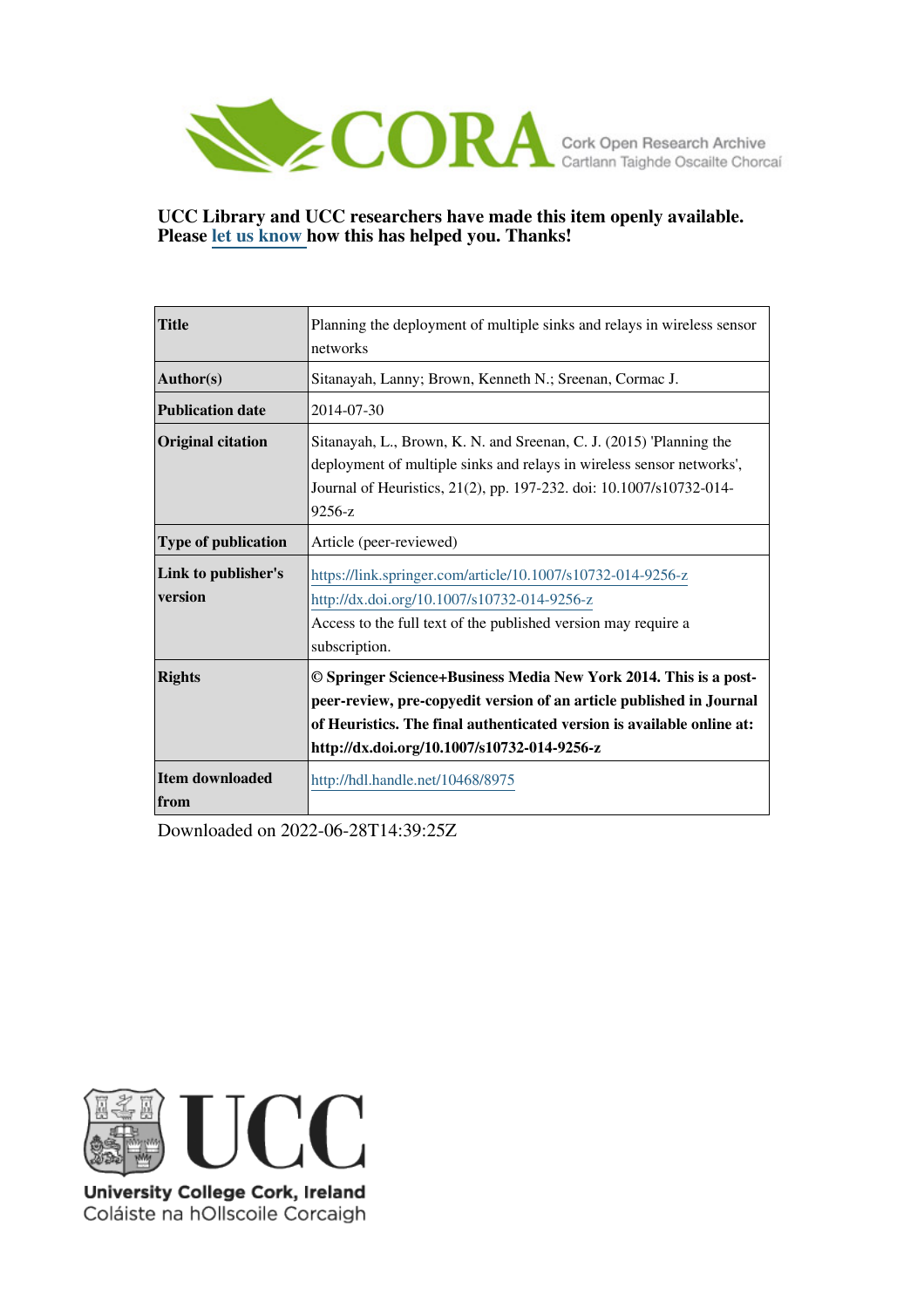

# **UCC Library and UCC researchers have made this item openly available. Please [let us know h](https://libguides.ucc.ie/openaccess/impact?suffix=8975&title=Planning the deployment of multiple sinks and relays in wireless sensor networks)ow this has helped you. Thanks!**

| <b>Title</b>                   | Planning the deployment of multiple sinks and relays in wireless sensor                                                                                                                                                                                           |
|--------------------------------|-------------------------------------------------------------------------------------------------------------------------------------------------------------------------------------------------------------------------------------------------------------------|
|                                | networks                                                                                                                                                                                                                                                          |
| <b>Author(s)</b>               | Sitanayah, Lanny; Brown, Kenneth N.; Sreenan, Cormac J.                                                                                                                                                                                                           |
| <b>Publication date</b>        | 2014-07-30                                                                                                                                                                                                                                                        |
| <b>Original citation</b>       | Sitanayah, L., Brown, K. N. and Sreenan, C. J. (2015) 'Planning the<br>deployment of multiple sinks and relays in wireless sensor networks',<br>Journal of Heuristics, 21(2), pp. 197-232. doi: 10.1007/s10732-014-<br>$9256-z$                                   |
| Type of publication            | Article (peer-reviewed)                                                                                                                                                                                                                                           |
| Link to publisher's<br>version | https://link.springer.com/article/10.1007/s10732-014-9256-z<br>http://dx.doi.org/10.1007/s10732-014-9256-z<br>Access to the full text of the published version may require a<br>subscription.                                                                     |
| <b>Rights</b>                  | © Springer Science+Business Media New York 2014. This is a post-<br>peer-review, pre-copyedit version of an article published in Journal<br>of Heuristics. The final authenticated version is available online at:<br>http://dx.doi.org/10.1007/s10732-014-9256-z |
| Item downloaded<br>from        | http://hdl.handle.net/10468/8975                                                                                                                                                                                                                                  |

Downloaded on 2022-06-28T14:39:25Z



University College Cork, Ireland Coláiste na hOllscoile Corcaigh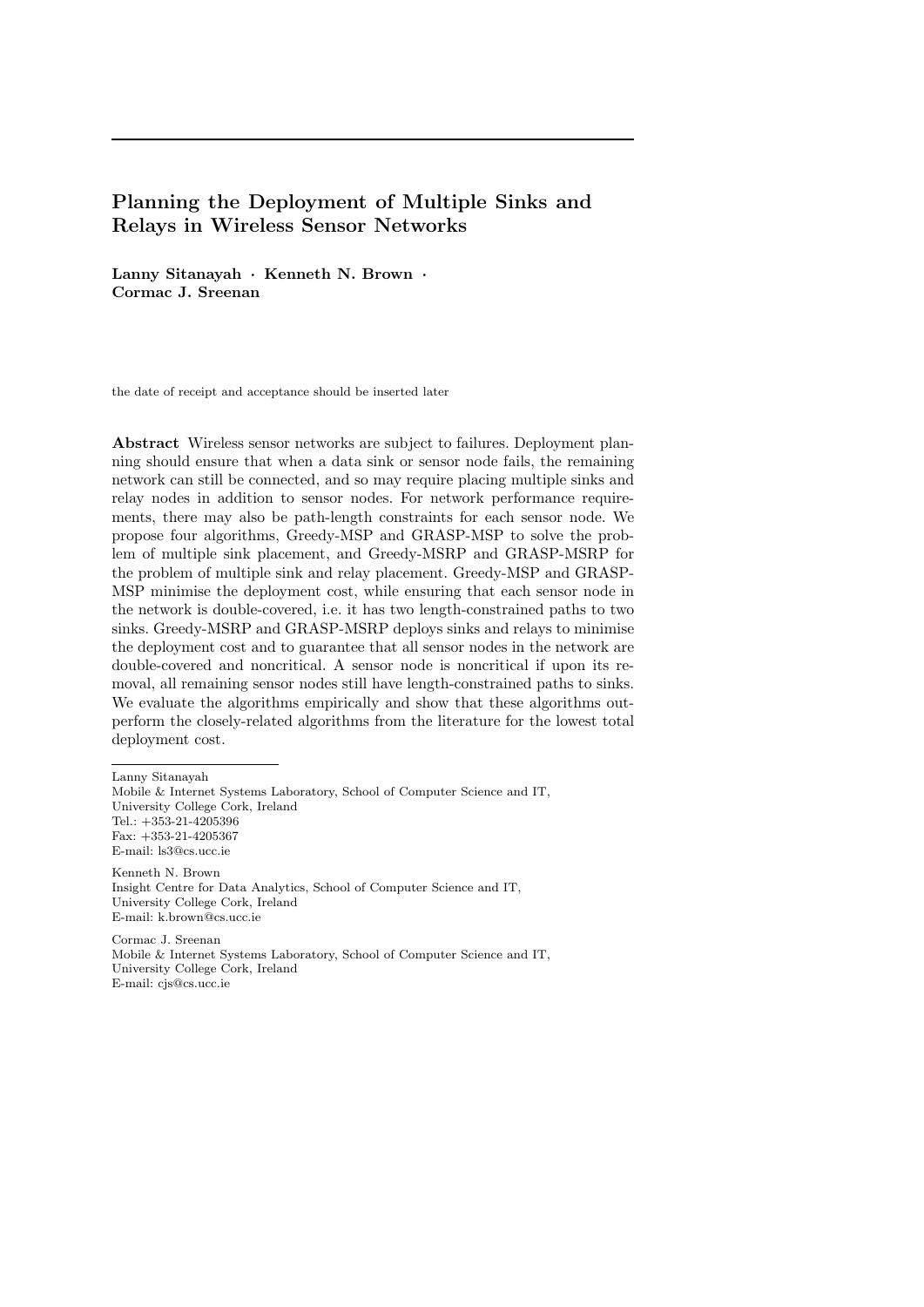# Planning the Deployment of Multiple Sinks and Relays in Wireless Sensor Networks

Lanny Sitanayah · Kenneth N. Brown · Cormac J. Sreenan

the date of receipt and acceptance should be inserted later

Abstract Wireless sensor networks are subject to failures. Deployment planning should ensure that when a data sink or sensor node fails, the remaining network can still be connected, and so may require placing multiple sinks and relay nodes in addition to sensor nodes. For network performance requirements, there may also be path-length constraints for each sensor node. We propose four algorithms, Greedy-MSP and GRASP-MSP to solve the problem of multiple sink placement, and Greedy-MSRP and GRASP-MSRP for the problem of multiple sink and relay placement. Greedy-MSP and GRASP-MSP minimise the deployment cost, while ensuring that each sensor node in the network is double-covered, i.e. it has two length-constrained paths to two sinks. Greedy-MSRP and GRASP-MSRP deploys sinks and relays to minimise the deployment cost and to guarantee that all sensor nodes in the network are double-covered and noncritical. A sensor node is noncritical if upon its removal, all remaining sensor nodes still have length-constrained paths to sinks. We evaluate the algorithms empirically and show that these algorithms outperform the closely-related algorithms from the literature for the lowest total deployment cost.

Kenneth N. Brown Insight Centre for Data Analytics, School of Computer Science and IT, University College Cork, Ireland E-mail: k.brown@cs.ucc.ie

Cormac J. Sreenan Mobile & Internet Systems Laboratory, School of Computer Science and IT, University College Cork, Ireland E-mail: cjs@cs.ucc.ie

Lanny Sitanayah Mobile & Internet Systems Laboratory, School of Computer Science and IT, University College Cork, Ireland Tel.: +353-21-4205396 Fax: +353-21-4205367 E-mail: ls3@cs.ucc.ie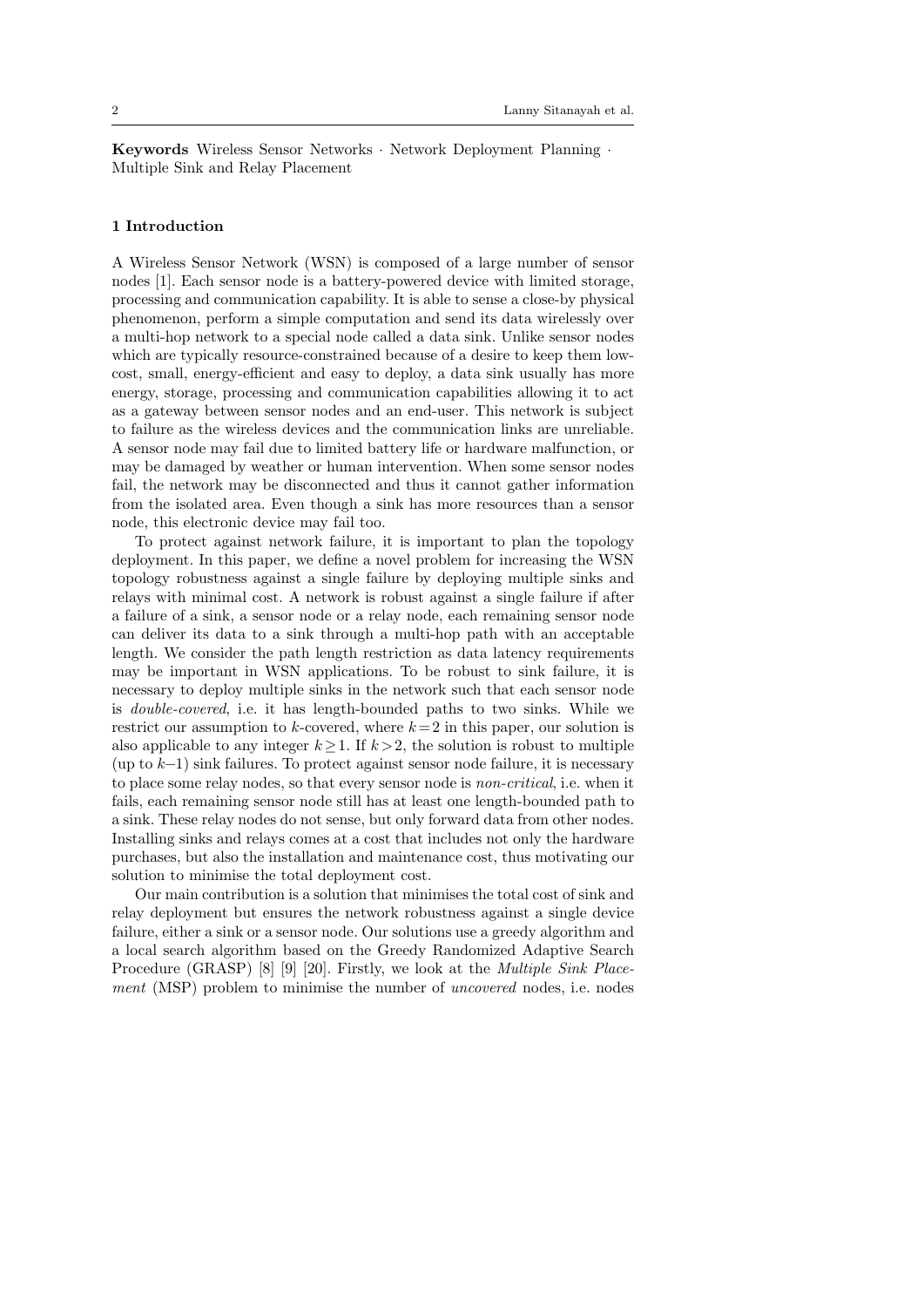Keywords Wireless Sensor Networks · Network Deployment Planning · Multiple Sink and Relay Placement

### 1 Introduction

A Wireless Sensor Network (WSN) is composed of a large number of sensor nodes [1]. Each sensor node is a battery-powered device with limited storage, processing and communication capability. It is able to sense a close-by physical phenomenon, perform a simple computation and send its data wirelessly over a multi-hop network to a special node called a data sink. Unlike sensor nodes which are typically resource-constrained because of a desire to keep them lowcost, small, energy-efficient and easy to deploy, a data sink usually has more energy, storage, processing and communication capabilities allowing it to act as a gateway between sensor nodes and an end-user. This network is subject to failure as the wireless devices and the communication links are unreliable. A sensor node may fail due to limited battery life or hardware malfunction, or may be damaged by weather or human intervention. When some sensor nodes fail, the network may be disconnected and thus it cannot gather information from the isolated area. Even though a sink has more resources than a sensor node, this electronic device may fail too.

To protect against network failure, it is important to plan the topology deployment. In this paper, we define a novel problem for increasing the WSN topology robustness against a single failure by deploying multiple sinks and relays with minimal cost. A network is robust against a single failure if after a failure of a sink, a sensor node or a relay node, each remaining sensor node can deliver its data to a sink through a multi-hop path with an acceptable length. We consider the path length restriction as data latency requirements may be important in WSN applications. To be robust to sink failure, it is necessary to deploy multiple sinks in the network such that each sensor node is double-covered, i.e. it has length-bounded paths to two sinks. While we restrict our assumption to k-covered, where  $k=2$  in this paper, our solution is also applicable to any integer  $k \geq 1$ . If  $k > 2$ , the solution is robust to multiple (up to  $k-1$ ) sink failures. To protect against sensor node failure, it is necessary to place some relay nodes, so that every sensor node is non-critical, i.e. when it fails, each remaining sensor node still has at least one length-bounded path to a sink. These relay nodes do not sense, but only forward data from other nodes. Installing sinks and relays comes at a cost that includes not only the hardware purchases, but also the installation and maintenance cost, thus motivating our solution to minimise the total deployment cost.

Our main contribution is a solution that minimises the total cost of sink and relay deployment but ensures the network robustness against a single device failure, either a sink or a sensor node. Our solutions use a greedy algorithm and a local search algorithm based on the Greedy Randomized Adaptive Search Procedure (GRASP) [8] [9] [20]. Firstly, we look at the *Multiple Sink Place*ment (MSP) problem to minimise the number of uncovered nodes, i.e. nodes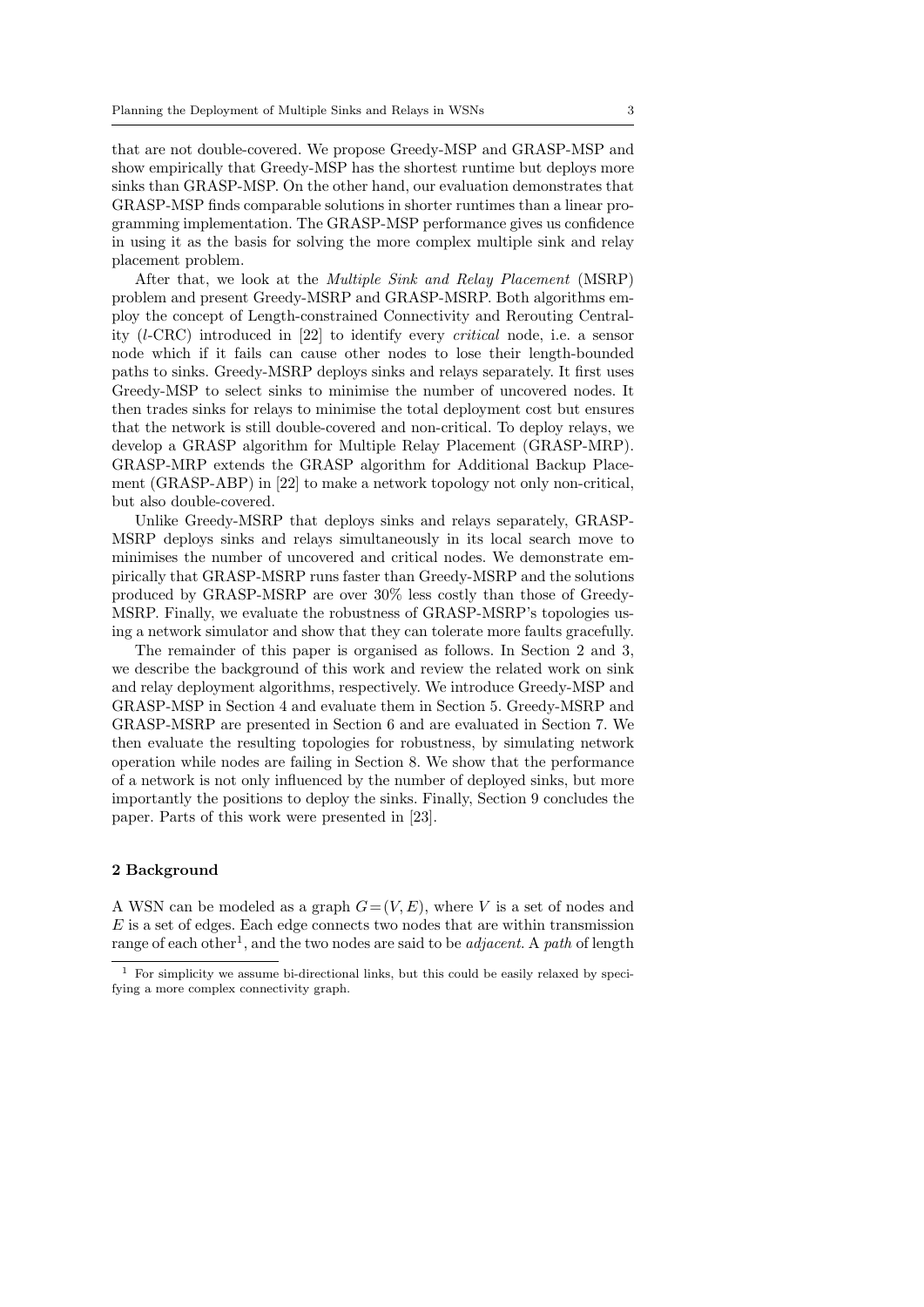that are not double-covered. We propose Greedy-MSP and GRASP-MSP and show empirically that Greedy-MSP has the shortest runtime but deploys more sinks than GRASP-MSP. On the other hand, our evaluation demonstrates that GRASP-MSP finds comparable solutions in shorter runtimes than a linear programming implementation. The GRASP-MSP performance gives us confidence in using it as the basis for solving the more complex multiple sink and relay placement problem.

After that, we look at the Multiple Sink and Relay Placement (MSRP) problem and present Greedy-MSRP and GRASP-MSRP. Both algorithms employ the concept of Length-constrained Connectivity and Rerouting Centrality (l-CRC) introduced in [22] to identify every critical node, i.e. a sensor node which if it fails can cause other nodes to lose their length-bounded paths to sinks. Greedy-MSRP deploys sinks and relays separately. It first uses Greedy-MSP to select sinks to minimise the number of uncovered nodes. It then trades sinks for relays to minimise the total deployment cost but ensures that the network is still double-covered and non-critical. To deploy relays, we develop a GRASP algorithm for Multiple Relay Placement (GRASP-MRP). GRASP-MRP extends the GRASP algorithm for Additional Backup Placement (GRASP-ABP) in [22] to make a network topology not only non-critical, but also double-covered.

Unlike Greedy-MSRP that deploys sinks and relays separately, GRASP-MSRP deploys sinks and relays simultaneously in its local search move to minimises the number of uncovered and critical nodes. We demonstrate empirically that GRASP-MSRP runs faster than Greedy-MSRP and the solutions produced by GRASP-MSRP are over 30% less costly than those of Greedy-MSRP. Finally, we evaluate the robustness of GRASP-MSRP's topologies using a network simulator and show that they can tolerate more faults gracefully.

The remainder of this paper is organised as follows. In Section 2 and 3, we describe the background of this work and review the related work on sink and relay deployment algorithms, respectively. We introduce Greedy-MSP and GRASP-MSP in Section 4 and evaluate them in Section 5. Greedy-MSRP and GRASP-MSRP are presented in Section 6 and are evaluated in Section 7. We then evaluate the resulting topologies for robustness, by simulating network operation while nodes are failing in Section 8. We show that the performance of a network is not only influenced by the number of deployed sinks, but more importantly the positions to deploy the sinks. Finally, Section 9 concludes the paper. Parts of this work were presented in [23].

#### 2 Background

A WSN can be modeled as a graph  $G = (V, E)$ , where V is a set of nodes and  $E$  is a set of edges. Each edge connects two nodes that are within transmission range of each other<sup>1</sup>, and the two nodes are said to be *adjacent*. A path of length

 $1$  For simplicity we assume bi-directional links, but this could be easily relaxed by specifying a more complex connectivity graph.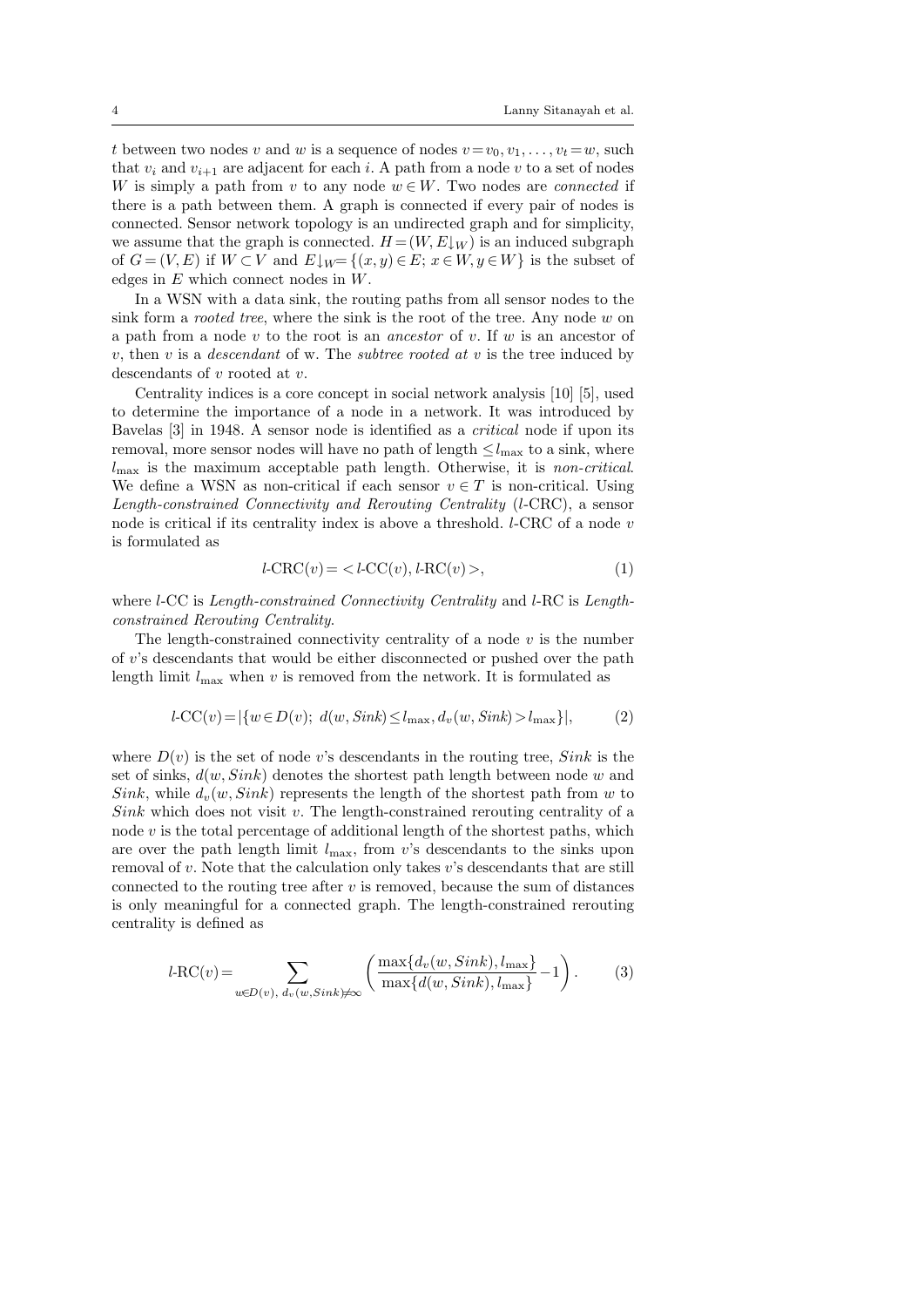t between two nodes v and w is a sequence of nodes  $v=v_0, v_1, \ldots, v_t = w$ , such that  $v_i$  and  $v_{i+1}$  are adjacent for each i. A path from a node v to a set of nodes W is simply a path from v to any node  $w \in W$ . Two nodes are *connected* if there is a path between them. A graph is connected if every pair of nodes is connected. Sensor network topology is an undirected graph and for simplicity, we assume that the graph is connected.  $H = (W, E\downarrow_W)$  is an induced subgraph of  $G = (V, E)$  if  $W \subset V$  and  $E \downarrow_W = \{(x, y) \in E; x \in W, y \in W\}$  is the subset of edges in  $E$  which connect nodes in  $W$ .

In a WSN with a data sink, the routing paths from all sensor nodes to the sink form a *rooted tree*, where the sink is the root of the tree. Any node  $w$  on a path from a node v to the root is an *ancestor* of v. If w is an ancestor of v, then v is a *descendant* of w. The *subtree rooted at v* is the tree induced by descendants of v rooted at v.

Centrality indices is a core concept in social network analysis [10] [5], used to determine the importance of a node in a network. It was introduced by Bavelas [3] in 1948. A sensor node is identified as a critical node if upon its removal, more sensor nodes will have no path of length  $\leq l_{\text{max}}$  to a sink, where  $l_{\text{max}}$  is the maximum acceptable path length. Otherwise, it is *non-critical*. We define a WSN as non-critical if each sensor  $v \in T$  is non-critical. Using Length-constrained Connectivity and Rerouting Centrality (l-CRC), a sensor node is critical if its centrality index is above a threshold.  $l$ -CRC of a node v is formulated as

$$
l-CRC(v) = ,\tag{1}
$$

where *l*-CC is *Length-constrained Connectivity Centrality* and *l*-RC is *Length*constrained Rerouting Centrality.

The length-constrained connectivity centrality of a node  $v$  is the number of v's descendants that would be either disconnected or pushed over the path length limit  $l_{\text{max}}$  when v is removed from the network. It is formulated as

$$
l\text{-CC}(v) = |\{w \in D(v); \ d(w, Sink) \le l_{\max}, d_v(w, Sink) > l_{\max}\}|,
$$
 (2)

where  $D(v)$  is the set of node v's descendants in the routing tree,  $Sink$  is the set of sinks,  $d(w, Sink)$  denotes the shortest path length between node w and Sink, while  $d_v(w, Sink)$  represents the length of the shortest path from w to Sink which does not visit v. The length-constrained rerouting centrality of a node  $v$  is the total percentage of additional length of the shortest paths, which are over the path length limit  $l_{\text{max}}$ , from v's descendants to the sinks upon removal of v. Note that the calculation only takes v's descendants that are still connected to the routing tree after  $v$  is removed, because the sum of distances is only meaningful for a connected graph. The length-constrained rerouting centrality is defined as

$$
l\text{-RC}(v) = \sum_{w \in D(v), d_v(w, Sink) \neq \infty} \left( \frac{\max\{d_v(w, Sink), l_{\max}\}}{\max\{d(w, Sink), l_{\max}\}} - 1 \right). \tag{3}
$$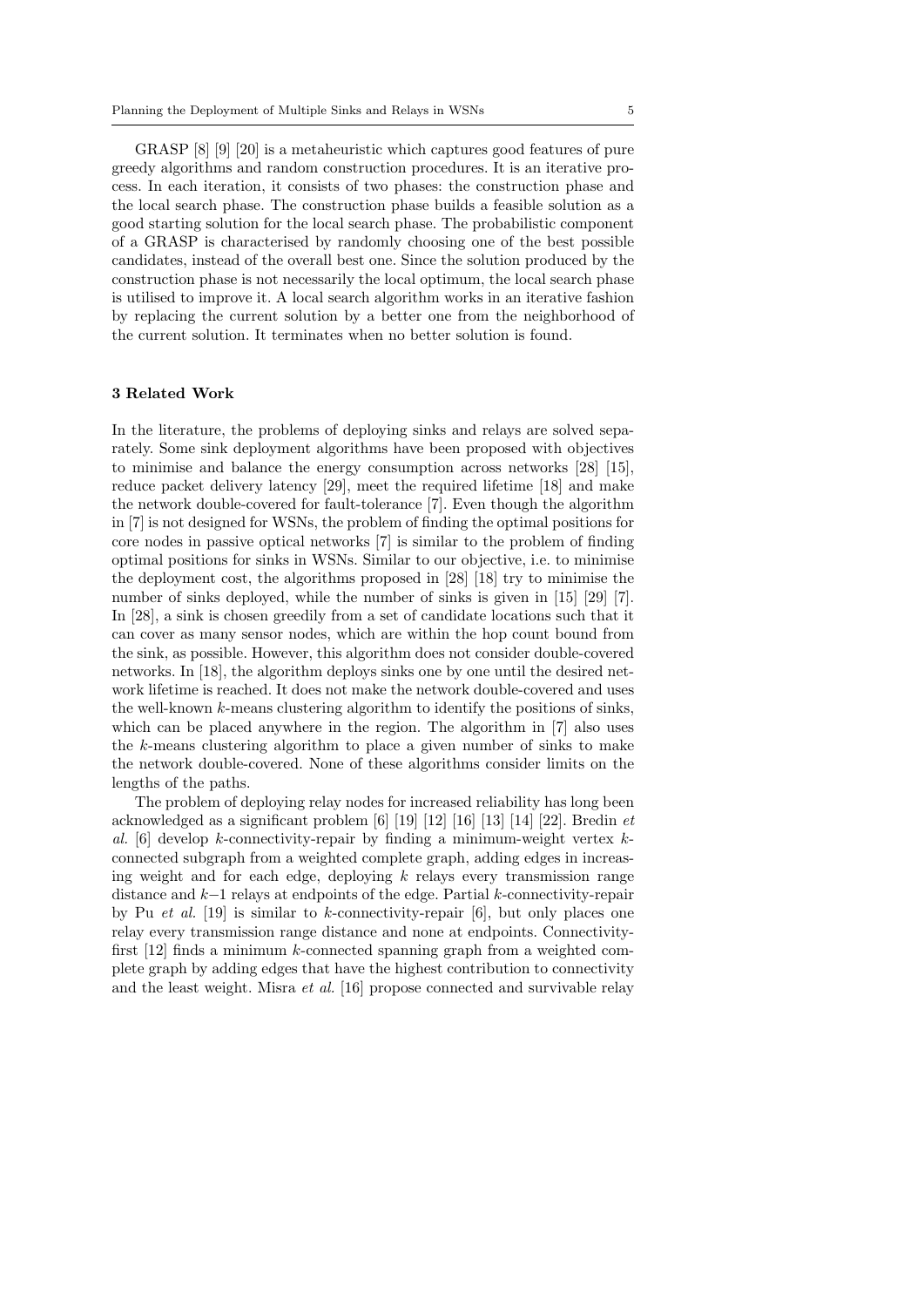GRASP [8] [9] [20] is a metaheuristic which captures good features of pure greedy algorithms and random construction procedures. It is an iterative process. In each iteration, it consists of two phases: the construction phase and the local search phase. The construction phase builds a feasible solution as a good starting solution for the local search phase. The probabilistic component of a GRASP is characterised by randomly choosing one of the best possible candidates, instead of the overall best one. Since the solution produced by the construction phase is not necessarily the local optimum, the local search phase is utilised to improve it. A local search algorithm works in an iterative fashion by replacing the current solution by a better one from the neighborhood of the current solution. It terminates when no better solution is found.

#### 3 Related Work

In the literature, the problems of deploying sinks and relays are solved separately. Some sink deployment algorithms have been proposed with objectives to minimise and balance the energy consumption across networks [28] [15], reduce packet delivery latency [29], meet the required lifetime [18] and make the network double-covered for fault-tolerance [7]. Even though the algorithm in [7] is not designed for WSNs, the problem of finding the optimal positions for core nodes in passive optical networks [7] is similar to the problem of finding optimal positions for sinks in WSNs. Similar to our objective, i.e. to minimise the deployment cost, the algorithms proposed in [28] [18] try to minimise the number of sinks deployed, while the number of sinks is given in [15] [29] [7]. In [28], a sink is chosen greedily from a set of candidate locations such that it can cover as many sensor nodes, which are within the hop count bound from the sink, as possible. However, this algorithm does not consider double-covered networks. In [18], the algorithm deploys sinks one by one until the desired network lifetime is reached. It does not make the network double-covered and uses the well-known  $k$ -means clustering algorithm to identify the positions of sinks, which can be placed anywhere in the region. The algorithm in [7] also uses the k-means clustering algorithm to place a given number of sinks to make the network double-covered. None of these algorithms consider limits on the lengths of the paths.

The problem of deploying relay nodes for increased reliability has long been acknowledged as a significant problem [6] [19] [12] [16] [13] [14] [22]. Bredin et al. [6] develop k-connectivity-repair by finding a minimum-weight vertex  $k$ connected subgraph from a weighted complete graph, adding edges in increasing weight and for each edge, deploying  $k$  relays every transmission range distance and k−1 relays at endpoints of the edge. Partial k-connectivity-repair by Pu et al. [19] is similar to k-connectivity-repair  $[6]$ , but only places one relay every transmission range distance and none at endpoints. Connectivityfirst  $[12]$  finds a minimum k-connected spanning graph from a weighted complete graph by adding edges that have the highest contribution to connectivity and the least weight. Misra et al. [16] propose connected and survivable relay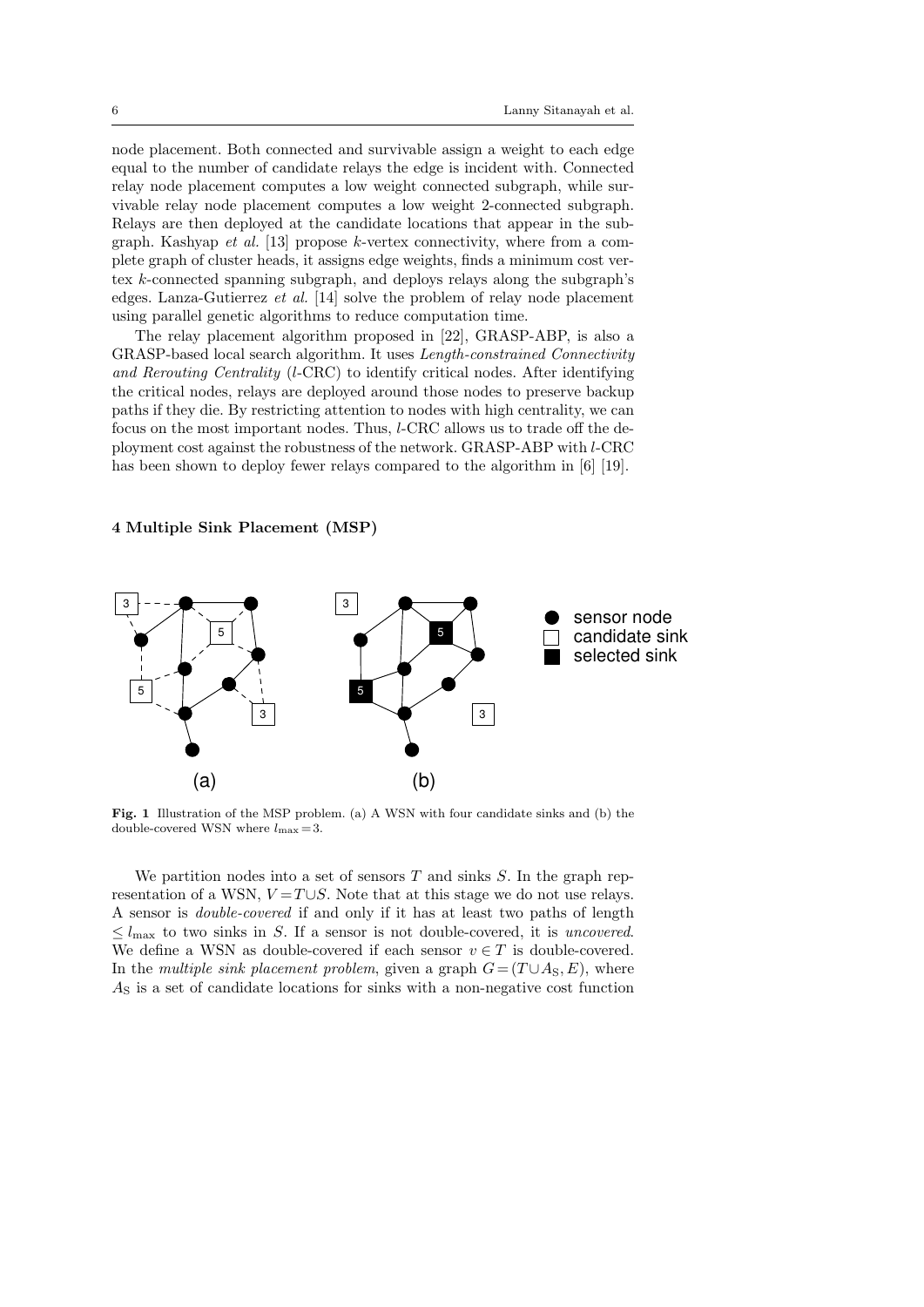node placement. Both connected and survivable assign a weight to each edge equal to the number of candidate relays the edge is incident with. Connected relay node placement computes a low weight connected subgraph, while survivable relay node placement computes a low weight 2-connected subgraph. Relays are then deployed at the candidate locations that appear in the subgraph. Kashyap et al. [13] propose k-vertex connectivity, where from a complete graph of cluster heads, it assigns edge weights, finds a minimum cost vertex k-connected spanning subgraph, and deploys relays along the subgraph's edges. Lanza-Gutierrez et al. [14] solve the problem of relay node placement using parallel genetic algorithms to reduce computation time.

The relay placement algorithm proposed in [22], GRASP-ABP, is also a GRASP-based local search algorithm. It uses Length-constrained Connectivity and Rerouting Centrality (l-CRC) to identify critical nodes. After identifying the critical nodes, relays are deployed around those nodes to preserve backup paths if they die. By restricting attention to nodes with high centrality, we can focus on the most important nodes. Thus, l-CRC allows us to trade off the deployment cost against the robustness of the network. GRASP-ABP with l-CRC has been shown to deploy fewer relays compared to the algorithm in [6] [19].

#### 4 Multiple Sink Placement (MSP)



Fig. 1 Illustration of the MSP problem. (a) A WSN with four candidate sinks and (b) the double-covered WSN where  $l_{\text{max}} = 3$ .

We partition nodes into a set of sensors  $T$  and sinks  $S$ . In the graph representation of a WSN,  $V = T \cup S$ . Note that at this stage we do not use relays. A sensor is double-covered if and only if it has at least two paths of length  $\leq l_{\text{max}}$  to two sinks in S. If a sensor is not double-covered, it is *uncovered.* We define a WSN as double-covered if each sensor  $v \in T$  is double-covered. In the multiple sink placement problem, given a graph  $G = (T \cup A_S, E)$ , where  $A_{\rm S}$  is a set of candidate locations for sinks with a non-negative cost function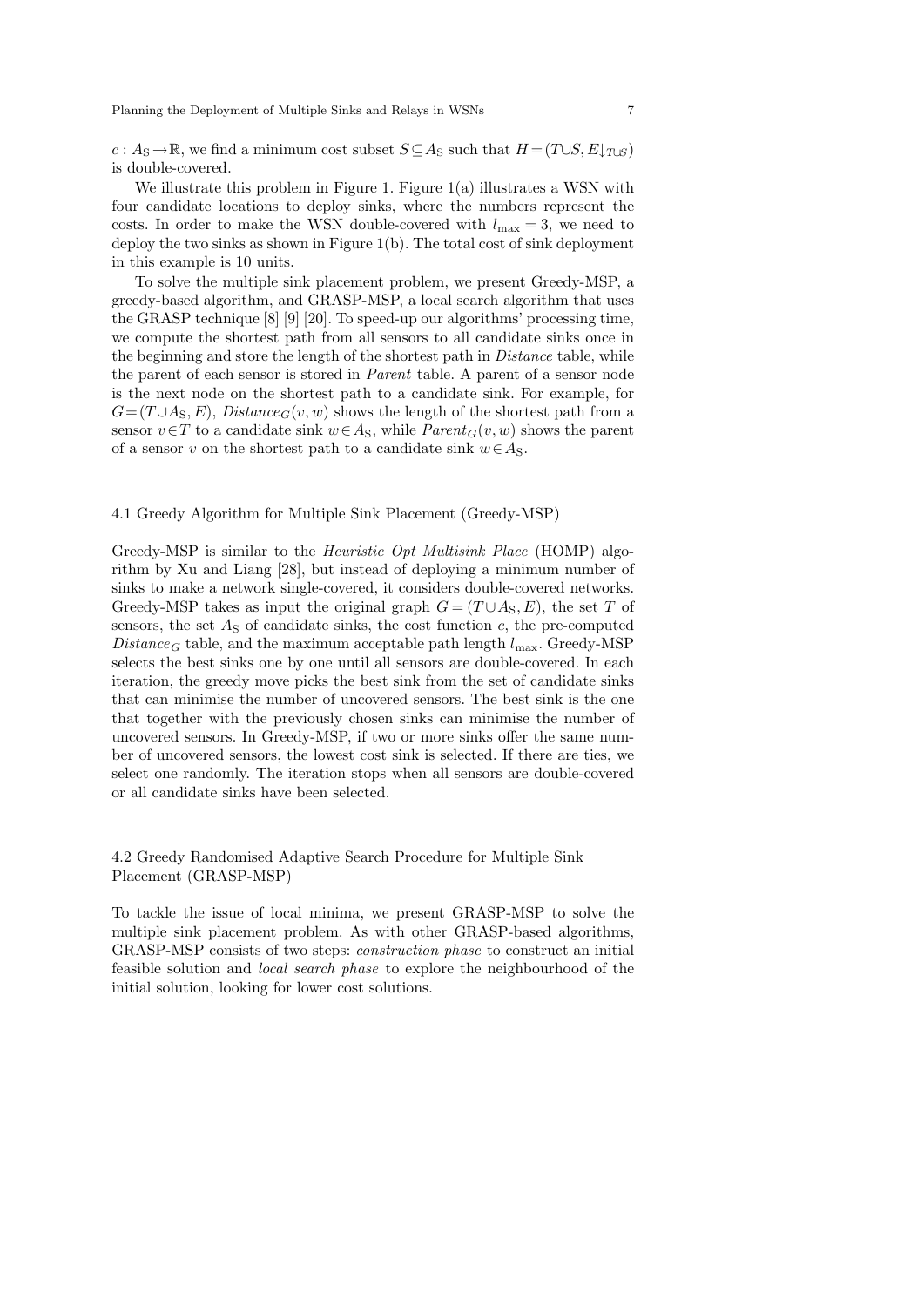$c: A_S \to \mathbb{R}$ , we find a minimum cost subset  $S \subseteq A_S$  such that  $H = (T \cup S, E \downarrow_{T \cup S})$ is double-covered.

We illustrate this problem in Figure 1. Figure  $1(a)$  illustrates a WSN with four candidate locations to deploy sinks, where the numbers represent the costs. In order to make the WSN double-covered with  $l_{\text{max}} = 3$ , we need to deploy the two sinks as shown in Figure  $1(b)$ . The total cost of sink deployment in this example is 10 units.

To solve the multiple sink placement problem, we present Greedy-MSP, a greedy-based algorithm, and GRASP-MSP, a local search algorithm that uses the GRASP technique [8] [9] [20]. To speed-up our algorithms' processing time, we compute the shortest path from all sensors to all candidate sinks once in the beginning and store the length of the shortest path in Distance table, while the parent of each sensor is stored in Parent table. A parent of a sensor node is the next node on the shortest path to a candidate sink. For example, for  $G = (T \cup A_S, E)$ , Distance  $G(v, w)$  shows the length of the shortest path from a sensor  $v \in T$  to a candidate sink  $w \in A_S$ , while  $Parent_G(v, w)$  shows the parent of a sensor v on the shortest path to a candidate sink  $w \in A_S$ .

## 4.1 Greedy Algorithm for Multiple Sink Placement (Greedy-MSP)

Greedy-MSP is similar to the Heuristic Opt Multisink Place (HOMP) algorithm by Xu and Liang [28], but instead of deploying a minimum number of sinks to make a network single-covered, it considers double-covered networks. Greedy-MSP takes as input the original graph  $G = (T \cup A_S, E)$ , the set T of sensors, the set  $A_{\rm S}$  of candidate sinks, the cost function c, the pre-computed  $Distance_G$  table, and the maximum acceptable path length  $l_{\text{max}}$ . Greedy-MSP selects the best sinks one by one until all sensors are double-covered. In each iteration, the greedy move picks the best sink from the set of candidate sinks that can minimise the number of uncovered sensors. The best sink is the one that together with the previously chosen sinks can minimise the number of uncovered sensors. In Greedy-MSP, if two or more sinks offer the same number of uncovered sensors, the lowest cost sink is selected. If there are ties, we select one randomly. The iteration stops when all sensors are double-covered or all candidate sinks have been selected.

# 4.2 Greedy Randomised Adaptive Search Procedure for Multiple Sink Placement (GRASP-MSP)

To tackle the issue of local minima, we present GRASP-MSP to solve the multiple sink placement problem. As with other GRASP-based algorithms, GRASP-MSP consists of two steps: construction phase to construct an initial feasible solution and local search phase to explore the neighbourhood of the initial solution, looking for lower cost solutions.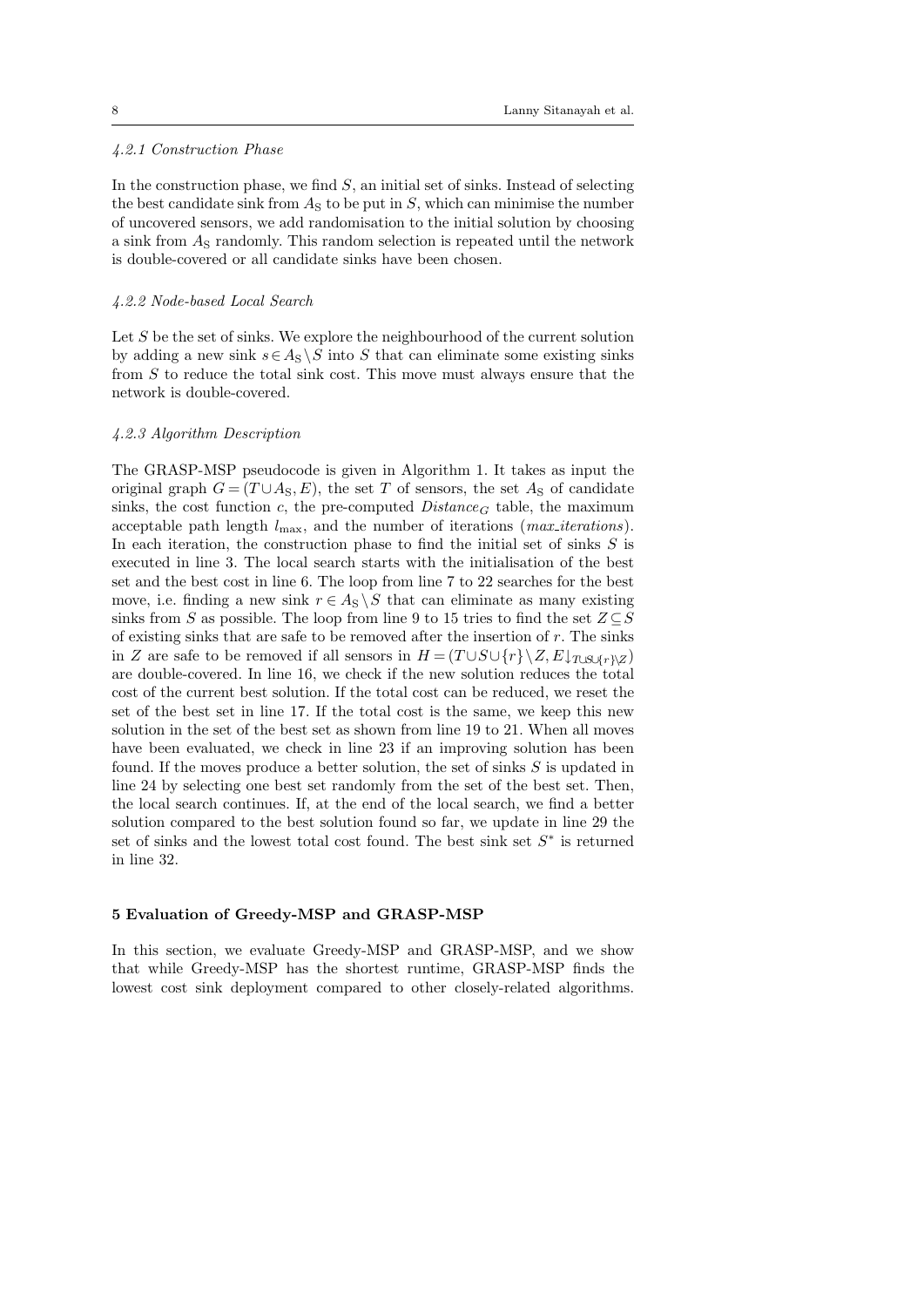## 4.2.1 Construction Phase

In the construction phase, we find  $S$ , an initial set of sinks. Instead of selecting the best candidate sink from  $A<sub>S</sub>$  to be put in S, which can minimise the number of uncovered sensors, we add randomisation to the initial solution by choosing a sink from  $A<sub>S</sub>$  randomly. This random selection is repeated until the network is double-covered or all candidate sinks have been chosen.

## 4.2.2 Node-based Local Search

Let  $S$  be the set of sinks. We explore the neighbourhood of the current solution by adding a new sink  $s \in A_S \backslash S$  into S that can eliminate some existing sinks from S to reduce the total sink cost. This move must always ensure that the network is double-covered.

#### 4.2.3 Algorithm Description

The GRASP-MSP pseudocode is given in Algorithm 1. It takes as input the original graph  $G = (T \cup A_S, E)$ , the set T of sensors, the set  $A_S$  of candidate sinks, the cost function c, the pre-computed  $Distance_G$  table, the maximum acceptable path length  $l_{\text{max}}$ , and the number of iterations (*max iterations*). In each iteration, the construction phase to find the initial set of sinks  $S$  is executed in line 3. The local search starts with the initialisation of the best set and the best cost in line 6. The loop from line 7 to 22 searches for the best move, i.e. finding a new sink  $r \in A_S \backslash S$  that can eliminate as many existing sinks from S as possible. The loop from line 9 to 15 tries to find the set  $Z \subseteq S$ of existing sinks that are safe to be removed after the insertion of  $r$ . The sinks in Z are safe to be removed if all sensors in  $H = (T \cup S \cup \{r\} \setminus Z, E \downarrow_{T \cup S \cup \{r\} \setminus Z})$ are double-covered. In line 16, we check if the new solution reduces the total cost of the current best solution. If the total cost can be reduced, we reset the set of the best set in line 17. If the total cost is the same, we keep this new solution in the set of the best set as shown from line 19 to 21. When all moves have been evaluated, we check in line 23 if an improving solution has been found. If the moves produce a better solution, the set of sinks S is updated in line 24 by selecting one best set randomly from the set of the best set. Then, the local search continues. If, at the end of the local search, we find a better solution compared to the best solution found so far, we update in line 29 the set of sinks and the lowest total cost found. The best sink set  $S^*$  is returned in line 32.

#### 5 Evaluation of Greedy-MSP and GRASP-MSP

In this section, we evaluate Greedy-MSP and GRASP-MSP, and we show that while Greedy-MSP has the shortest runtime, GRASP-MSP finds the lowest cost sink deployment compared to other closely-related algorithms.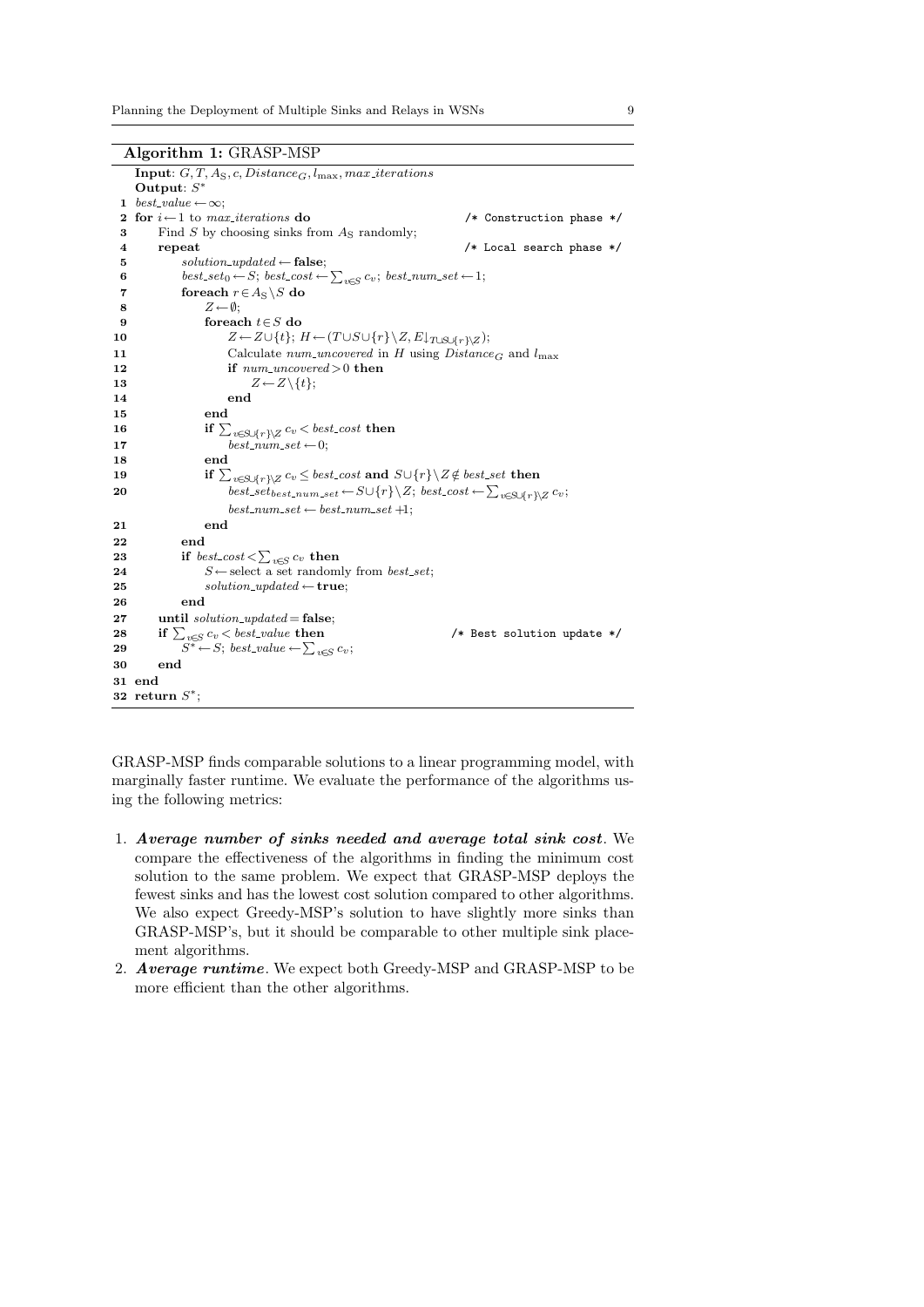```
Algorithm 1: GRASP-MSP
    \overline{\text{Input: } G, T, A_{S}, c, Distance_G, l_{\max}, max\_iterations}Output: S
∗
 1 best_value \leftarrow \infty;
 2 for i \leftarrow 1 to max iterations do /* Construction phase */
 3 Find S by choosing sinks from A_S randomly;<br>4 repeat
 4 repeat \rightarrow 1 repeat \rightarrow 1 repeat \rightarrow 1 repeat \rightarrow 5 \rightarrow 1 solution_updated \leftarrow false;
              solution\_updated \leftarrow false;6 best_set<sub>0</sub> \leftarrow S; best_cost \leftarrow \sum_{v \in S} c_v; best_num_set \leftarrow 1;
 7 for each r \in A_S \backslash S do
 8 Z \leftarrow \emptyset:
 9 foreach t∈S do
10 Z \leftarrow Z \cup \{t\}; H \leftarrow (T \cup S \cup \{r\} \setminus Z, E \downarrow_{T \cup S \cup \{r\} \setminus Z});11 Calculate num uncovered in H using Distance_G and l_{\text{max}}<br>12 if num uncovered > 0 then
                        if num\_uncovered > 0 then
13 Z \leftarrow Z \setminus \{t\};14 end
15 end
16 if \sum_{v \in \mathcal{S} \cup \{r\} \setminus Z} c_v < best\_cost then
17 best_num_set \leftarrow 0;
18 end
{\bf 19} \qquad \qquad \text{if $\sum_{v\in \mathrm{S}\cup \{r\}\setminus Z$ $c_v\leq $best\_cost$ and } $S\cup \{r\}\setminus Z\notin {best\_set$ then}20 best_set<sub>best_num_set</sub> ← S\cup{r}\Z; best_cost ← \sum_{v \in S \cup \{r\} \setminus Z} c_v;
                        best\_num\_set \leftarrow best\_num\_set + 1;21 end
22 end
23 if \mathit{best\_cost} \lt \sum_{v \in S} c_v then
24 S← select a set randomly from best_set;
25 solution_updated ← true;
26 end
27 until solution_updated = false;
\begin{array}{ccc} {\bf 28}& &{\bf if}\ \sum_{v\in S}\ {\bf 29}& &S^*\ Kend{array}/* Best solution update */*\leftarrowS; best_value ← \sum_{v \in S} c_v;
30 end
31 end
32 return S^*;
```
GRASP-MSP finds comparable solutions to a linear programming model, with marginally faster runtime. We evaluate the performance of the algorithms using the following metrics:

- 1. Average number of sinks needed and average total sink cost. We compare the effectiveness of the algorithms in finding the minimum cost solution to the same problem. We expect that GRASP-MSP deploys the fewest sinks and has the lowest cost solution compared to other algorithms. We also expect Greedy-MSP's solution to have slightly more sinks than GRASP-MSP's, but it should be comparable to other multiple sink placement algorithms.
- 2. Average runtime. We expect both Greedy-MSP and GRASP-MSP to be more efficient than the other algorithms.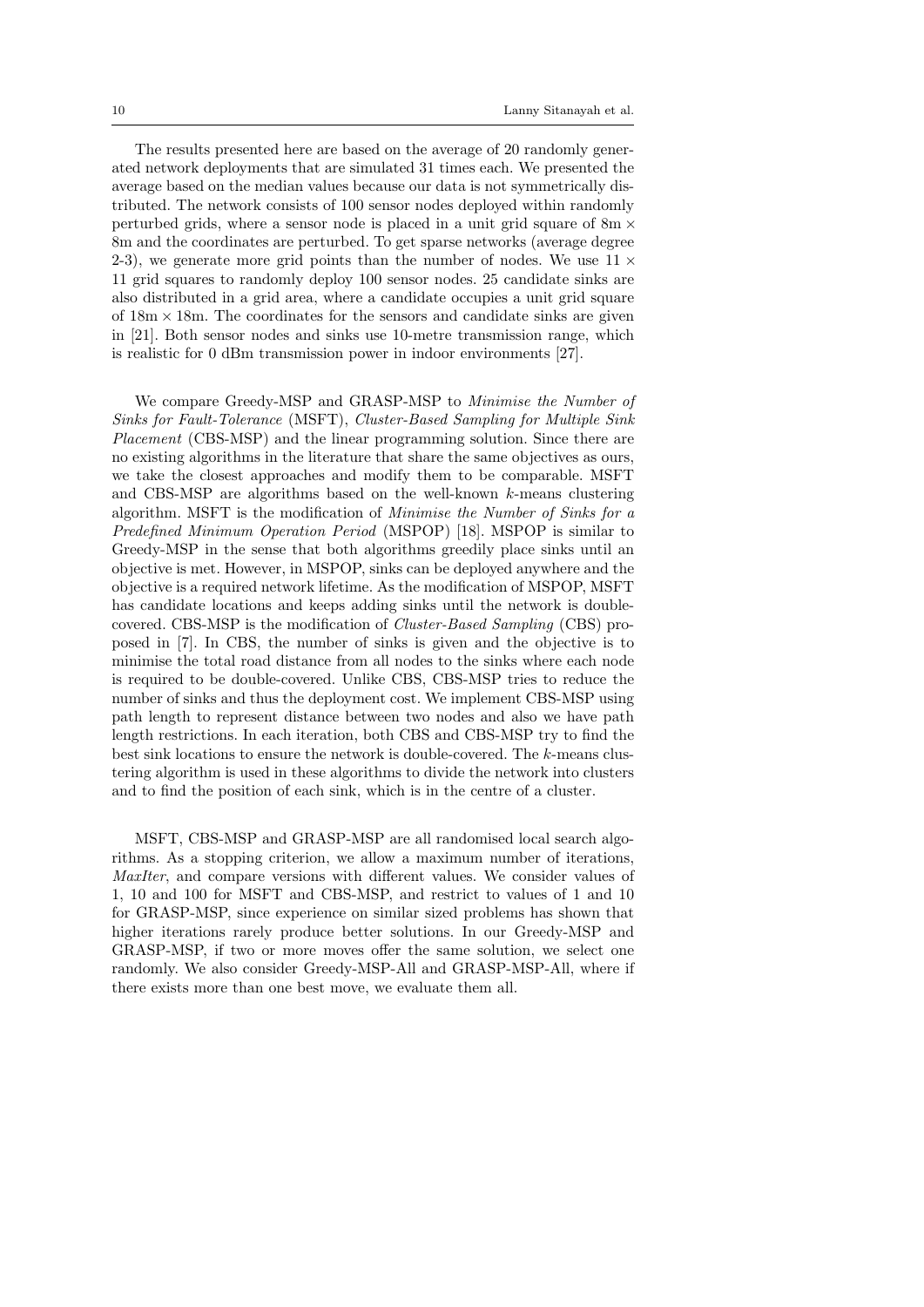The results presented here are based on the average of 20 randomly generated network deployments that are simulated 31 times each. We presented the average based on the median values because our data is not symmetrically distributed. The network consists of 100 sensor nodes deployed within randomly perturbed grids, where a sensor node is placed in a unit grid square of  $8m \times$ 8m and the coordinates are perturbed. To get sparse networks (average degree 2-3), we generate more grid points than the number of nodes. We use  $11 \times$ 11 grid squares to randomly deploy 100 sensor nodes. 25 candidate sinks are also distributed in a grid area, where a candidate occupies a unit grid square of  $18m \times 18m$ . The coordinates for the sensors and candidate sinks are given in [21]. Both sensor nodes and sinks use 10-metre transmission range, which is realistic for 0 dBm transmission power in indoor environments [27].

We compare Greedy-MSP and GRASP-MSP to Minimise the Number of Sinks for Fault-Tolerance (MSFT), Cluster-Based Sampling for Multiple Sink Placement (CBS-MSP) and the linear programming solution. Since there are no existing algorithms in the literature that share the same objectives as ours, we take the closest approaches and modify them to be comparable. MSFT and CBS-MSP are algorithms based on the well-known  $k$ -means clustering algorithm. MSFT is the modification of Minimise the Number of Sinks for a Predefined Minimum Operation Period (MSPOP) [18]. MSPOP is similar to Greedy-MSP in the sense that both algorithms greedily place sinks until an objective is met. However, in MSPOP, sinks can be deployed anywhere and the objective is a required network lifetime. As the modification of MSPOP, MSFT has candidate locations and keeps adding sinks until the network is doublecovered. CBS-MSP is the modification of Cluster-Based Sampling (CBS) proposed in [7]. In CBS, the number of sinks is given and the objective is to minimise the total road distance from all nodes to the sinks where each node is required to be double-covered. Unlike CBS, CBS-MSP tries to reduce the number of sinks and thus the deployment cost. We implement CBS-MSP using path length to represent distance between two nodes and also we have path length restrictions. In each iteration, both CBS and CBS-MSP try to find the best sink locations to ensure the network is double-covered. The k-means clustering algorithm is used in these algorithms to divide the network into clusters and to find the position of each sink, which is in the centre of a cluster.

MSFT, CBS-MSP and GRASP-MSP are all randomised local search algorithms. As a stopping criterion, we allow a maximum number of iterations, MaxIter, and compare versions with different values. We consider values of 1, 10 and 100 for MSFT and CBS-MSP, and restrict to values of 1 and 10 for GRASP-MSP, since experience on similar sized problems has shown that higher iterations rarely produce better solutions. In our Greedy-MSP and GRASP-MSP, if two or more moves offer the same solution, we select one randomly. We also consider Greedy-MSP-All and GRASP-MSP-All, where if there exists more than one best move, we evaluate them all.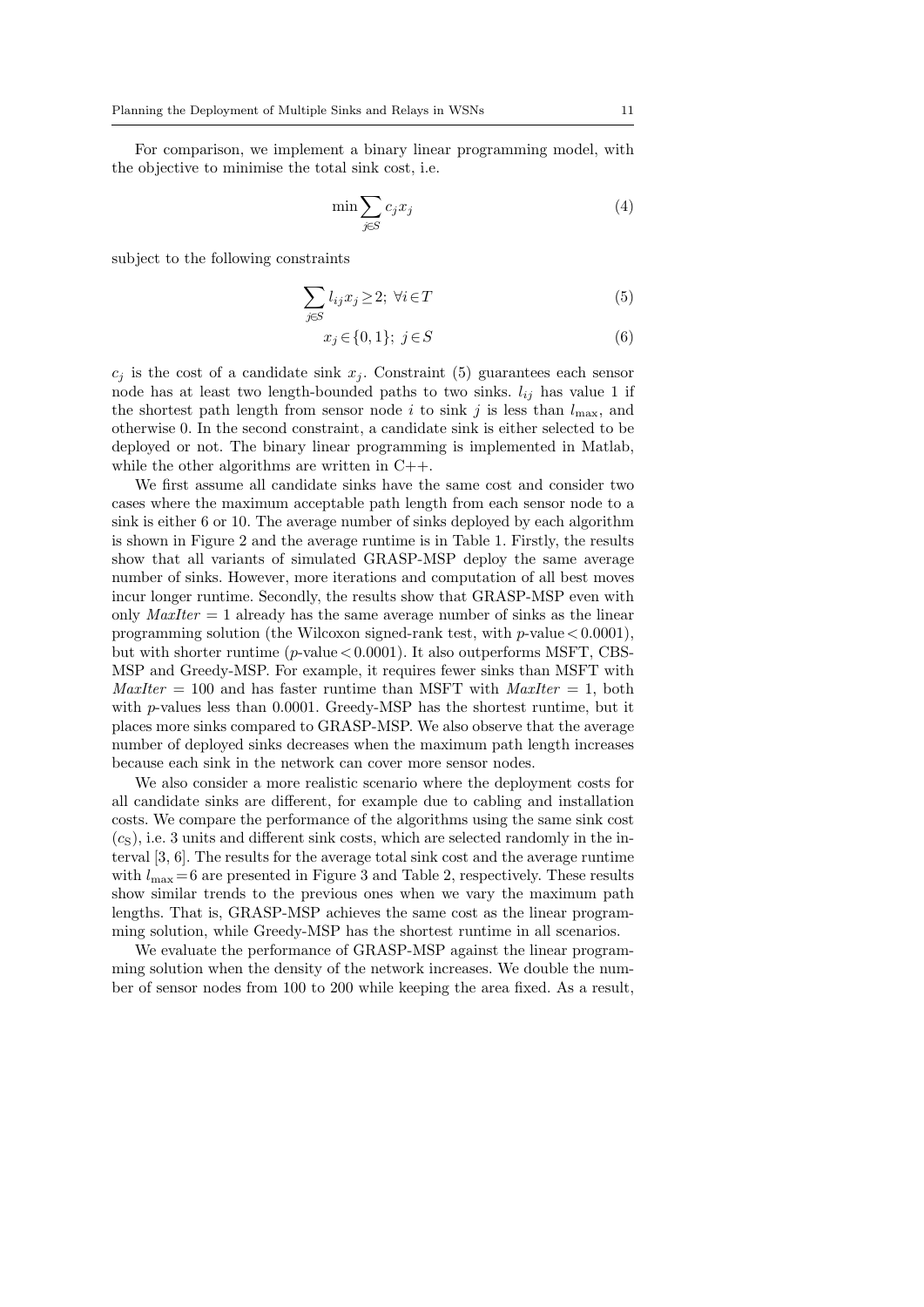For comparison, we implement a binary linear programming model, with the objective to minimise the total sink cost, i.e.

$$
\min \sum_{j \in S} c_j x_j \tag{4}
$$

subject to the following constraints

$$
\sum_{j \in S} l_{ij} x_j \ge 2; \ \forall i \in T
$$
 (5)

$$
x_j \in \{0, 1\}; \ j \in S \tag{6}
$$

 $c_j$  is the cost of a candidate sink  $x_j$ . Constraint (5) guarantees each sensor node has at least two length-bounded paths to two sinks.  $l_{ij}$  has value 1 if the shortest path length from sensor node i to sink j is less than  $l_{\text{max}}$ , and otherwise 0. In the second constraint, a candidate sink is either selected to be deployed or not. The binary linear programming is implemented in Matlab, while the other algorithms are written in  $C++$ .

We first assume all candidate sinks have the same cost and consider two cases where the maximum acceptable path length from each sensor node to a sink is either 6 or 10. The average number of sinks deployed by each algorithm is shown in Figure 2 and the average runtime is in Table 1. Firstly, the results show that all variants of simulated GRASP-MSP deploy the same average number of sinks. However, more iterations and computation of all best moves incur longer runtime. Secondly, the results show that GRASP-MSP even with only  $MaxIter = 1$  already has the same average number of sinks as the linear programming solution (the Wilcoxon signed-rank test, with  $p$ -value < 0.0001), but with shorter runtime ( $p$ -value  $< 0.0001$ ). It also outperforms MSFT, CBS-MSP and Greedy-MSP. For example, it requires fewer sinks than MSFT with  $MaxIter = 100$  and has faster runtime than MSFT with  $MaxIter = 1$ , both with p-values less than 0.0001. Greedy-MSP has the shortest runtime, but it places more sinks compared to GRASP-MSP. We also observe that the average number of deployed sinks decreases when the maximum path length increases because each sink in the network can cover more sensor nodes.

We also consider a more realistic scenario where the deployment costs for all candidate sinks are different, for example due to cabling and installation costs. We compare the performance of the algorithms using the same sink cost  $(c<sub>S</sub>)$ , i.e. 3 units and different sink costs, which are selected randomly in the interval [3, 6]. The results for the average total sink cost and the average runtime with  $l_{\text{max}} = 6$  are presented in Figure 3 and Table 2, respectively. These results show similar trends to the previous ones when we vary the maximum path lengths. That is, GRASP-MSP achieves the same cost as the linear programming solution, while Greedy-MSP has the shortest runtime in all scenarios.

We evaluate the performance of GRASP-MSP against the linear programming solution when the density of the network increases. We double the number of sensor nodes from 100 to 200 while keeping the area fixed. As a result,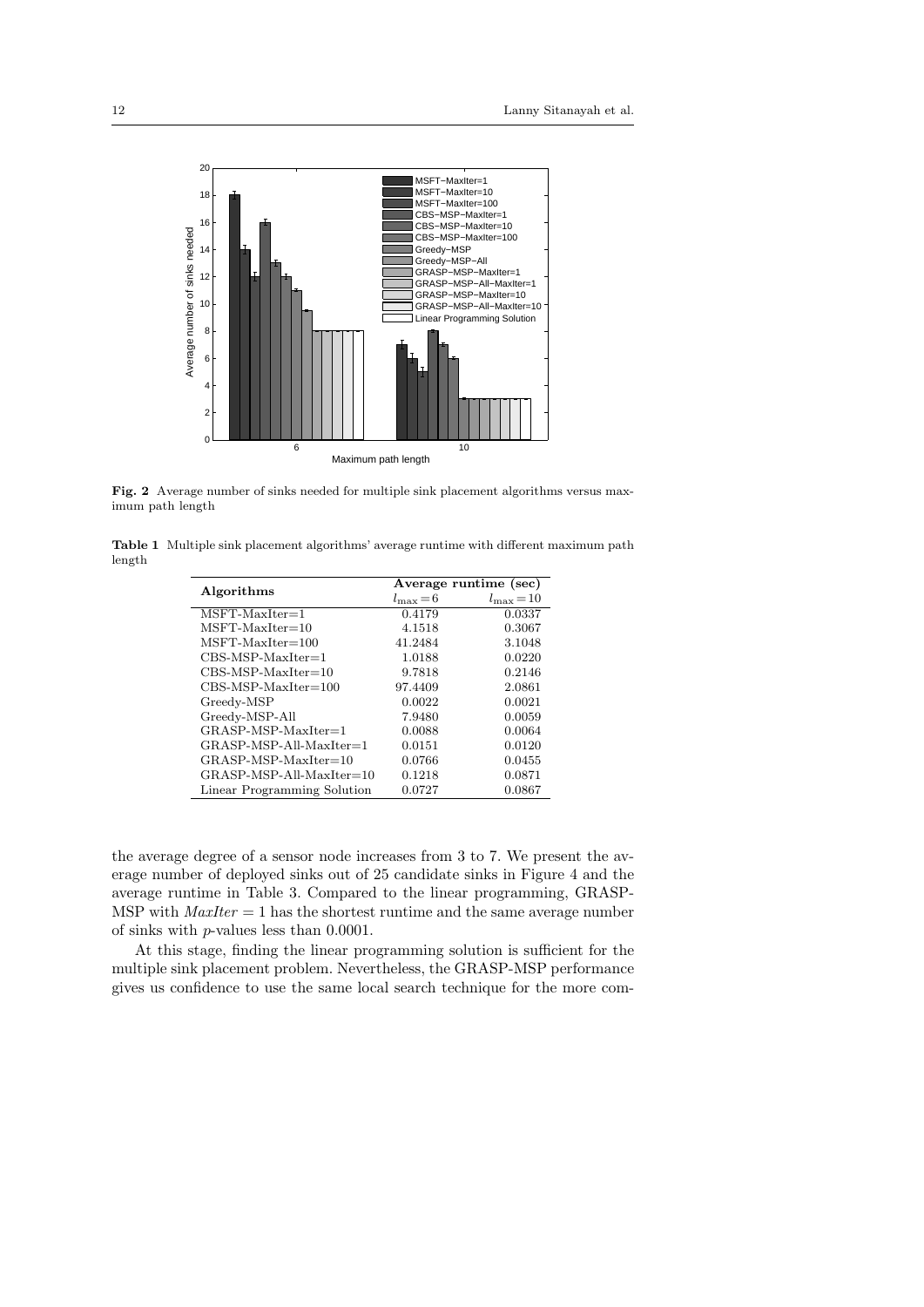

Fig. 2 Average number of sinks needed for multiple sink placement algorithms versus maximum path length

Table 1 Multiple sink placement algorithms' average runtime with different maximum path length

| Algorithms                        | Average runtime (sec) |                  |  |
|-----------------------------------|-----------------------|------------------|--|
|                                   | $l_{\rm max} = 6$     | $l_{\rm max}=10$ |  |
| $MST-MaxIter=1$                   | 0.4179                | 0.0337           |  |
| $MSFT-MaxIter=10$                 | 4.1518                | 0.3067           |  |
| $MSFT-MaxIter=100$                | 41.2484               | 3.1048           |  |
| $CRS\text{-}MSP\text{-}MaxIter=1$ | 1.0188                | 0.0220           |  |
| $CBS-MSP-MaxIter=10$              | 9.7818                | 0.2146           |  |
| $CBS-MSP-MaxIter=100$             | 97.4409               | 2.0861           |  |
| Greedy-MSP                        | 0.0022                | 0.0021           |  |
| Greedy-MSP-All                    | 7.9480                | 0.0059           |  |
| $GRASP-MSP-MaxIter=1$             | 0.0088                | 0.0064           |  |
| $GRASP-MSP-All-MaxIter=1$         | 0.0151                | 0.0120           |  |
| GRASP-MSP-MaxIter=10              | 0.0766                | 0.0455           |  |
| GRASP-MSP-All-MaxIter=10          | 0.1218                | 0.0871           |  |
| Linear Programming Solution       | 0.0727                | 0.0867           |  |

the average degree of a sensor node increases from 3 to 7. We present the average number of deployed sinks out of 25 candidate sinks in Figure 4 and the average runtime in Table 3. Compared to the linear programming, GRASP-MSP with  $MaxIter = 1$  has the shortest runtime and the same average number of sinks with p-values less than 0.0001.

At this stage, finding the linear programming solution is sufficient for the multiple sink placement problem. Nevertheless, the GRASP-MSP performance gives us confidence to use the same local search technique for the more com-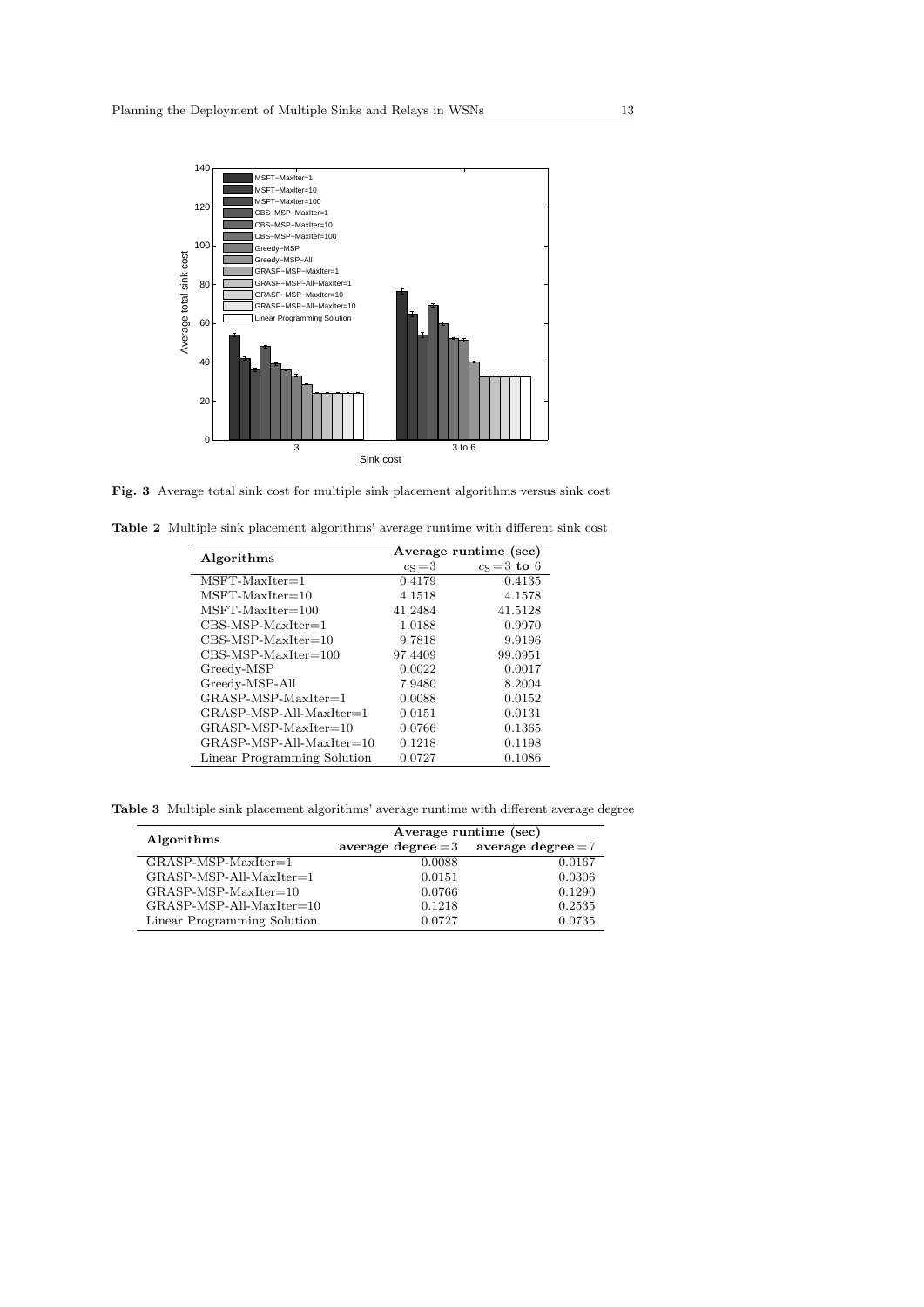

Fig. 3 Average total sink cost for multiple sink placement algorithms versus sink cost

|  | <b>Table 2</b> Multiple sink placement algorithms' average runtime with different sink cost |  |  |  |  |  |  |  |  |
|--|---------------------------------------------------------------------------------------------|--|--|--|--|--|--|--|--|
|--|---------------------------------------------------------------------------------------------|--|--|--|--|--|--|--|--|

| Algorithms                         | Average runtime (sec) |                |
|------------------------------------|-----------------------|----------------|
|                                    | $c_S = 3$             | $c_s = 3$ to 6 |
| $MST-MaxIter=1$                    | 0.4179                | 0.4135         |
| $MST-MaxIter=10$                   | 4.1518                | 4.1578         |
| $MSFT-MaxIter=100$                 | 41.2484               | 41.5128        |
| $CRS\text{-}MSP\text{-}MaxIter=1$  | 1.0188                | 0.9970         |
| $CRS\text{-}MSP\text{-}MaxIter=10$ | 9.7818                | 9.9196         |
| $CBS-MSP-MaxIter=100$              | 97.4409               | 99.0951        |
| Greedy-MSP                         | 0.0022                | 0.0017         |
| Greedy-MSP-All                     | 7.9480                | 8.2004         |
| $GRASP-MSP-MaxIter=1$              | 0.0088                | 0.0152         |
| $GRASP-MSP-All-MaxIter=1$          | 0.0151                | 0.0131         |
| $GRASP-MSP-MaxIter=10$             | 0.0766                | 0.1365         |
| $GRASP-MSP-All-MaxIter=10$         | 0.1218                | 0.1198         |
| Linear Programming Solution        | 0.0727                | 0.1086         |

Table 3 Multiple sink placement algorithms' average runtime with different average degree

|                             | Average runtime (sec) |                                         |  |
|-----------------------------|-----------------------|-----------------------------------------|--|
| Algorithms                  |                       | average degree $=3$ average degree $=7$ |  |
| $GRASP-MSP-MaxIter=1$       | 0.0088                | 0.0167                                  |  |
| $GRASP-MSP-All-MaxIter=1$   | 0.0151                | 0.0306                                  |  |
| $GRASP-MSP-MaxIter=10$      | 0.0766                | 0.1290                                  |  |
| GRASP-MSP-All-MaxIter=10    | 0.1218                | 0.2535                                  |  |
| Linear Programming Solution | 0.0727                | 0.0735                                  |  |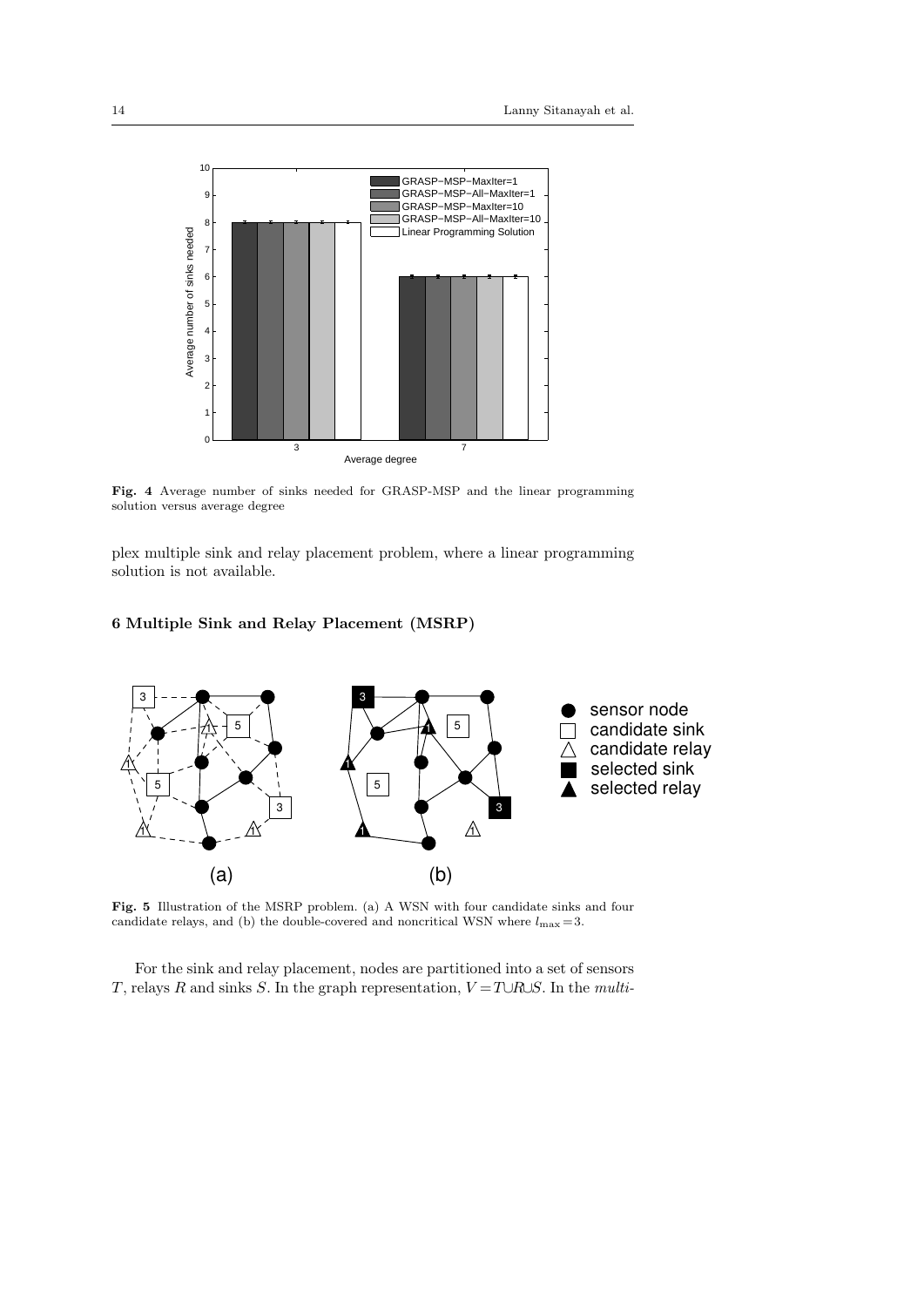

Fig. 4 Average number of sinks needed for GRASP-MSP and the linear programming solution versus average degree

plex multiple sink and relay placement problem, where a linear programming solution is not available.

# 6 Multiple Sink and Relay Placement (MSRP)



Fig. 5 Illustration of the MSRP problem. (a) A WSN with four candidate sinks and four candidate relays, and (b) the double-covered and noncritical WSN where  $l_{\text{max}} = 3$ .

For the sink and relay placement, nodes are partitioned into a set of sensors T, relays R and sinks S. In the graph representation,  $V = T \cup R \cup S$ . In the multi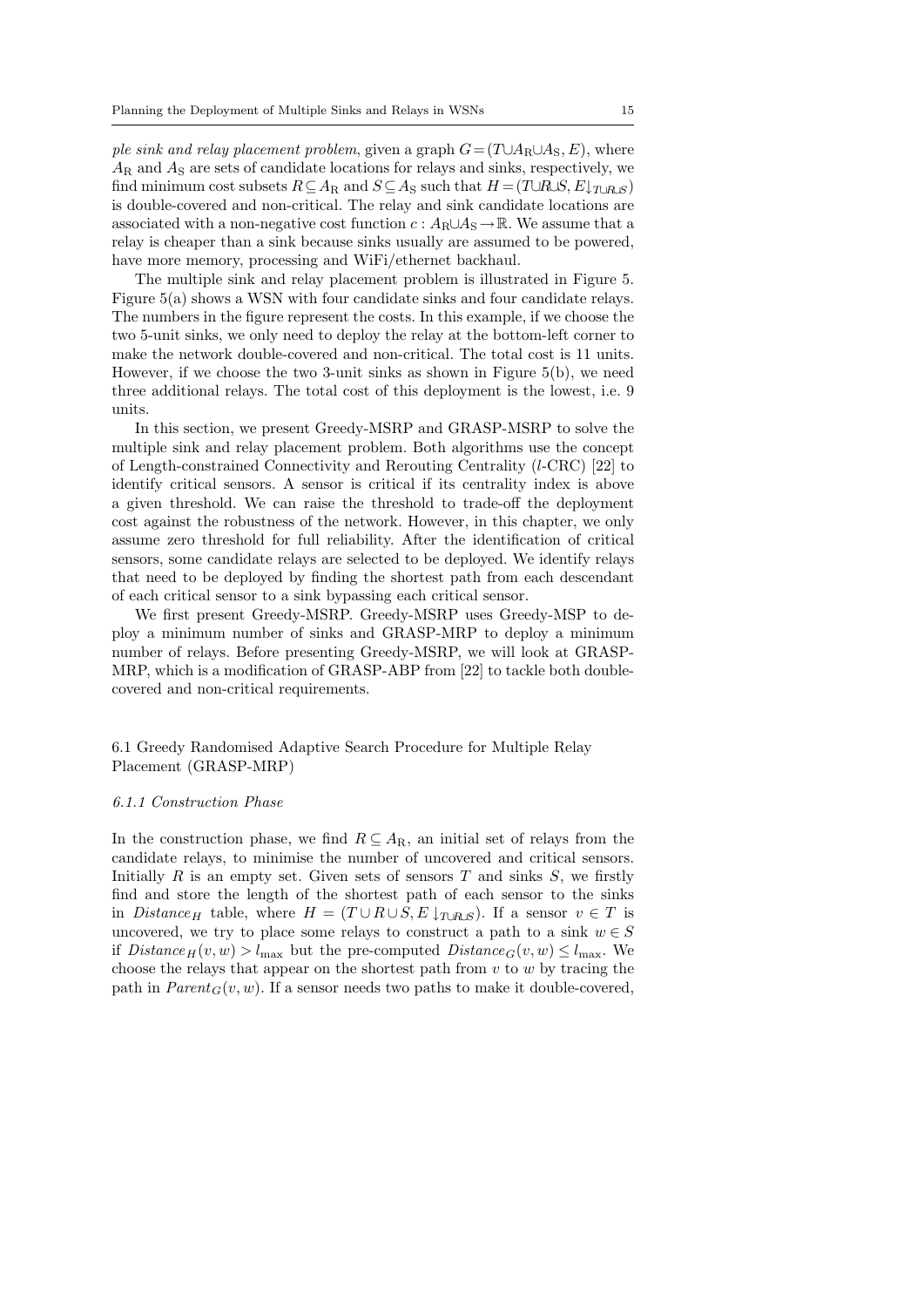ple sink and relay placement problem, given a graph  $G = (T \cup A_R \cup A_S, E)$ , where  $A_R$  and  $A_S$  are sets of candidate locations for relays and sinks, respectively, we find minimum cost subsets  $R \subseteq A_R$  and  $S \subseteq A_S$  such that  $H = (T \cup R \cup S, E \downarrow_{T \cup R \cup S})$ is double-covered and non-critical. The relay and sink candidate locations are associated with a non-negative cost function  $c : A_R \cup A_S \to \mathbb{R}$ . We assume that a relay is cheaper than a sink because sinks usually are assumed to be powered, have more memory, processing and WiFi/ethernet backhaul.

The multiple sink and relay placement problem is illustrated in Figure 5. Figure 5(a) shows a WSN with four candidate sinks and four candidate relays. The numbers in the figure represent the costs. In this example, if we choose the two 5-unit sinks, we only need to deploy the relay at the bottom-left corner to make the network double-covered and non-critical. The total cost is 11 units. However, if we choose the two 3-unit sinks as shown in Figure 5(b), we need three additional relays. The total cost of this deployment is the lowest, i.e. 9 units.

In this section, we present Greedy-MSRP and GRASP-MSRP to solve the multiple sink and relay placement problem. Both algorithms use the concept of Length-constrained Connectivity and Rerouting Centrality  $(l\text{-CRC})$  [22] to identify critical sensors. A sensor is critical if its centrality index is above a given threshold. We can raise the threshold to trade-off the deployment cost against the robustness of the network. However, in this chapter, we only assume zero threshold for full reliability. After the identification of critical sensors, some candidate relays are selected to be deployed. We identify relays that need to be deployed by finding the shortest path from each descendant of each critical sensor to a sink bypassing each critical sensor.

We first present Greedy-MSRP. Greedy-MSRP uses Greedy-MSP to deploy a minimum number of sinks and GRASP-MRP to deploy a minimum number of relays. Before presenting Greedy-MSRP, we will look at GRASP-MRP, which is a modification of GRASP-ABP from [22] to tackle both doublecovered and non-critical requirements.

6.1 Greedy Randomised Adaptive Search Procedure for Multiple Relay Placement (GRASP-MRP)

#### 6.1.1 Construction Phase

In the construction phase, we find  $R \subseteq A_{R}$ , an initial set of relays from the candidate relays, to minimise the number of uncovered and critical sensors. Initially R is an empty set. Given sets of sensors T and sinks  $S$ , we firstly find and store the length of the shortest path of each sensor to the sinks in Distance<sub>H</sub> table, where  $H = (T \cup R \cup S, E \downarrow_{\mathcal{T} \cup R \cup S})$ . If a sensor  $v \in T$  is uncovered, we try to place some relays to construct a path to a sink  $w \in S$ if  $Distance_H(v, w) > l_{\text{max}}$  but the pre-computed  $Distance_G(v, w) \leq l_{\text{max}}$ . We choose the relays that appear on the shortest path from  $v$  to  $w$  by tracing the path in  $Parent_G(v, w)$ . If a sensor needs two paths to make it double-covered,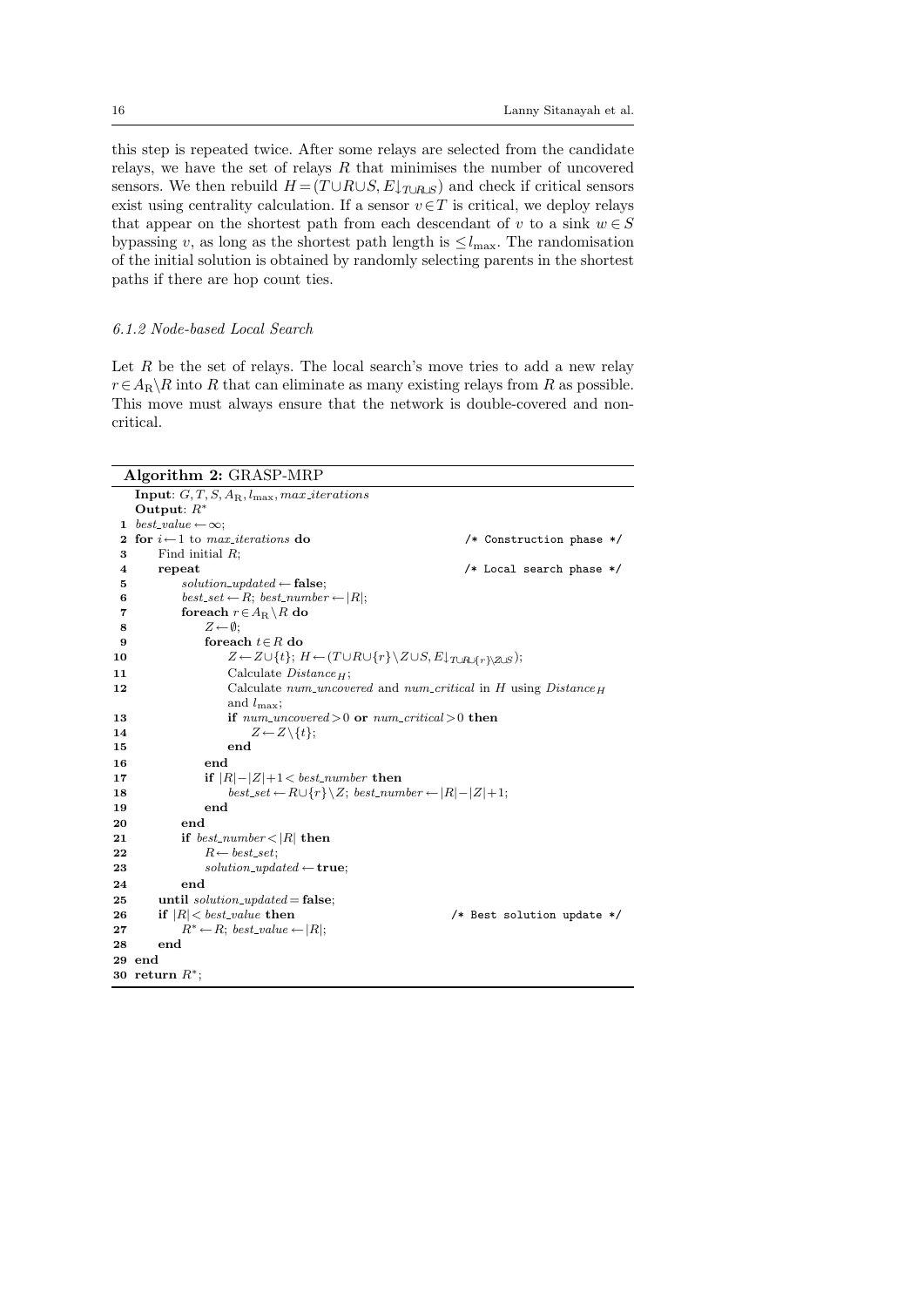this step is repeated twice. After some relays are selected from the candidate relays, we have the set of relays  $R$  that minimises the number of uncovered sensors. We then rebuild  $H = (T \cup R \cup S, E\downarrow_{T \cup R \cup S})$  and check if critical sensors exist using centrality calculation. If a sensor  $v \in T$  is critical, we deploy relays that appear on the shortest path from each descendant of  $v$  to a sink  $w \in S$ by passing v, as long as the shortest path length is  $\leq l_{\text{max}}$ . The randomisation of the initial solution is obtained by randomly selecting parents in the shortest paths if there are hop count ties.

#### 6.1.2 Node-based Local Search

Let  $R$  be the set of relays. The local search's move tries to add a new relay  $r \in A_{R} \backslash R$  into R that can eliminate as many existing relays from R as possible. This move must always ensure that the network is double-covered and noncritical.

|    | Algorithm 2: GRASP-MRP                                                                                                                               |                            |
|----|------------------------------------------------------------------------------------------------------------------------------------------------------|----------------------------|
|    | <b>Input</b> : $G, T, S, A_{R}, l_{\text{max}}, max\_iterations$                                                                                     |                            |
|    | Output: $R^*$                                                                                                                                        |                            |
|    | 1 best_value $\leftarrow \infty$ ;                                                                                                                   |                            |
|    | 2 for $i \leftarrow 1$ to max iterations do                                                                                                          | /* Construction phase */   |
| 3  | Find initial $R$ :                                                                                                                                   |                            |
| 4  | repeat                                                                                                                                               | /* Local search phase */   |
| 5  | solution_updated $\leftarrow$ false;                                                                                                                 |                            |
| 6  | $best_set \leftarrow R$ ; best_number $\leftarrow  R $ ;                                                                                             |                            |
| 7  | foreach $r \in A_{R} \backslash R$ do                                                                                                                |                            |
| 8  | $Z \leftarrow \emptyset$ ;                                                                                                                           |                            |
| 9  | for each $t \in R$ do                                                                                                                                |                            |
| 10 | $Z \leftarrow Z \cup \{t\}; H \leftarrow (T \cup R \cup \{r\} \setminus Z \cup S, E \downarrow_{\mathcal{T} \cup R \cup \{r\} \setminus Z \cup S});$ |                            |
| 11 | Calculate $Distance_H$ ;                                                                                                                             |                            |
| 12 | Calculate num_uncovered and num_critical in $H$ using $Distance_H$                                                                                   |                            |
|    | and $l_{\text{max}}$ ;                                                                                                                               |                            |
| 13 | if $num\_uncovered > 0$ or $num\_critical > 0$ then                                                                                                  |                            |
| 14 | $Z \leftarrow Z \setminus \{t\};$                                                                                                                    |                            |
| 15 | end                                                                                                                                                  |                            |
| 16 | end                                                                                                                                                  |                            |
| 17 | if $ R - Z +1$ < best_number then                                                                                                                    |                            |
| 18 | $best_set \leftarrow R \cup \{r\} \setminus Z$ ; $best_number \leftarrow  R  -  Z  + 1$ ;                                                            |                            |
| 19 | end                                                                                                                                                  |                            |
| 20 | end                                                                                                                                                  |                            |
| 21 | if best_number $\lt  R $ then                                                                                                                        |                            |
| 22 | $R \leftarrow best\_set$                                                                                                                             |                            |
| 23 | solution_updated $\leftarrow$ true;                                                                                                                  |                            |
| 24 | end                                                                                                                                                  |                            |
| 25 | until solution_updated = false;                                                                                                                      |                            |
| 26 | if $ R  < best\_value$ then                                                                                                                          | /* Best solution update */ |
| 27 | $R^* \leftarrow R$ ; best_value $\leftarrow  R $ ;                                                                                                   |                            |
| 28 | end                                                                                                                                                  |                            |
|    | 29 end                                                                                                                                               |                            |
|    | 30 return $R^*$ ;                                                                                                                                    |                            |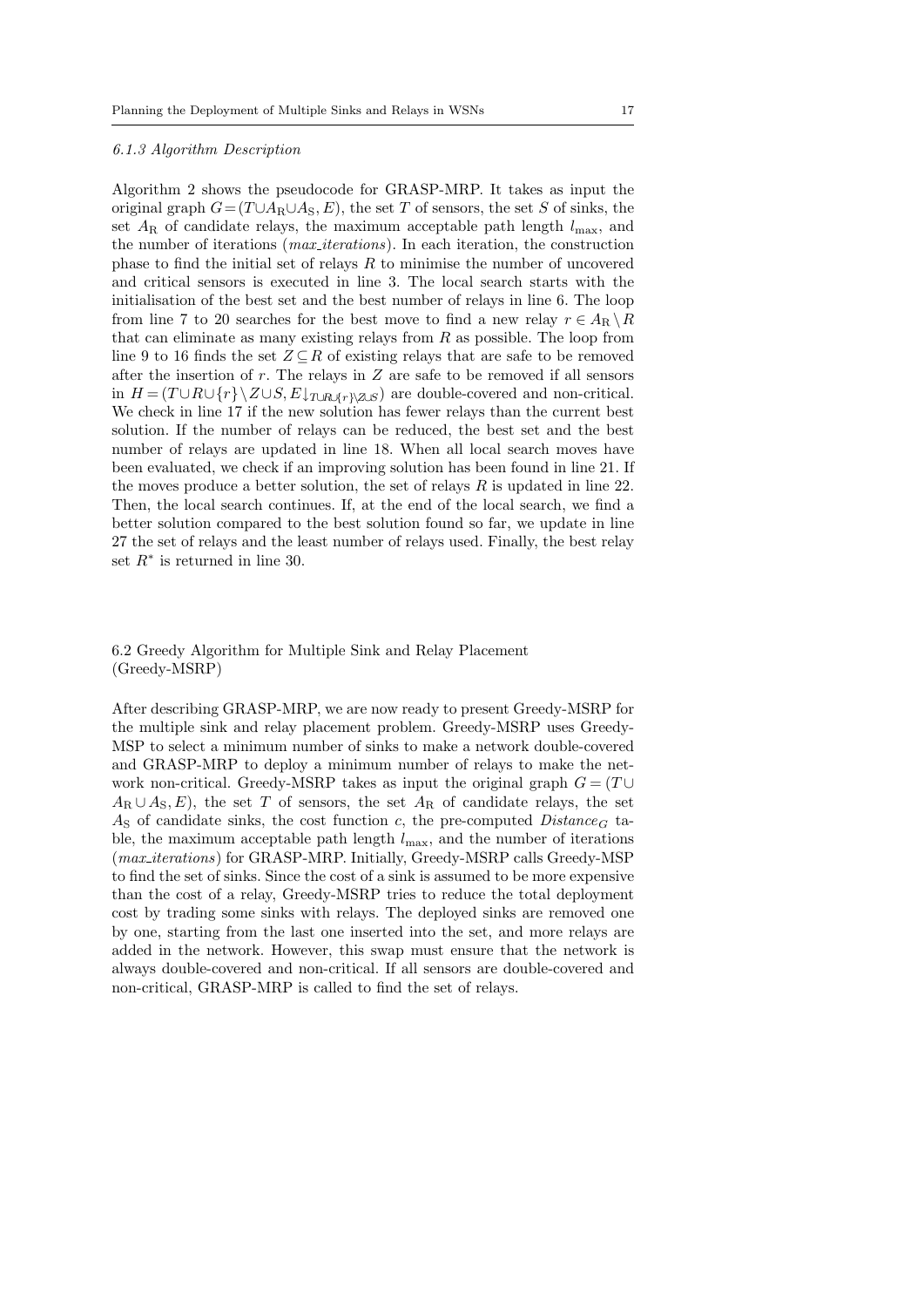#### 6.1.3 Algorithm Description

Algorithm 2 shows the pseudocode for GRASP-MRP. It takes as input the original graph  $G = (T \cup A_R \cup A_S, E)$ , the set T of sensors, the set S of sinks, the set  $A_R$  of candidate relays, the maximum acceptable path length  $l_{\text{max}}$ , and the number of iterations (max iterations). In each iteration, the construction phase to find the initial set of relays  $R$  to minimise the number of uncovered and critical sensors is executed in line 3. The local search starts with the initialisation of the best set and the best number of relays in line 6. The loop from line 7 to 20 searches for the best move to find a new relay  $r \in A_{R} \backslash R$ that can eliminate as many existing relays from  $R$  as possible. The loop from line 9 to 16 finds the set  $Z \subseteq R$  of existing relays that are safe to be removed after the insertion of  $r$ . The relays in  $Z$  are safe to be removed if all sensors in  $H = (T \cup R \cup \{r\} \setminus Z \cup S, E \downarrow_{\mathcal{I} \cup R \cup \{r\} \setminus Z \cup S})$  are double-covered and non-critical. We check in line 17 if the new solution has fewer relays than the current best solution. If the number of relays can be reduced, the best set and the best number of relays are updated in line 18. When all local search moves have been evaluated, we check if an improving solution has been found in line 21. If the moves produce a better solution, the set of relays  $R$  is updated in line 22. Then, the local search continues. If, at the end of the local search, we find a better solution compared to the best solution found so far, we update in line 27 the set of relays and the least number of relays used. Finally, the best relay set  $R^*$  is returned in line 30.

# 6.2 Greedy Algorithm for Multiple Sink and Relay Placement (Greedy-MSRP)

After describing GRASP-MRP, we are now ready to present Greedy-MSRP for the multiple sink and relay placement problem. Greedy-MSRP uses Greedy-MSP to select a minimum number of sinks to make a network double-covered and GRASP-MRP to deploy a minimum number of relays to make the network non-critical. Greedy-MSRP takes as input the original graph  $G = (T \cup$  $A_R \cup A_S, E$ , the set T of sensors, the set  $A_R$  of candidate relays, the set  $A<sub>S</sub>$  of candidate sinks, the cost function c, the pre-computed Distance<sub>G</sub> table, the maximum acceptable path length  $l_{\text{max}}$ , and the number of iterations (max iterations) for GRASP-MRP. Initially, Greedy-MSRP calls Greedy-MSP to find the set of sinks. Since the cost of a sink is assumed to be more expensive than the cost of a relay, Greedy-MSRP tries to reduce the total deployment cost by trading some sinks with relays. The deployed sinks are removed one by one, starting from the last one inserted into the set, and more relays are added in the network. However, this swap must ensure that the network is always double-covered and non-critical. If all sensors are double-covered and non-critical, GRASP-MRP is called to find the set of relays.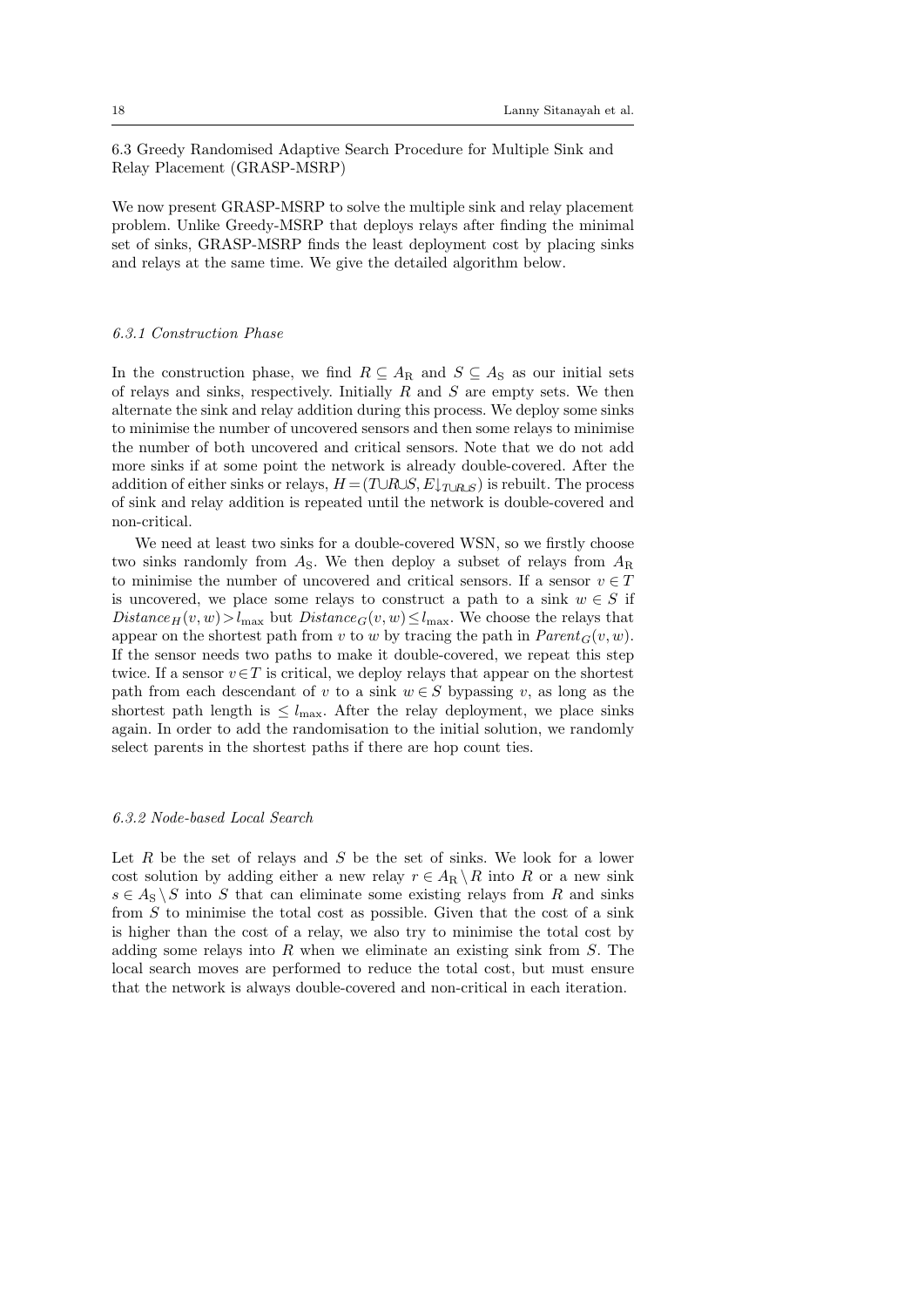6.3 Greedy Randomised Adaptive Search Procedure for Multiple Sink and Relay Placement (GRASP-MSRP)

We now present GRASP-MSRP to solve the multiple sink and relay placement problem. Unlike Greedy-MSRP that deploys relays after finding the minimal set of sinks, GRASP-MSRP finds the least deployment cost by placing sinks and relays at the same time. We give the detailed algorithm below.

#### 6.3.1 Construction Phase

In the construction phase, we find  $R \subseteq A_R$  and  $S \subseteq A_S$  as our initial sets of relays and sinks, respectively. Initially  $R$  and  $S$  are empty sets. We then alternate the sink and relay addition during this process. We deploy some sinks to minimise the number of uncovered sensors and then some relays to minimise the number of both uncovered and critical sensors. Note that we do not add more sinks if at some point the network is already double-covered. After the addition of either sinks or relays,  $H = (T \cup R \cup S, E \mid_{T \cup R \cup S})$  is rebuilt. The process of sink and relay addition is repeated until the network is double-covered and non-critical.

We need at least two sinks for a double-covered WSN, so we firstly choose two sinks randomly from  $A_{\rm S}$ . We then deploy a subset of relays from  $A_{\rm R}$ to minimise the number of uncovered and critical sensors. If a sensor  $v \in T$ is uncovered, we place some relays to construct a path to a sink  $w \in S$  if  $Distance_H(v, w) > l_{\text{max}}$  but  $Distance_G(v, w) \leq l_{\text{max}}$ . We choose the relays that appear on the shortest path from v to w by tracing the path in  $Parent_G(v, w)$ . If the sensor needs two paths to make it double-covered, we repeat this step twice. If a sensor  $v \in T$  is critical, we deploy relays that appear on the shortest path from each descendant of v to a sink  $w \in S$  bypassing v, as long as the shortest path length is  $\leq l_{\text{max}}$ . After the relay deployment, we place sinks again. In order to add the randomisation to the initial solution, we randomly select parents in the shortest paths if there are hop count ties.

#### 6.3.2 Node-based Local Search

Let  $R$  be the set of relays and  $S$  be the set of sinks. We look for a lower cost solution by adding either a new relay  $r \in A_{R} \backslash R$  into R or a new sink  $s \in A_S \backslash S$  into S that can eliminate some existing relays from R and sinks from S to minimise the total cost as possible. Given that the cost of a sink is higher than the cost of a relay, we also try to minimise the total cost by adding some relays into  $R$  when we eliminate an existing sink from  $S$ . The local search moves are performed to reduce the total cost, but must ensure that the network is always double-covered and non-critical in each iteration.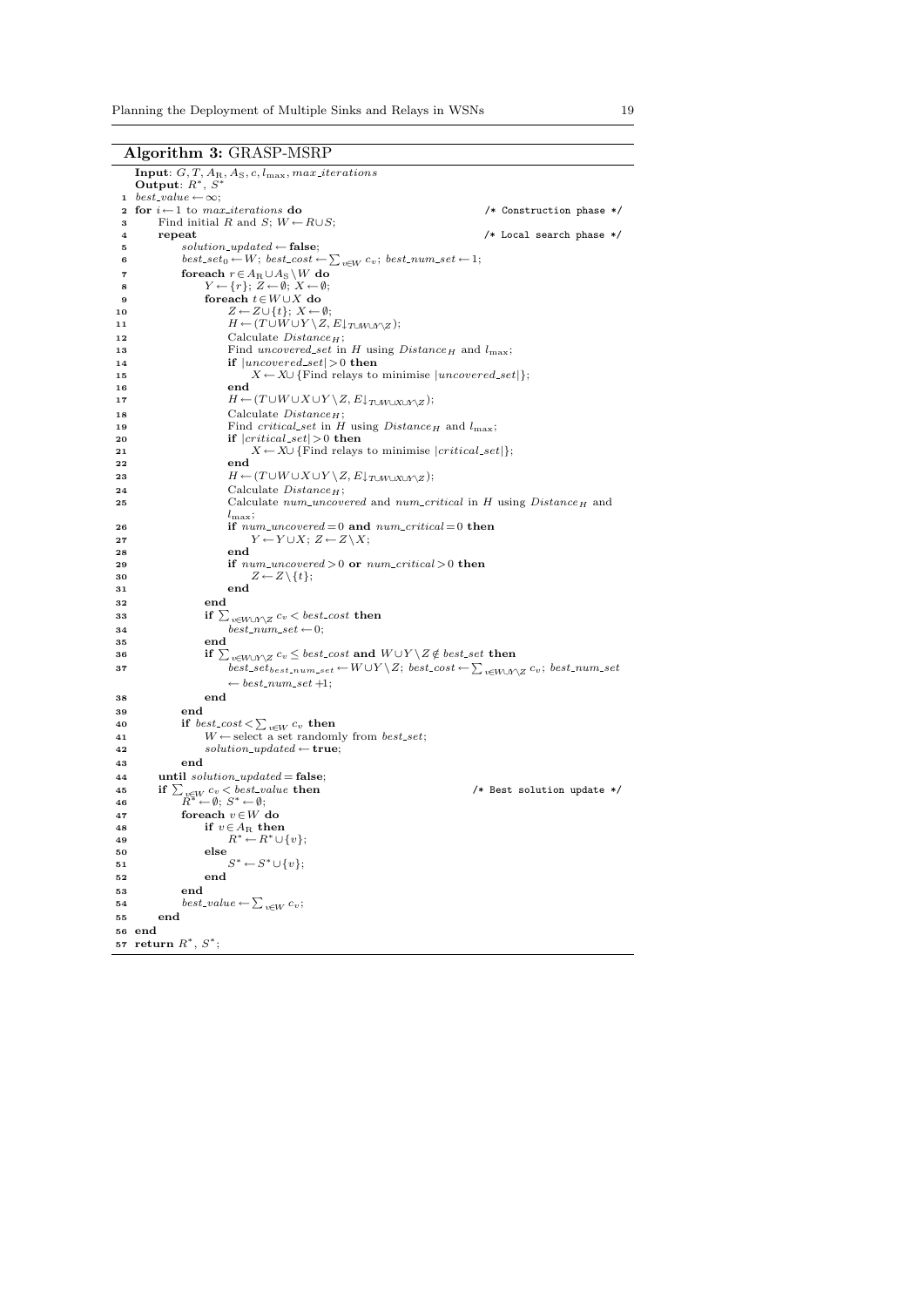# Algorithm 3: GRASP-MSRP

| <b>Input:</b> $G, T, A_R, A_S, c, l_{\text{max}}, max\_iterations$<br>Output: $R^*, S^*$<br>$best_value \leftarrow \infty;$<br>$\mathbf{1}$<br>for $i \leftarrow 1$ to max-iterations do<br>/* Construction phase */<br>$\overline{2}$<br>Find initial R and S; $W \leftarrow R \cup S$ ;<br>3<br>/* Local search phase */<br>repeat<br>4<br>solution_updated $\leftarrow$ false;<br>5<br>$\label{eq:best_set} best\_set_0 \xleftarrow{\text{--}} W; \ best\_cost \xleftarrow{\text{--}} \text{ } \text{ } \text{ } \sum_{v \in W} c_v; \ best\_num\_set \xleftarrow{+} 1;$<br>в<br>for each $r \in A_R \cup A_S \setminus W$ do<br>7<br>$Y \leftarrow \{r\}; Z \leftarrow \emptyset; X \leftarrow \emptyset;$<br>8<br>foreach $t \in W \cup X$ do<br>9<br>$Z \leftarrow Z \cup \{t\};\ X \leftarrow \emptyset;$<br>10<br>$H \leftarrow (T \cup W \cup Y \setminus Z, E \downarrow_{T \cup W \cup Y \setminus Z});$<br>11<br>Calculate $Distance_H$ ;<br>12<br>Find uncovered set in H using $Distance_H$ and $l_{\text{max}}$ ;<br>13<br>if $ uncovered\_set  > 0$ then<br>14<br>$X \leftarrow X \cup \{\text{Find relays to minimise } uncovered_set \};$<br>15<br>end<br>16<br>$H \leftarrow (T \cup W \cup X \cup Y \setminus Z, E \downarrow_{T \cup W \cup X \cup Y \setminus Z});$<br>17<br>Calculate $Distance_H$ ;<br>18<br>Find critical set in H using $Distance_H$ and $l_{\text{max}}$ ;<br>19<br>if $ critical_set  > 0$ then<br>20<br>$X \leftarrow X \cup {\text{Find relays to minimise } critical_set };$<br>21<br>end<br>22<br>$H \leftarrow (T \cup W \cup X \cup Y \setminus Z, E \downarrow_{T \cup W \cup X \cup Y \setminus Z});$<br>23<br>Calculate $Distance_H$ ;<br>24<br>Calculate $num\_uncovered$ and $num\_critical$ in H using $Distance_H$ and<br>25<br>$l_{\rm max}$<br>if $num\_uncovered = 0$ and $num\_critical = 0$ then<br>26<br>$Y \leftarrow Y \cup X; Z \leftarrow Z \setminus X;$<br>27<br>28<br>end<br>if $num\_uncovered > 0$ or $num\_critical > 0$ then<br>29<br>$Z \leftarrow Z \setminus \{t\};$<br>30<br>$_{\rm end}$<br>31<br>end<br>32<br>if $\sum_{v \in W \cup Y \setminus Z} c_v$ $\lt$ best_cost then<br>33<br>$best\_num\_set \leftarrow 0;$<br>34<br>$_{\rm end}$<br>35<br>if $\sum_{v \in W \cup Y \setminus Z} c_v \leq best\_cost$ and $W \cup Y \setminus Z \notin best\_set$ then<br>36<br>$\mathit{best}\_\mathit{set}\_\mathit{next}\_\mathit{num}\_\mathit{set} \leftarrow W\cup Y\setminus Z; \; \mathit{best}\_\mathit{cost} \leftarrow \sum_{v\in W\cup Y\setminus Z} c_v; \; \mathit{best}\_\mathit{num}\_\mathit{set}$<br>37<br>$\leftarrow best\_num\_set +1;$<br>end<br>38<br>end<br>39<br>if $best\_cost < \sum_{v \in W} c_v$ then<br>40<br>$W \leftarrow$ select a set randomly from <i>best_set</i> ;<br>41<br>solution_updated $\leftarrow$ true;<br>42<br>$_{\mathrm{end}}$<br>43<br>until $solution\_updated = false;$<br>44<br>if $\sum_{v \in W} c_v$ < best_value then<br>/* Best solution update */<br>45<br>$R^* \leftarrow \emptyset$ ; $S^* \leftarrow \emptyset$ ;<br>46<br>for<br>each $v\!\in\!W$ do<br>47<br>if $v \in A_R$ then<br>48<br>$R^* \leftarrow R^* \cup \{v\};$<br>49<br>else<br>50<br>$S^* \leftarrow S^* \cup \{v\};$<br>51<br>end<br>52<br>end<br>53<br>best_value $\leftarrow \sum_{v \in W} c_v$ ;<br>54<br>end<br>55<br>56 end<br>57 return $R^*, S^*;$ | Algorithm 3: GRASP-MSRP |
|---------------------------------------------------------------------------------------------------------------------------------------------------------------------------------------------------------------------------------------------------------------------------------------------------------------------------------------------------------------------------------------------------------------------------------------------------------------------------------------------------------------------------------------------------------------------------------------------------------------------------------------------------------------------------------------------------------------------------------------------------------------------------------------------------------------------------------------------------------------------------------------------------------------------------------------------------------------------------------------------------------------------------------------------------------------------------------------------------------------------------------------------------------------------------------------------------------------------------------------------------------------------------------------------------------------------------------------------------------------------------------------------------------------------------------------------------------------------------------------------------------------------------------------------------------------------------------------------------------------------------------------------------------------------------------------------------------------------------------------------------------------------------------------------------------------------------------------------------------------------------------------------------------------------------------------------------------------------------------------------------------------------------------------------------------------------------------------------------------------------------------------------------------------------------------------------------------------------------------------------------------------------------------------------------------------------------------------------------------------------------------------------------------------------------------------------------------------------------------------------------------------------------------------------------------------------------------------------------------------------------------------------------------------------------------------------------------------------------------------------------------------------------------------------------------------------------------------------------------------------------------------------------------------------------------------------------------------------------------------------------------------------------------------------------------------------------------------------------------------------------------------------------------------------------------------------------------------------------------------------------------------------------------------------------------------------------------------------------------------------|-------------------------|
|                                                                                                                                                                                                                                                                                                                                                                                                                                                                                                                                                                                                                                                                                                                                                                                                                                                                                                                                                                                                                                                                                                                                                                                                                                                                                                                                                                                                                                                                                                                                                                                                                                                                                                                                                                                                                                                                                                                                                                                                                                                                                                                                                                                                                                                                                                                                                                                                                                                                                                                                                                                                                                                                                                                                                                                                                                                                                                                                                                                                                                                                                                                                                                                                                                                                                                                                                                     |                         |
|                                                                                                                                                                                                                                                                                                                                                                                                                                                                                                                                                                                                                                                                                                                                                                                                                                                                                                                                                                                                                                                                                                                                                                                                                                                                                                                                                                                                                                                                                                                                                                                                                                                                                                                                                                                                                                                                                                                                                                                                                                                                                                                                                                                                                                                                                                                                                                                                                                                                                                                                                                                                                                                                                                                                                                                                                                                                                                                                                                                                                                                                                                                                                                                                                                                                                                                                                                     |                         |
|                                                                                                                                                                                                                                                                                                                                                                                                                                                                                                                                                                                                                                                                                                                                                                                                                                                                                                                                                                                                                                                                                                                                                                                                                                                                                                                                                                                                                                                                                                                                                                                                                                                                                                                                                                                                                                                                                                                                                                                                                                                                                                                                                                                                                                                                                                                                                                                                                                                                                                                                                                                                                                                                                                                                                                                                                                                                                                                                                                                                                                                                                                                                                                                                                                                                                                                                                                     |                         |
|                                                                                                                                                                                                                                                                                                                                                                                                                                                                                                                                                                                                                                                                                                                                                                                                                                                                                                                                                                                                                                                                                                                                                                                                                                                                                                                                                                                                                                                                                                                                                                                                                                                                                                                                                                                                                                                                                                                                                                                                                                                                                                                                                                                                                                                                                                                                                                                                                                                                                                                                                                                                                                                                                                                                                                                                                                                                                                                                                                                                                                                                                                                                                                                                                                                                                                                                                                     |                         |
|                                                                                                                                                                                                                                                                                                                                                                                                                                                                                                                                                                                                                                                                                                                                                                                                                                                                                                                                                                                                                                                                                                                                                                                                                                                                                                                                                                                                                                                                                                                                                                                                                                                                                                                                                                                                                                                                                                                                                                                                                                                                                                                                                                                                                                                                                                                                                                                                                                                                                                                                                                                                                                                                                                                                                                                                                                                                                                                                                                                                                                                                                                                                                                                                                                                                                                                                                                     |                         |
|                                                                                                                                                                                                                                                                                                                                                                                                                                                                                                                                                                                                                                                                                                                                                                                                                                                                                                                                                                                                                                                                                                                                                                                                                                                                                                                                                                                                                                                                                                                                                                                                                                                                                                                                                                                                                                                                                                                                                                                                                                                                                                                                                                                                                                                                                                                                                                                                                                                                                                                                                                                                                                                                                                                                                                                                                                                                                                                                                                                                                                                                                                                                                                                                                                                                                                                                                                     |                         |
|                                                                                                                                                                                                                                                                                                                                                                                                                                                                                                                                                                                                                                                                                                                                                                                                                                                                                                                                                                                                                                                                                                                                                                                                                                                                                                                                                                                                                                                                                                                                                                                                                                                                                                                                                                                                                                                                                                                                                                                                                                                                                                                                                                                                                                                                                                                                                                                                                                                                                                                                                                                                                                                                                                                                                                                                                                                                                                                                                                                                                                                                                                                                                                                                                                                                                                                                                                     |                         |
|                                                                                                                                                                                                                                                                                                                                                                                                                                                                                                                                                                                                                                                                                                                                                                                                                                                                                                                                                                                                                                                                                                                                                                                                                                                                                                                                                                                                                                                                                                                                                                                                                                                                                                                                                                                                                                                                                                                                                                                                                                                                                                                                                                                                                                                                                                                                                                                                                                                                                                                                                                                                                                                                                                                                                                                                                                                                                                                                                                                                                                                                                                                                                                                                                                                                                                                                                                     |                         |
|                                                                                                                                                                                                                                                                                                                                                                                                                                                                                                                                                                                                                                                                                                                                                                                                                                                                                                                                                                                                                                                                                                                                                                                                                                                                                                                                                                                                                                                                                                                                                                                                                                                                                                                                                                                                                                                                                                                                                                                                                                                                                                                                                                                                                                                                                                                                                                                                                                                                                                                                                                                                                                                                                                                                                                                                                                                                                                                                                                                                                                                                                                                                                                                                                                                                                                                                                                     |                         |
|                                                                                                                                                                                                                                                                                                                                                                                                                                                                                                                                                                                                                                                                                                                                                                                                                                                                                                                                                                                                                                                                                                                                                                                                                                                                                                                                                                                                                                                                                                                                                                                                                                                                                                                                                                                                                                                                                                                                                                                                                                                                                                                                                                                                                                                                                                                                                                                                                                                                                                                                                                                                                                                                                                                                                                                                                                                                                                                                                                                                                                                                                                                                                                                                                                                                                                                                                                     |                         |
|                                                                                                                                                                                                                                                                                                                                                                                                                                                                                                                                                                                                                                                                                                                                                                                                                                                                                                                                                                                                                                                                                                                                                                                                                                                                                                                                                                                                                                                                                                                                                                                                                                                                                                                                                                                                                                                                                                                                                                                                                                                                                                                                                                                                                                                                                                                                                                                                                                                                                                                                                                                                                                                                                                                                                                                                                                                                                                                                                                                                                                                                                                                                                                                                                                                                                                                                                                     |                         |
|                                                                                                                                                                                                                                                                                                                                                                                                                                                                                                                                                                                                                                                                                                                                                                                                                                                                                                                                                                                                                                                                                                                                                                                                                                                                                                                                                                                                                                                                                                                                                                                                                                                                                                                                                                                                                                                                                                                                                                                                                                                                                                                                                                                                                                                                                                                                                                                                                                                                                                                                                                                                                                                                                                                                                                                                                                                                                                                                                                                                                                                                                                                                                                                                                                                                                                                                                                     |                         |
|                                                                                                                                                                                                                                                                                                                                                                                                                                                                                                                                                                                                                                                                                                                                                                                                                                                                                                                                                                                                                                                                                                                                                                                                                                                                                                                                                                                                                                                                                                                                                                                                                                                                                                                                                                                                                                                                                                                                                                                                                                                                                                                                                                                                                                                                                                                                                                                                                                                                                                                                                                                                                                                                                                                                                                                                                                                                                                                                                                                                                                                                                                                                                                                                                                                                                                                                                                     |                         |
|                                                                                                                                                                                                                                                                                                                                                                                                                                                                                                                                                                                                                                                                                                                                                                                                                                                                                                                                                                                                                                                                                                                                                                                                                                                                                                                                                                                                                                                                                                                                                                                                                                                                                                                                                                                                                                                                                                                                                                                                                                                                                                                                                                                                                                                                                                                                                                                                                                                                                                                                                                                                                                                                                                                                                                                                                                                                                                                                                                                                                                                                                                                                                                                                                                                                                                                                                                     |                         |
|                                                                                                                                                                                                                                                                                                                                                                                                                                                                                                                                                                                                                                                                                                                                                                                                                                                                                                                                                                                                                                                                                                                                                                                                                                                                                                                                                                                                                                                                                                                                                                                                                                                                                                                                                                                                                                                                                                                                                                                                                                                                                                                                                                                                                                                                                                                                                                                                                                                                                                                                                                                                                                                                                                                                                                                                                                                                                                                                                                                                                                                                                                                                                                                                                                                                                                                                                                     |                         |
|                                                                                                                                                                                                                                                                                                                                                                                                                                                                                                                                                                                                                                                                                                                                                                                                                                                                                                                                                                                                                                                                                                                                                                                                                                                                                                                                                                                                                                                                                                                                                                                                                                                                                                                                                                                                                                                                                                                                                                                                                                                                                                                                                                                                                                                                                                                                                                                                                                                                                                                                                                                                                                                                                                                                                                                                                                                                                                                                                                                                                                                                                                                                                                                                                                                                                                                                                                     |                         |
|                                                                                                                                                                                                                                                                                                                                                                                                                                                                                                                                                                                                                                                                                                                                                                                                                                                                                                                                                                                                                                                                                                                                                                                                                                                                                                                                                                                                                                                                                                                                                                                                                                                                                                                                                                                                                                                                                                                                                                                                                                                                                                                                                                                                                                                                                                                                                                                                                                                                                                                                                                                                                                                                                                                                                                                                                                                                                                                                                                                                                                                                                                                                                                                                                                                                                                                                                                     |                         |
|                                                                                                                                                                                                                                                                                                                                                                                                                                                                                                                                                                                                                                                                                                                                                                                                                                                                                                                                                                                                                                                                                                                                                                                                                                                                                                                                                                                                                                                                                                                                                                                                                                                                                                                                                                                                                                                                                                                                                                                                                                                                                                                                                                                                                                                                                                                                                                                                                                                                                                                                                                                                                                                                                                                                                                                                                                                                                                                                                                                                                                                                                                                                                                                                                                                                                                                                                                     |                         |
|                                                                                                                                                                                                                                                                                                                                                                                                                                                                                                                                                                                                                                                                                                                                                                                                                                                                                                                                                                                                                                                                                                                                                                                                                                                                                                                                                                                                                                                                                                                                                                                                                                                                                                                                                                                                                                                                                                                                                                                                                                                                                                                                                                                                                                                                                                                                                                                                                                                                                                                                                                                                                                                                                                                                                                                                                                                                                                                                                                                                                                                                                                                                                                                                                                                                                                                                                                     |                         |
|                                                                                                                                                                                                                                                                                                                                                                                                                                                                                                                                                                                                                                                                                                                                                                                                                                                                                                                                                                                                                                                                                                                                                                                                                                                                                                                                                                                                                                                                                                                                                                                                                                                                                                                                                                                                                                                                                                                                                                                                                                                                                                                                                                                                                                                                                                                                                                                                                                                                                                                                                                                                                                                                                                                                                                                                                                                                                                                                                                                                                                                                                                                                                                                                                                                                                                                                                                     |                         |
|                                                                                                                                                                                                                                                                                                                                                                                                                                                                                                                                                                                                                                                                                                                                                                                                                                                                                                                                                                                                                                                                                                                                                                                                                                                                                                                                                                                                                                                                                                                                                                                                                                                                                                                                                                                                                                                                                                                                                                                                                                                                                                                                                                                                                                                                                                                                                                                                                                                                                                                                                                                                                                                                                                                                                                                                                                                                                                                                                                                                                                                                                                                                                                                                                                                                                                                                                                     |                         |
|                                                                                                                                                                                                                                                                                                                                                                                                                                                                                                                                                                                                                                                                                                                                                                                                                                                                                                                                                                                                                                                                                                                                                                                                                                                                                                                                                                                                                                                                                                                                                                                                                                                                                                                                                                                                                                                                                                                                                                                                                                                                                                                                                                                                                                                                                                                                                                                                                                                                                                                                                                                                                                                                                                                                                                                                                                                                                                                                                                                                                                                                                                                                                                                                                                                                                                                                                                     |                         |
|                                                                                                                                                                                                                                                                                                                                                                                                                                                                                                                                                                                                                                                                                                                                                                                                                                                                                                                                                                                                                                                                                                                                                                                                                                                                                                                                                                                                                                                                                                                                                                                                                                                                                                                                                                                                                                                                                                                                                                                                                                                                                                                                                                                                                                                                                                                                                                                                                                                                                                                                                                                                                                                                                                                                                                                                                                                                                                                                                                                                                                                                                                                                                                                                                                                                                                                                                                     |                         |
|                                                                                                                                                                                                                                                                                                                                                                                                                                                                                                                                                                                                                                                                                                                                                                                                                                                                                                                                                                                                                                                                                                                                                                                                                                                                                                                                                                                                                                                                                                                                                                                                                                                                                                                                                                                                                                                                                                                                                                                                                                                                                                                                                                                                                                                                                                                                                                                                                                                                                                                                                                                                                                                                                                                                                                                                                                                                                                                                                                                                                                                                                                                                                                                                                                                                                                                                                                     |                         |
|                                                                                                                                                                                                                                                                                                                                                                                                                                                                                                                                                                                                                                                                                                                                                                                                                                                                                                                                                                                                                                                                                                                                                                                                                                                                                                                                                                                                                                                                                                                                                                                                                                                                                                                                                                                                                                                                                                                                                                                                                                                                                                                                                                                                                                                                                                                                                                                                                                                                                                                                                                                                                                                                                                                                                                                                                                                                                                                                                                                                                                                                                                                                                                                                                                                                                                                                                                     |                         |
|                                                                                                                                                                                                                                                                                                                                                                                                                                                                                                                                                                                                                                                                                                                                                                                                                                                                                                                                                                                                                                                                                                                                                                                                                                                                                                                                                                                                                                                                                                                                                                                                                                                                                                                                                                                                                                                                                                                                                                                                                                                                                                                                                                                                                                                                                                                                                                                                                                                                                                                                                                                                                                                                                                                                                                                                                                                                                                                                                                                                                                                                                                                                                                                                                                                                                                                                                                     |                         |
|                                                                                                                                                                                                                                                                                                                                                                                                                                                                                                                                                                                                                                                                                                                                                                                                                                                                                                                                                                                                                                                                                                                                                                                                                                                                                                                                                                                                                                                                                                                                                                                                                                                                                                                                                                                                                                                                                                                                                                                                                                                                                                                                                                                                                                                                                                                                                                                                                                                                                                                                                                                                                                                                                                                                                                                                                                                                                                                                                                                                                                                                                                                                                                                                                                                                                                                                                                     |                         |
|                                                                                                                                                                                                                                                                                                                                                                                                                                                                                                                                                                                                                                                                                                                                                                                                                                                                                                                                                                                                                                                                                                                                                                                                                                                                                                                                                                                                                                                                                                                                                                                                                                                                                                                                                                                                                                                                                                                                                                                                                                                                                                                                                                                                                                                                                                                                                                                                                                                                                                                                                                                                                                                                                                                                                                                                                                                                                                                                                                                                                                                                                                                                                                                                                                                                                                                                                                     |                         |
|                                                                                                                                                                                                                                                                                                                                                                                                                                                                                                                                                                                                                                                                                                                                                                                                                                                                                                                                                                                                                                                                                                                                                                                                                                                                                                                                                                                                                                                                                                                                                                                                                                                                                                                                                                                                                                                                                                                                                                                                                                                                                                                                                                                                                                                                                                                                                                                                                                                                                                                                                                                                                                                                                                                                                                                                                                                                                                                                                                                                                                                                                                                                                                                                                                                                                                                                                                     |                         |
|                                                                                                                                                                                                                                                                                                                                                                                                                                                                                                                                                                                                                                                                                                                                                                                                                                                                                                                                                                                                                                                                                                                                                                                                                                                                                                                                                                                                                                                                                                                                                                                                                                                                                                                                                                                                                                                                                                                                                                                                                                                                                                                                                                                                                                                                                                                                                                                                                                                                                                                                                                                                                                                                                                                                                                                                                                                                                                                                                                                                                                                                                                                                                                                                                                                                                                                                                                     |                         |
|                                                                                                                                                                                                                                                                                                                                                                                                                                                                                                                                                                                                                                                                                                                                                                                                                                                                                                                                                                                                                                                                                                                                                                                                                                                                                                                                                                                                                                                                                                                                                                                                                                                                                                                                                                                                                                                                                                                                                                                                                                                                                                                                                                                                                                                                                                                                                                                                                                                                                                                                                                                                                                                                                                                                                                                                                                                                                                                                                                                                                                                                                                                                                                                                                                                                                                                                                                     |                         |
|                                                                                                                                                                                                                                                                                                                                                                                                                                                                                                                                                                                                                                                                                                                                                                                                                                                                                                                                                                                                                                                                                                                                                                                                                                                                                                                                                                                                                                                                                                                                                                                                                                                                                                                                                                                                                                                                                                                                                                                                                                                                                                                                                                                                                                                                                                                                                                                                                                                                                                                                                                                                                                                                                                                                                                                                                                                                                                                                                                                                                                                                                                                                                                                                                                                                                                                                                                     |                         |
|                                                                                                                                                                                                                                                                                                                                                                                                                                                                                                                                                                                                                                                                                                                                                                                                                                                                                                                                                                                                                                                                                                                                                                                                                                                                                                                                                                                                                                                                                                                                                                                                                                                                                                                                                                                                                                                                                                                                                                                                                                                                                                                                                                                                                                                                                                                                                                                                                                                                                                                                                                                                                                                                                                                                                                                                                                                                                                                                                                                                                                                                                                                                                                                                                                                                                                                                                                     |                         |
|                                                                                                                                                                                                                                                                                                                                                                                                                                                                                                                                                                                                                                                                                                                                                                                                                                                                                                                                                                                                                                                                                                                                                                                                                                                                                                                                                                                                                                                                                                                                                                                                                                                                                                                                                                                                                                                                                                                                                                                                                                                                                                                                                                                                                                                                                                                                                                                                                                                                                                                                                                                                                                                                                                                                                                                                                                                                                                                                                                                                                                                                                                                                                                                                                                                                                                                                                                     |                         |
|                                                                                                                                                                                                                                                                                                                                                                                                                                                                                                                                                                                                                                                                                                                                                                                                                                                                                                                                                                                                                                                                                                                                                                                                                                                                                                                                                                                                                                                                                                                                                                                                                                                                                                                                                                                                                                                                                                                                                                                                                                                                                                                                                                                                                                                                                                                                                                                                                                                                                                                                                                                                                                                                                                                                                                                                                                                                                                                                                                                                                                                                                                                                                                                                                                                                                                                                                                     |                         |
|                                                                                                                                                                                                                                                                                                                                                                                                                                                                                                                                                                                                                                                                                                                                                                                                                                                                                                                                                                                                                                                                                                                                                                                                                                                                                                                                                                                                                                                                                                                                                                                                                                                                                                                                                                                                                                                                                                                                                                                                                                                                                                                                                                                                                                                                                                                                                                                                                                                                                                                                                                                                                                                                                                                                                                                                                                                                                                                                                                                                                                                                                                                                                                                                                                                                                                                                                                     |                         |
|                                                                                                                                                                                                                                                                                                                                                                                                                                                                                                                                                                                                                                                                                                                                                                                                                                                                                                                                                                                                                                                                                                                                                                                                                                                                                                                                                                                                                                                                                                                                                                                                                                                                                                                                                                                                                                                                                                                                                                                                                                                                                                                                                                                                                                                                                                                                                                                                                                                                                                                                                                                                                                                                                                                                                                                                                                                                                                                                                                                                                                                                                                                                                                                                                                                                                                                                                                     |                         |
|                                                                                                                                                                                                                                                                                                                                                                                                                                                                                                                                                                                                                                                                                                                                                                                                                                                                                                                                                                                                                                                                                                                                                                                                                                                                                                                                                                                                                                                                                                                                                                                                                                                                                                                                                                                                                                                                                                                                                                                                                                                                                                                                                                                                                                                                                                                                                                                                                                                                                                                                                                                                                                                                                                                                                                                                                                                                                                                                                                                                                                                                                                                                                                                                                                                                                                                                                                     |                         |
|                                                                                                                                                                                                                                                                                                                                                                                                                                                                                                                                                                                                                                                                                                                                                                                                                                                                                                                                                                                                                                                                                                                                                                                                                                                                                                                                                                                                                                                                                                                                                                                                                                                                                                                                                                                                                                                                                                                                                                                                                                                                                                                                                                                                                                                                                                                                                                                                                                                                                                                                                                                                                                                                                                                                                                                                                                                                                                                                                                                                                                                                                                                                                                                                                                                                                                                                                                     |                         |
|                                                                                                                                                                                                                                                                                                                                                                                                                                                                                                                                                                                                                                                                                                                                                                                                                                                                                                                                                                                                                                                                                                                                                                                                                                                                                                                                                                                                                                                                                                                                                                                                                                                                                                                                                                                                                                                                                                                                                                                                                                                                                                                                                                                                                                                                                                                                                                                                                                                                                                                                                                                                                                                                                                                                                                                                                                                                                                                                                                                                                                                                                                                                                                                                                                                                                                                                                                     |                         |
|                                                                                                                                                                                                                                                                                                                                                                                                                                                                                                                                                                                                                                                                                                                                                                                                                                                                                                                                                                                                                                                                                                                                                                                                                                                                                                                                                                                                                                                                                                                                                                                                                                                                                                                                                                                                                                                                                                                                                                                                                                                                                                                                                                                                                                                                                                                                                                                                                                                                                                                                                                                                                                                                                                                                                                                                                                                                                                                                                                                                                                                                                                                                                                                                                                                                                                                                                                     |                         |
|                                                                                                                                                                                                                                                                                                                                                                                                                                                                                                                                                                                                                                                                                                                                                                                                                                                                                                                                                                                                                                                                                                                                                                                                                                                                                                                                                                                                                                                                                                                                                                                                                                                                                                                                                                                                                                                                                                                                                                                                                                                                                                                                                                                                                                                                                                                                                                                                                                                                                                                                                                                                                                                                                                                                                                                                                                                                                                                                                                                                                                                                                                                                                                                                                                                                                                                                                                     |                         |
|                                                                                                                                                                                                                                                                                                                                                                                                                                                                                                                                                                                                                                                                                                                                                                                                                                                                                                                                                                                                                                                                                                                                                                                                                                                                                                                                                                                                                                                                                                                                                                                                                                                                                                                                                                                                                                                                                                                                                                                                                                                                                                                                                                                                                                                                                                                                                                                                                                                                                                                                                                                                                                                                                                                                                                                                                                                                                                                                                                                                                                                                                                                                                                                                                                                                                                                                                                     |                         |
|                                                                                                                                                                                                                                                                                                                                                                                                                                                                                                                                                                                                                                                                                                                                                                                                                                                                                                                                                                                                                                                                                                                                                                                                                                                                                                                                                                                                                                                                                                                                                                                                                                                                                                                                                                                                                                                                                                                                                                                                                                                                                                                                                                                                                                                                                                                                                                                                                                                                                                                                                                                                                                                                                                                                                                                                                                                                                                                                                                                                                                                                                                                                                                                                                                                                                                                                                                     |                         |
|                                                                                                                                                                                                                                                                                                                                                                                                                                                                                                                                                                                                                                                                                                                                                                                                                                                                                                                                                                                                                                                                                                                                                                                                                                                                                                                                                                                                                                                                                                                                                                                                                                                                                                                                                                                                                                                                                                                                                                                                                                                                                                                                                                                                                                                                                                                                                                                                                                                                                                                                                                                                                                                                                                                                                                                                                                                                                                                                                                                                                                                                                                                                                                                                                                                                                                                                                                     |                         |
|                                                                                                                                                                                                                                                                                                                                                                                                                                                                                                                                                                                                                                                                                                                                                                                                                                                                                                                                                                                                                                                                                                                                                                                                                                                                                                                                                                                                                                                                                                                                                                                                                                                                                                                                                                                                                                                                                                                                                                                                                                                                                                                                                                                                                                                                                                                                                                                                                                                                                                                                                                                                                                                                                                                                                                                                                                                                                                                                                                                                                                                                                                                                                                                                                                                                                                                                                                     |                         |
|                                                                                                                                                                                                                                                                                                                                                                                                                                                                                                                                                                                                                                                                                                                                                                                                                                                                                                                                                                                                                                                                                                                                                                                                                                                                                                                                                                                                                                                                                                                                                                                                                                                                                                                                                                                                                                                                                                                                                                                                                                                                                                                                                                                                                                                                                                                                                                                                                                                                                                                                                                                                                                                                                                                                                                                                                                                                                                                                                                                                                                                                                                                                                                                                                                                                                                                                                                     |                         |
|                                                                                                                                                                                                                                                                                                                                                                                                                                                                                                                                                                                                                                                                                                                                                                                                                                                                                                                                                                                                                                                                                                                                                                                                                                                                                                                                                                                                                                                                                                                                                                                                                                                                                                                                                                                                                                                                                                                                                                                                                                                                                                                                                                                                                                                                                                                                                                                                                                                                                                                                                                                                                                                                                                                                                                                                                                                                                                                                                                                                                                                                                                                                                                                                                                                                                                                                                                     |                         |
|                                                                                                                                                                                                                                                                                                                                                                                                                                                                                                                                                                                                                                                                                                                                                                                                                                                                                                                                                                                                                                                                                                                                                                                                                                                                                                                                                                                                                                                                                                                                                                                                                                                                                                                                                                                                                                                                                                                                                                                                                                                                                                                                                                                                                                                                                                                                                                                                                                                                                                                                                                                                                                                                                                                                                                                                                                                                                                                                                                                                                                                                                                                                                                                                                                                                                                                                                                     |                         |
|                                                                                                                                                                                                                                                                                                                                                                                                                                                                                                                                                                                                                                                                                                                                                                                                                                                                                                                                                                                                                                                                                                                                                                                                                                                                                                                                                                                                                                                                                                                                                                                                                                                                                                                                                                                                                                                                                                                                                                                                                                                                                                                                                                                                                                                                                                                                                                                                                                                                                                                                                                                                                                                                                                                                                                                                                                                                                                                                                                                                                                                                                                                                                                                                                                                                                                                                                                     |                         |
|                                                                                                                                                                                                                                                                                                                                                                                                                                                                                                                                                                                                                                                                                                                                                                                                                                                                                                                                                                                                                                                                                                                                                                                                                                                                                                                                                                                                                                                                                                                                                                                                                                                                                                                                                                                                                                                                                                                                                                                                                                                                                                                                                                                                                                                                                                                                                                                                                                                                                                                                                                                                                                                                                                                                                                                                                                                                                                                                                                                                                                                                                                                                                                                                                                                                                                                                                                     |                         |
|                                                                                                                                                                                                                                                                                                                                                                                                                                                                                                                                                                                                                                                                                                                                                                                                                                                                                                                                                                                                                                                                                                                                                                                                                                                                                                                                                                                                                                                                                                                                                                                                                                                                                                                                                                                                                                                                                                                                                                                                                                                                                                                                                                                                                                                                                                                                                                                                                                                                                                                                                                                                                                                                                                                                                                                                                                                                                                                                                                                                                                                                                                                                                                                                                                                                                                                                                                     |                         |
|                                                                                                                                                                                                                                                                                                                                                                                                                                                                                                                                                                                                                                                                                                                                                                                                                                                                                                                                                                                                                                                                                                                                                                                                                                                                                                                                                                                                                                                                                                                                                                                                                                                                                                                                                                                                                                                                                                                                                                                                                                                                                                                                                                                                                                                                                                                                                                                                                                                                                                                                                                                                                                                                                                                                                                                                                                                                                                                                                                                                                                                                                                                                                                                                                                                                                                                                                                     |                         |
|                                                                                                                                                                                                                                                                                                                                                                                                                                                                                                                                                                                                                                                                                                                                                                                                                                                                                                                                                                                                                                                                                                                                                                                                                                                                                                                                                                                                                                                                                                                                                                                                                                                                                                                                                                                                                                                                                                                                                                                                                                                                                                                                                                                                                                                                                                                                                                                                                                                                                                                                                                                                                                                                                                                                                                                                                                                                                                                                                                                                                                                                                                                                                                                                                                                                                                                                                                     |                         |
|                                                                                                                                                                                                                                                                                                                                                                                                                                                                                                                                                                                                                                                                                                                                                                                                                                                                                                                                                                                                                                                                                                                                                                                                                                                                                                                                                                                                                                                                                                                                                                                                                                                                                                                                                                                                                                                                                                                                                                                                                                                                                                                                                                                                                                                                                                                                                                                                                                                                                                                                                                                                                                                                                                                                                                                                                                                                                                                                                                                                                                                                                                                                                                                                                                                                                                                                                                     |                         |
|                                                                                                                                                                                                                                                                                                                                                                                                                                                                                                                                                                                                                                                                                                                                                                                                                                                                                                                                                                                                                                                                                                                                                                                                                                                                                                                                                                                                                                                                                                                                                                                                                                                                                                                                                                                                                                                                                                                                                                                                                                                                                                                                                                                                                                                                                                                                                                                                                                                                                                                                                                                                                                                                                                                                                                                                                                                                                                                                                                                                                                                                                                                                                                                                                                                                                                                                                                     |                         |
|                                                                                                                                                                                                                                                                                                                                                                                                                                                                                                                                                                                                                                                                                                                                                                                                                                                                                                                                                                                                                                                                                                                                                                                                                                                                                                                                                                                                                                                                                                                                                                                                                                                                                                                                                                                                                                                                                                                                                                                                                                                                                                                                                                                                                                                                                                                                                                                                                                                                                                                                                                                                                                                                                                                                                                                                                                                                                                                                                                                                                                                                                                                                                                                                                                                                                                                                                                     |                         |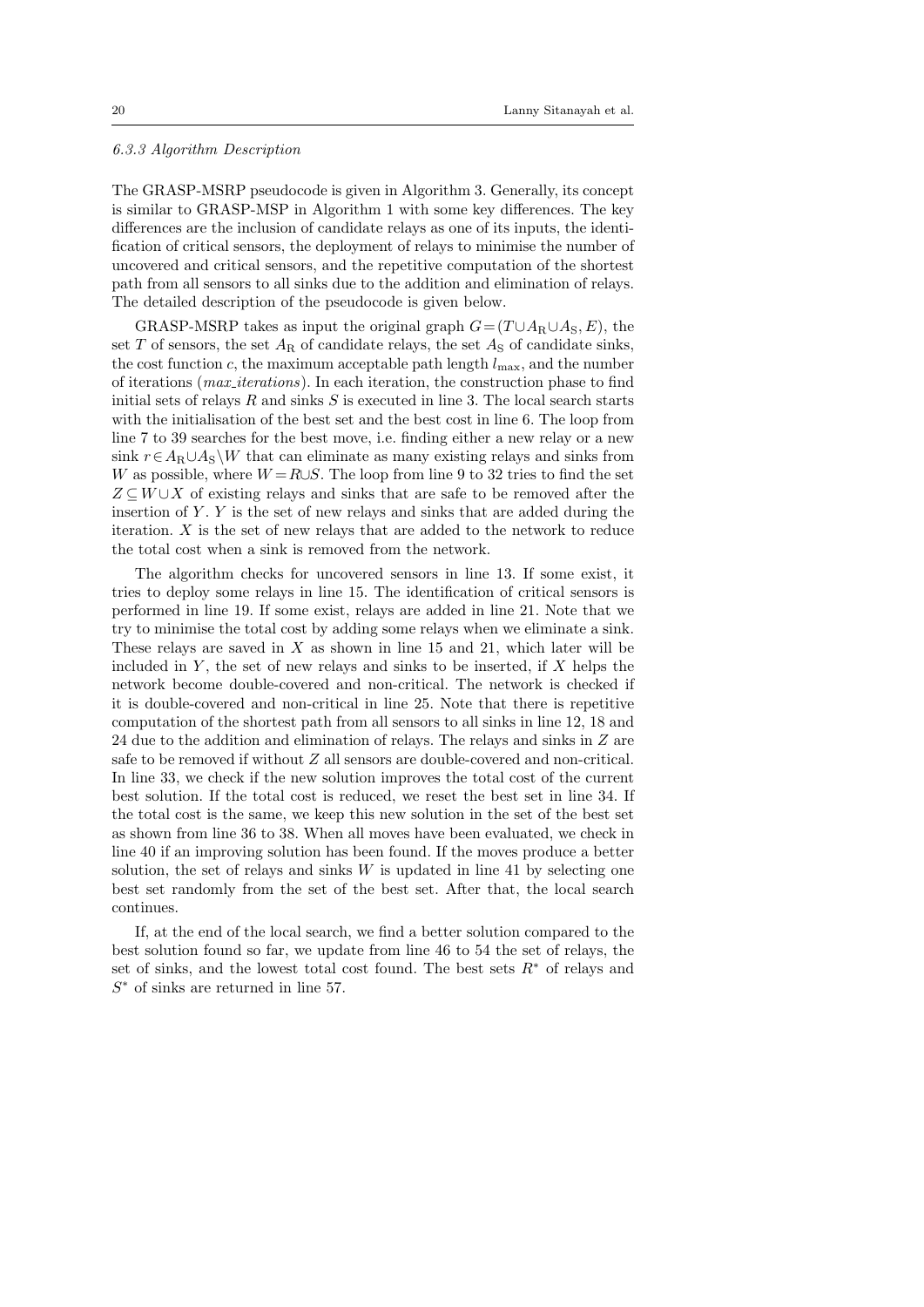# 6.3.3 Algorithm Description

The GRASP-MSRP pseudocode is given in Algorithm 3. Generally, its concept is similar to GRASP-MSP in Algorithm 1 with some key differences. The key differences are the inclusion of candidate relays as one of its inputs, the identification of critical sensors, the deployment of relays to minimise the number of uncovered and critical sensors, and the repetitive computation of the shortest path from all sensors to all sinks due to the addition and elimination of relays. The detailed description of the pseudocode is given below.

GRASP-MSRP takes as input the original graph  $G = (T \cup A_R \cup A_S, E)$ , the set T of sensors, the set  $A_R$  of candidate relays, the set  $A_S$  of candidate sinks, the cost function c, the maximum acceptable path length  $l_{\text{max}}$ , and the number of iterations (max iterations). In each iteration, the construction phase to find initial sets of relays  $R$  and sinks  $S$  is executed in line 3. The local search starts with the initialisation of the best set and the best cost in line 6. The loop from line 7 to 39 searches for the best move, i.e. finding either a new relay or a new sink  $r \in A_B \cup A_S \backslash W$  that can eliminate as many existing relays and sinks from W as possible, where  $W = R \cup S$ . The loop from line 9 to 32 tries to find the set  $Z \subseteq W \cup X$  of existing relays and sinks that are safe to be removed after the insertion of  $Y$ .  $Y$  is the set of new relays and sinks that are added during the iteration. X is the set of new relays that are added to the network to reduce the total cost when a sink is removed from the network.

The algorithm checks for uncovered sensors in line 13. If some exist, it tries to deploy some relays in line 15. The identification of critical sensors is performed in line 19. If some exist, relays are added in line 21. Note that we try to minimise the total cost by adding some relays when we eliminate a sink. These relays are saved in  $X$  as shown in line 15 and 21, which later will be included in  $Y$ , the set of new relays and sinks to be inserted, if  $X$  helps the network become double-covered and non-critical. The network is checked if it is double-covered and non-critical in line 25. Note that there is repetitive computation of the shortest path from all sensors to all sinks in line 12, 18 and 24 due to the addition and elimination of relays. The relays and sinks in Z are safe to be removed if without  $Z$  all sensors are double-covered and non-critical. In line 33, we check if the new solution improves the total cost of the current best solution. If the total cost is reduced, we reset the best set in line 34. If the total cost is the same, we keep this new solution in the set of the best set as shown from line 36 to 38. When all moves have been evaluated, we check in line 40 if an improving solution has been found. If the moves produce a better solution, the set of relays and sinks  $W$  is updated in line 41 by selecting one best set randomly from the set of the best set. After that, the local search continues.

If, at the end of the local search, we find a better solution compared to the best solution found so far, we update from line 46 to 54 the set of relays, the set of sinks, and the lowest total cost found. The best sets  $R^*$  of relays and  $S^*$  of sinks are returned in line 57.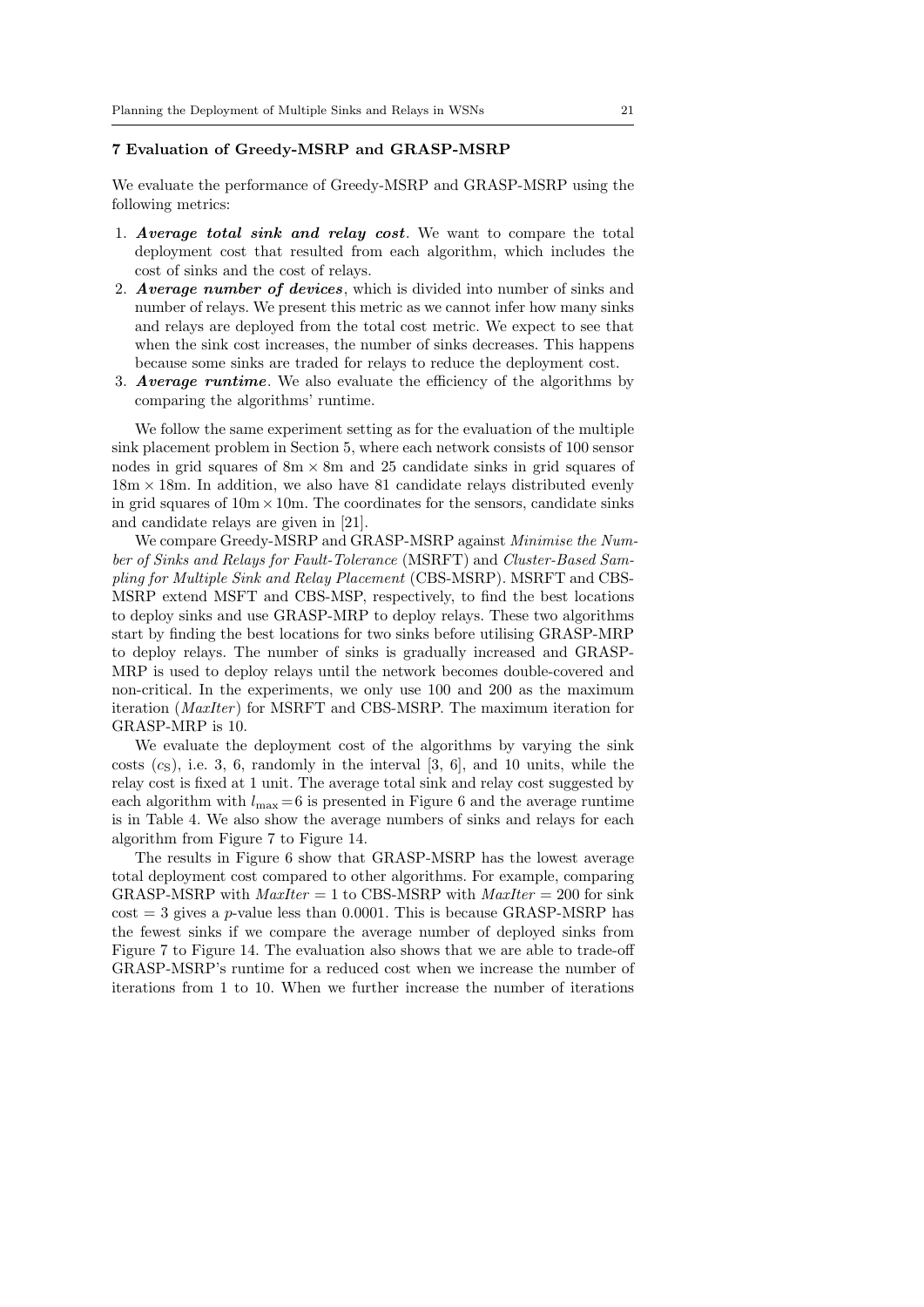### 7 Evaluation of Greedy-MSRP and GRASP-MSRP

We evaluate the performance of Greedy-MSRP and GRASP-MSRP using the following metrics:

- 1. Average total sink and relay cost. We want to compare the total deployment cost that resulted from each algorithm, which includes the cost of sinks and the cost of relays.
- 2. Average number of devices, which is divided into number of sinks and number of relays. We present this metric as we cannot infer how many sinks and relays are deployed from the total cost metric. We expect to see that when the sink cost increases, the number of sinks decreases. This happens because some sinks are traded for relays to reduce the deployment cost.
- 3. Average runtime. We also evaluate the efficiency of the algorithms by comparing the algorithms' runtime.

We follow the same experiment setting as for the evaluation of the multiple sink placement problem in Section 5, where each network consists of 100 sensor nodes in grid squares of  $8m \times 8m$  and 25 candidate sinks in grid squares of  $18m \times 18m$ . In addition, we also have 81 candidate relays distributed evenly in grid squares of  $10m \times 10m$ . The coordinates for the sensors, candidate sinks and candidate relays are given in [21].

We compare Greedy-MSRP and GRASP-MSRP against Minimise the Number of Sinks and Relays for Fault-Tolerance (MSRFT) and Cluster-Based Sampling for Multiple Sink and Relay Placement (CBS-MSRP). MSRFT and CBS-MSRP extend MSFT and CBS-MSP, respectively, to find the best locations to deploy sinks and use GRASP-MRP to deploy relays. These two algorithms start by finding the best locations for two sinks before utilising GRASP-MRP to deploy relays. The number of sinks is gradually increased and GRASP-MRP is used to deploy relays until the network becomes double-covered and non-critical. In the experiments, we only use 100 and 200 as the maximum iteration (*MaxIter*) for MSRFT and CBS-MSRP. The maximum iteration for GRASP-MRP is 10.

We evaluate the deployment cost of the algorithms by varying the sink costs  $(c<sub>S</sub>)$ , i.e. 3, 6, randomly in the interval [3, 6], and 10 units, while the relay cost is fixed at 1 unit. The average total sink and relay cost suggested by each algorithm with  $l_{\text{max}} = 6$  is presented in Figure 6 and the average runtime is in Table 4. We also show the average numbers of sinks and relays for each algorithm from Figure 7 to Figure 14.

The results in Figure 6 show that GRASP-MSRP has the lowest average total deployment cost compared to other algorithms. For example, comparing GRASP-MSRP with  $MaxIter = 1$  to CBS-MSRP with  $MaxIter = 200$  for sink  $\text{cost} = 3$  gives a p-value less than 0.0001. This is because GRASP-MSRP has the fewest sinks if we compare the average number of deployed sinks from Figure 7 to Figure 14. The evaluation also shows that we are able to trade-off GRASP-MSRP's runtime for a reduced cost when we increase the number of iterations from 1 to 10. When we further increase the number of iterations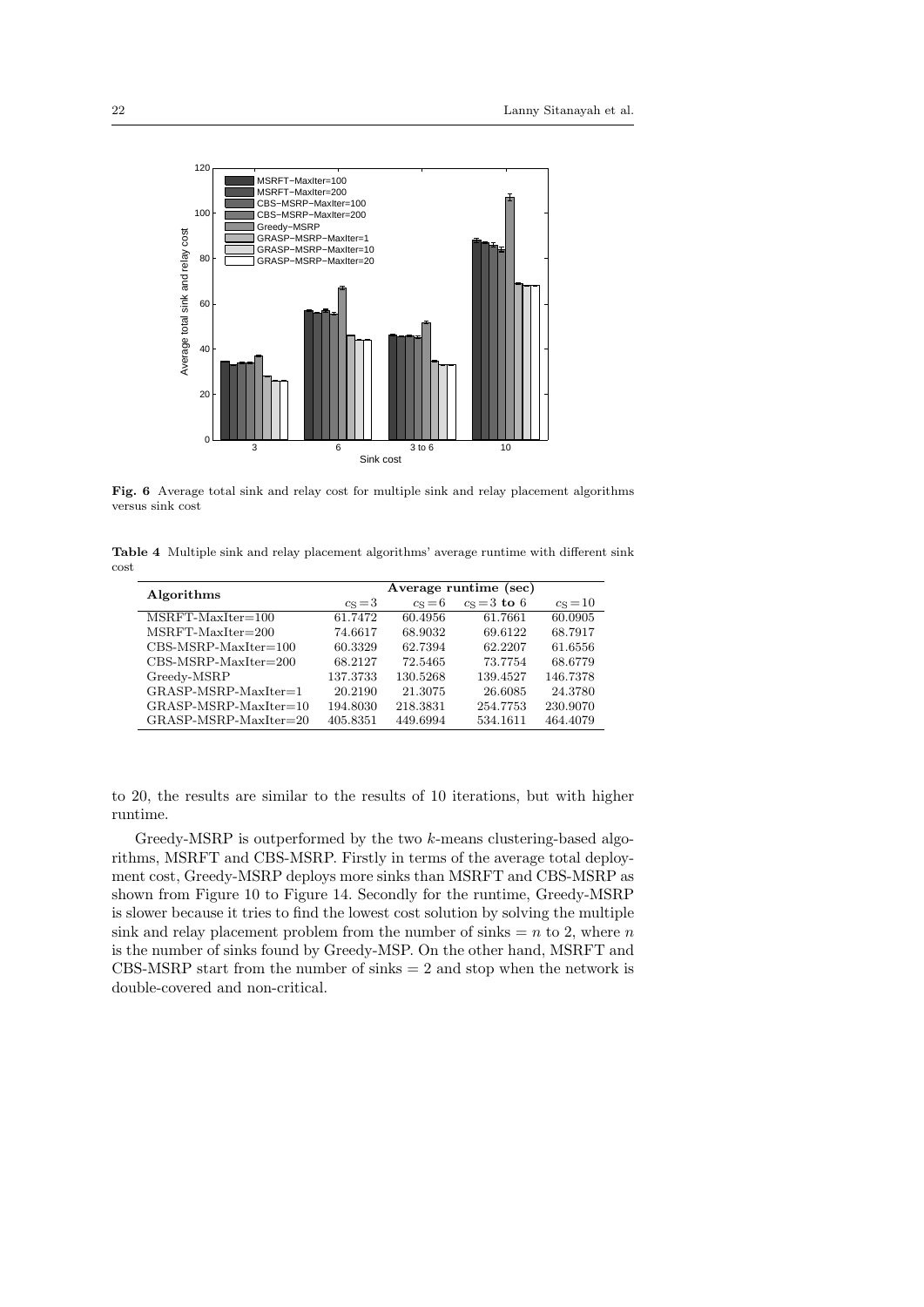

Fig. 6 Average total sink and relay cost for multiple sink and relay placement algorithms versus sink cost

Table 4 Multiple sink and relay placement algorithms' average runtime with different sink cost

| Algorithms                            | Average runtime (sec) |               |                |            |
|---------------------------------------|-----------------------|---------------|----------------|------------|
|                                       | $c_{\rm S}=3$         | $c_{\rm S}=6$ | $c_s = 3$ to 6 | $c_s = 10$ |
| $M$ SRFT-MaxIter=100                  | 61.7472               | 60.4956       | 61.7661        | 60.0905    |
| $M\text{SRFT-Max}$ Iter=200           | 74.6617               | 68.9032       | 69.6122        | 68.7917    |
| $CBS-MSRP-MaxIter=100$                | 60.3329               | 62.7394       | 62.2207        | 61.6556    |
| $CBS-MSRP-MaxIter=200$                | 68.2127               | 72.5465       | 73.7754        | 68.6779    |
| Greedy-MSRP                           | 137.3733              | 130.5268      | 139.4527       | 146.7378   |
| GRASP-MSRP-MaxIter=1                  | 20.2190               | 21.3075       | 26.6085        | 24.3780    |
| $GRASP\text{-}MSRP\text{-}MaxIter=10$ | 194.8030              | 218.3831      | 254.7753       | 230.9070   |
| GRASP-MSRP-MaxIter=20                 | 405.8351              | 449.6994      | 534.1611       | 464.4079   |

to 20, the results are similar to the results of 10 iterations, but with higher runtime.

Greedy-MSRP is outperformed by the two k-means clustering-based algorithms, MSRFT and CBS-MSRP. Firstly in terms of the average total deployment cost, Greedy-MSRP deploys more sinks than MSRFT and CBS-MSRP as shown from Figure 10 to Figure 14. Secondly for the runtime, Greedy-MSRP is slower because it tries to find the lowest cost solution by solving the multiple sink and relay placement problem from the number of sinks  $=n$  to 2, where n is the number of sinks found by Greedy-MSP. On the other hand, MSRFT and CBS-MSRP start from the number of sinks  $= 2$  and stop when the network is double-covered and non-critical.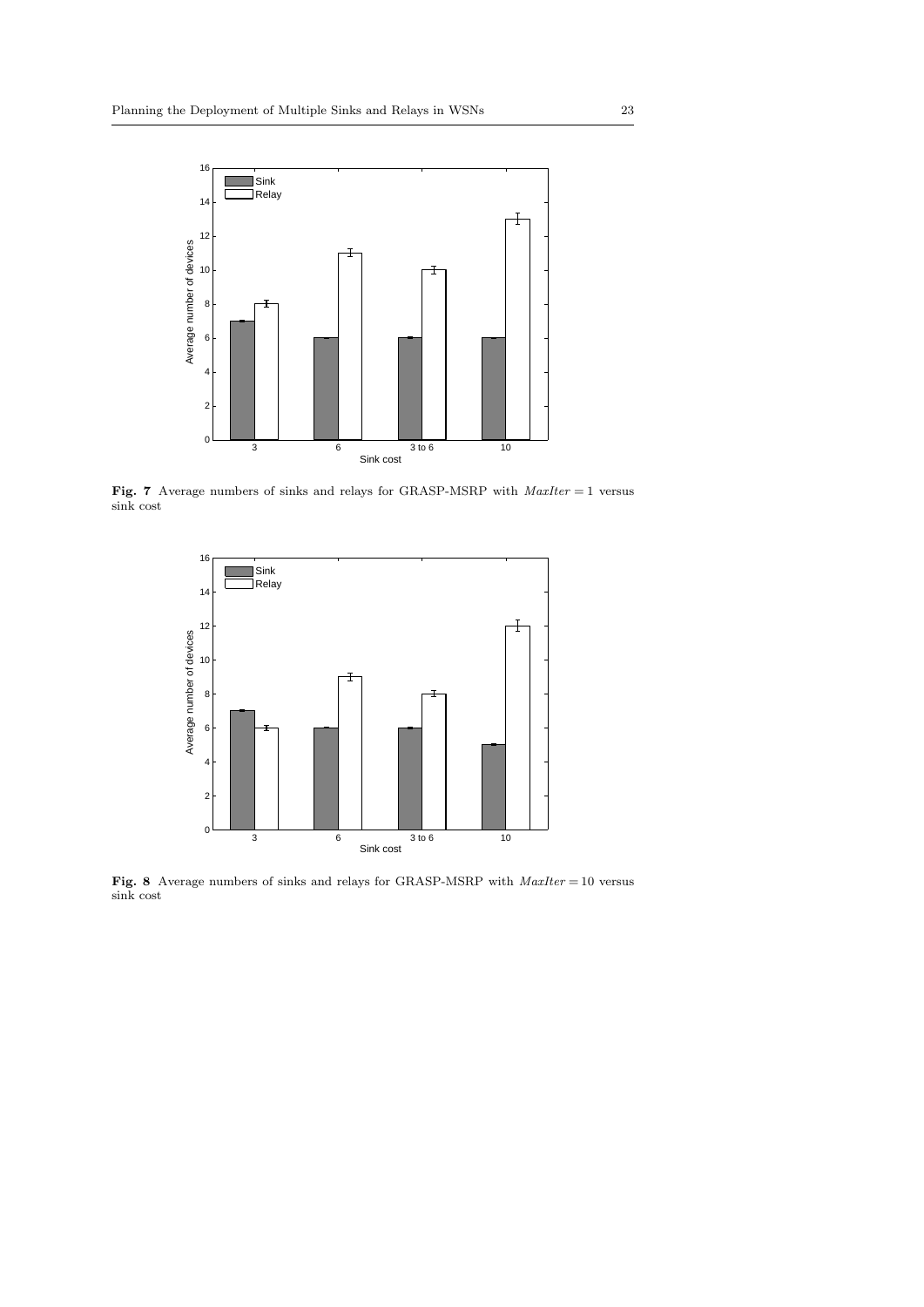

**Fig. 7** Average numbers of sinks and relays for GRASP-MSRP with  $MaxIter = 1$  versus sink cost



Fig. 8 Average numbers of sinks and relays for GRASP-MSRP with  $MaxIter = 10$  versus sink cost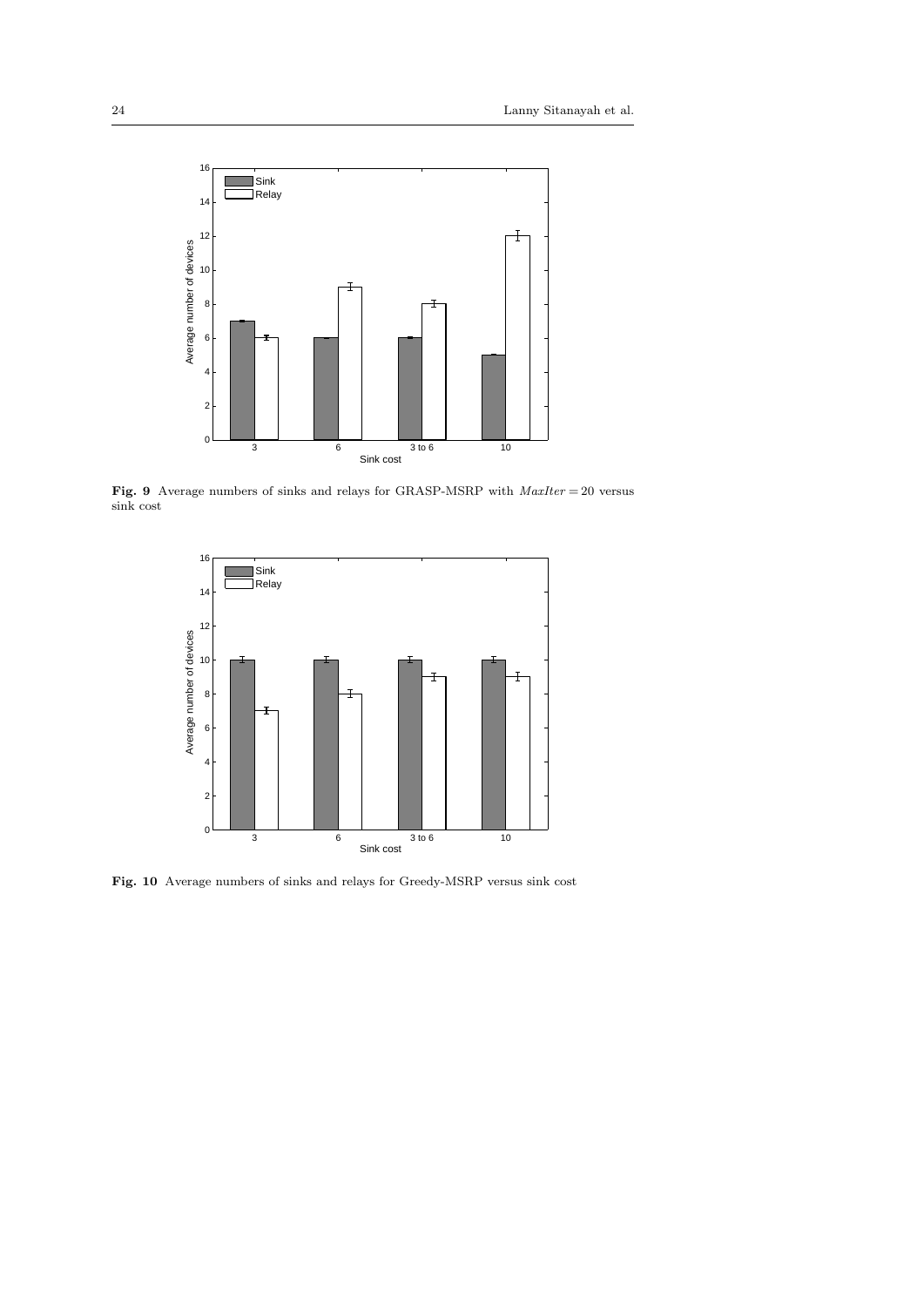

**Fig. 9** Average numbers of sinks and relays for GRASP-MSRP with  $MaxIter = 20$  versus sink cost



Fig. 10 Average numbers of sinks and relays for Greedy-MSRP versus sink cost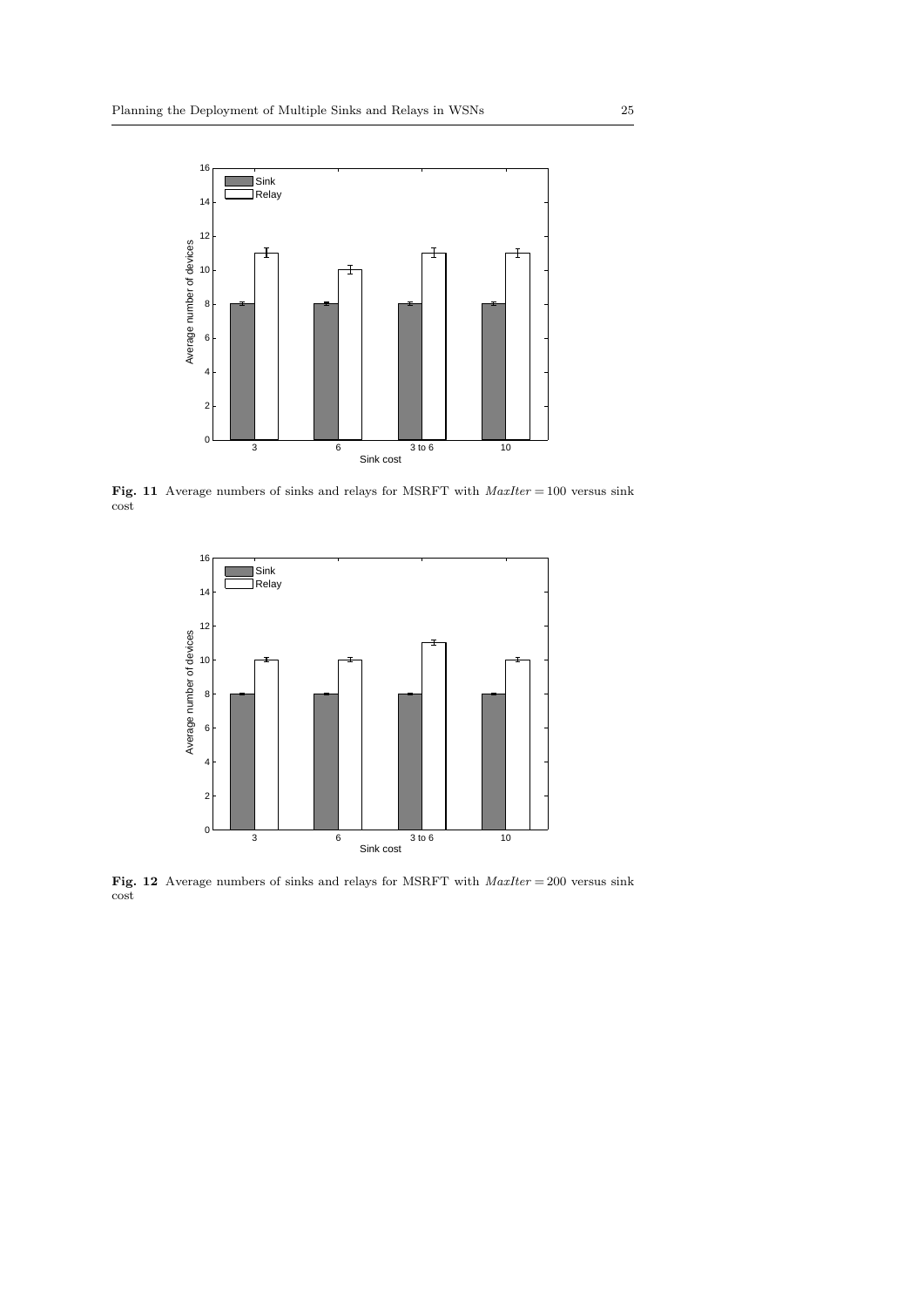

Fig. 11 Average numbers of sinks and relays for MSRFT with  $MaxIter = 100$  versus sink cost



Fig. 12 Average numbers of sinks and relays for MSRFT with  $MaxIter = 200$  versus sink cost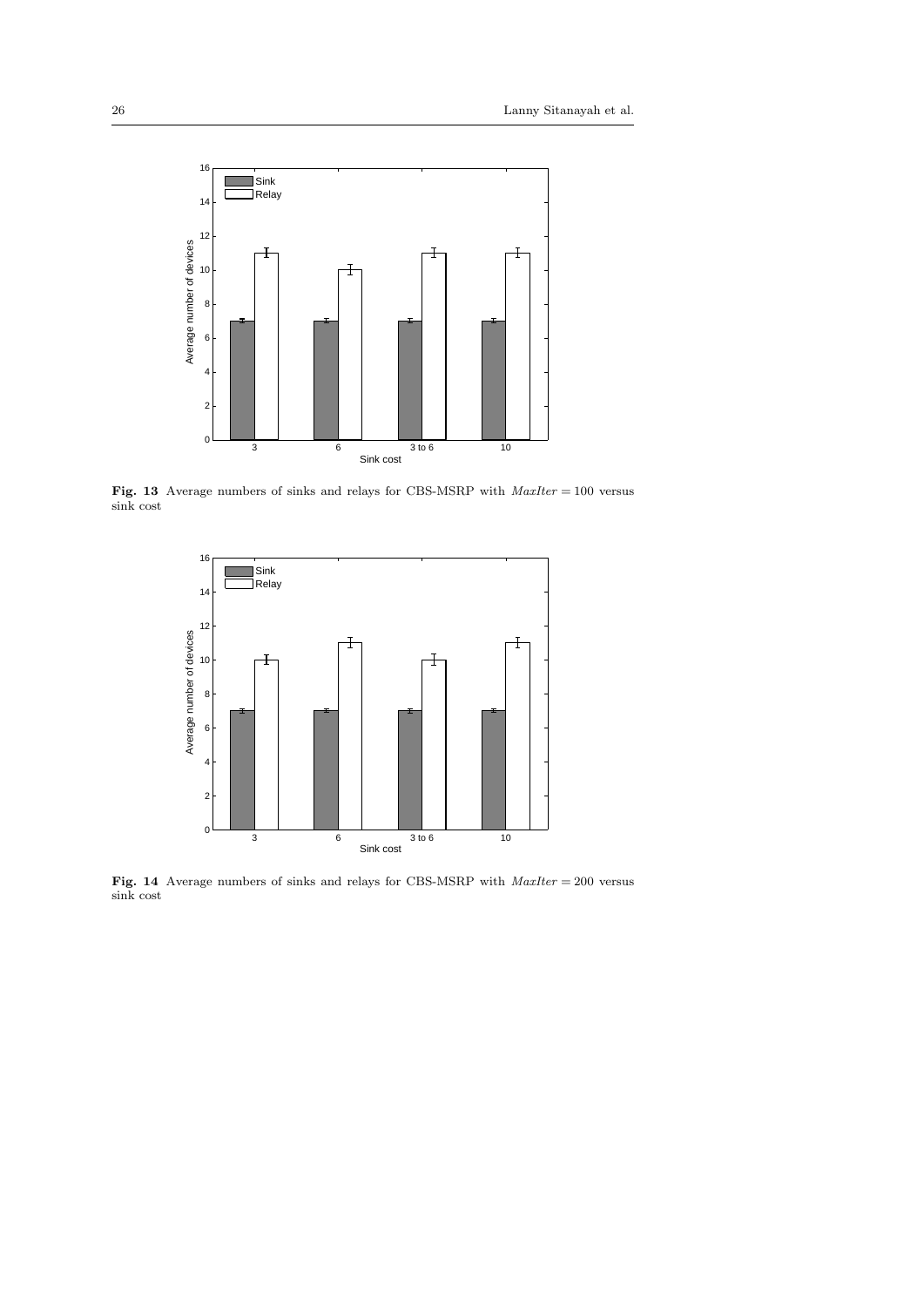

**Fig. 13** Average numbers of sinks and relays for CBS-MSRP with  $MaxIter = 100$  versus sink cost



**Fig. 14** Average numbers of sinks and relays for CBS-MSRP with  $MaxIter = 200$  versus sink cost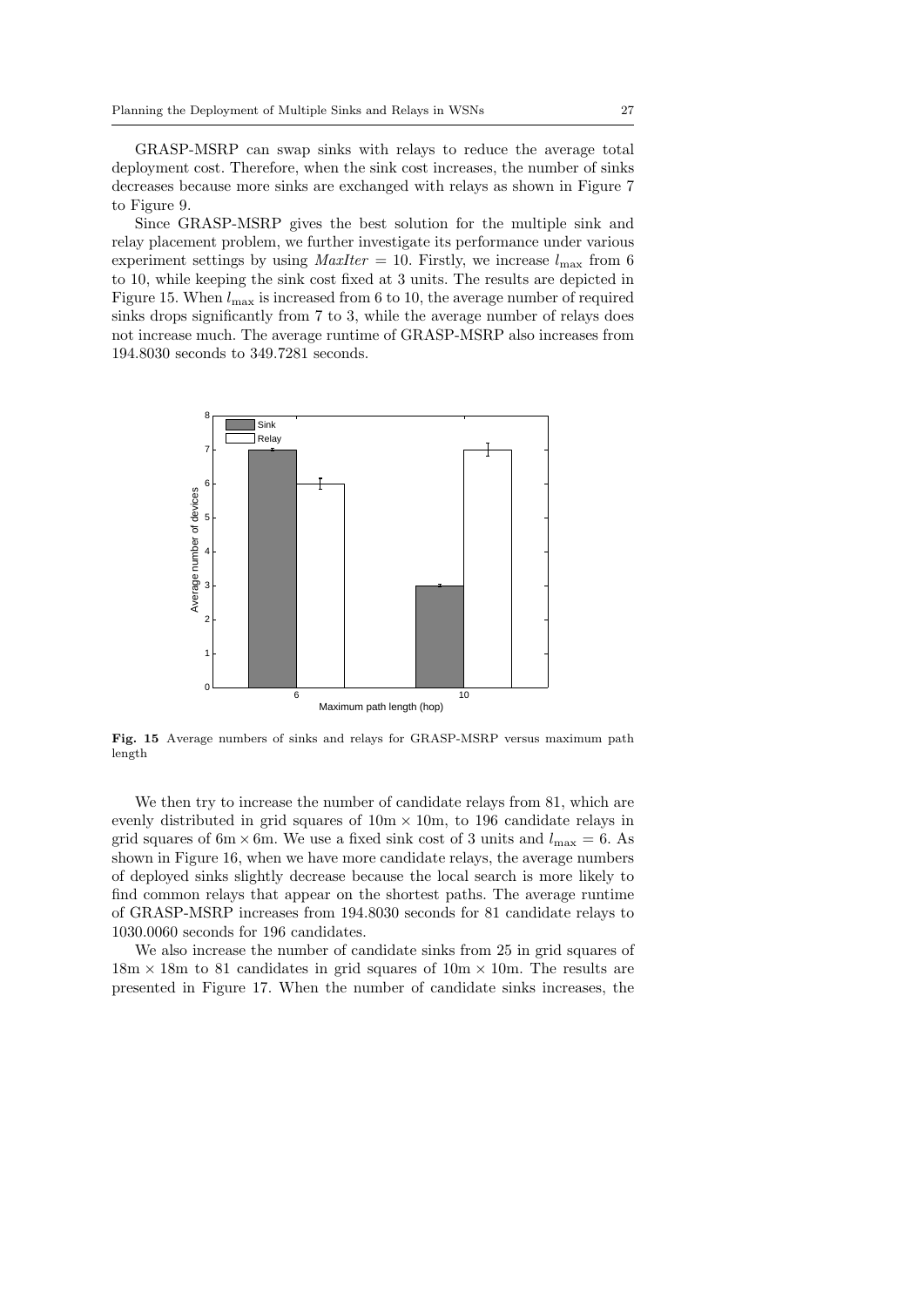GRASP-MSRP can swap sinks with relays to reduce the average total deployment cost. Therefore, when the sink cost increases, the number of sinks decreases because more sinks are exchanged with relays as shown in Figure 7 to Figure 9.

Since GRASP-MSRP gives the best solution for the multiple sink and relay placement problem, we further investigate its performance under various experiment settings by using *MaxIter* = 10. Firstly, we increase  $l_{\text{max}}$  from 6 to 10, while keeping the sink cost fixed at 3 units. The results are depicted in Figure 15. When  $l_{\text{max}}$  is increased from 6 to 10, the average number of required sinks drops significantly from 7 to 3, while the average number of relays does not increase much. The average runtime of GRASP-MSRP also increases from 194.8030 seconds to 349.7281 seconds.



Fig. 15 Average numbers of sinks and relays for GRASP-MSRP versus maximum path length

We then try to increase the number of candidate relays from 81, which are evenly distributed in grid squares of  $10m \times 10m$ , to 196 candidate relays in grid squares of 6m  $\times$  6m. We use a fixed sink cost of 3 units and  $l_{\text{max}} = 6$ . As shown in Figure 16, when we have more candidate relays, the average numbers of deployed sinks slightly decrease because the local search is more likely to find common relays that appear on the shortest paths. The average runtime of GRASP-MSRP increases from 194.8030 seconds for 81 candidate relays to 1030.0060 seconds for 196 candidates.

We also increase the number of candidate sinks from 25 in grid squares of  $18m \times 18m$  to 81 candidates in grid squares of  $10m \times 10m$ . The results are presented in Figure 17. When the number of candidate sinks increases, the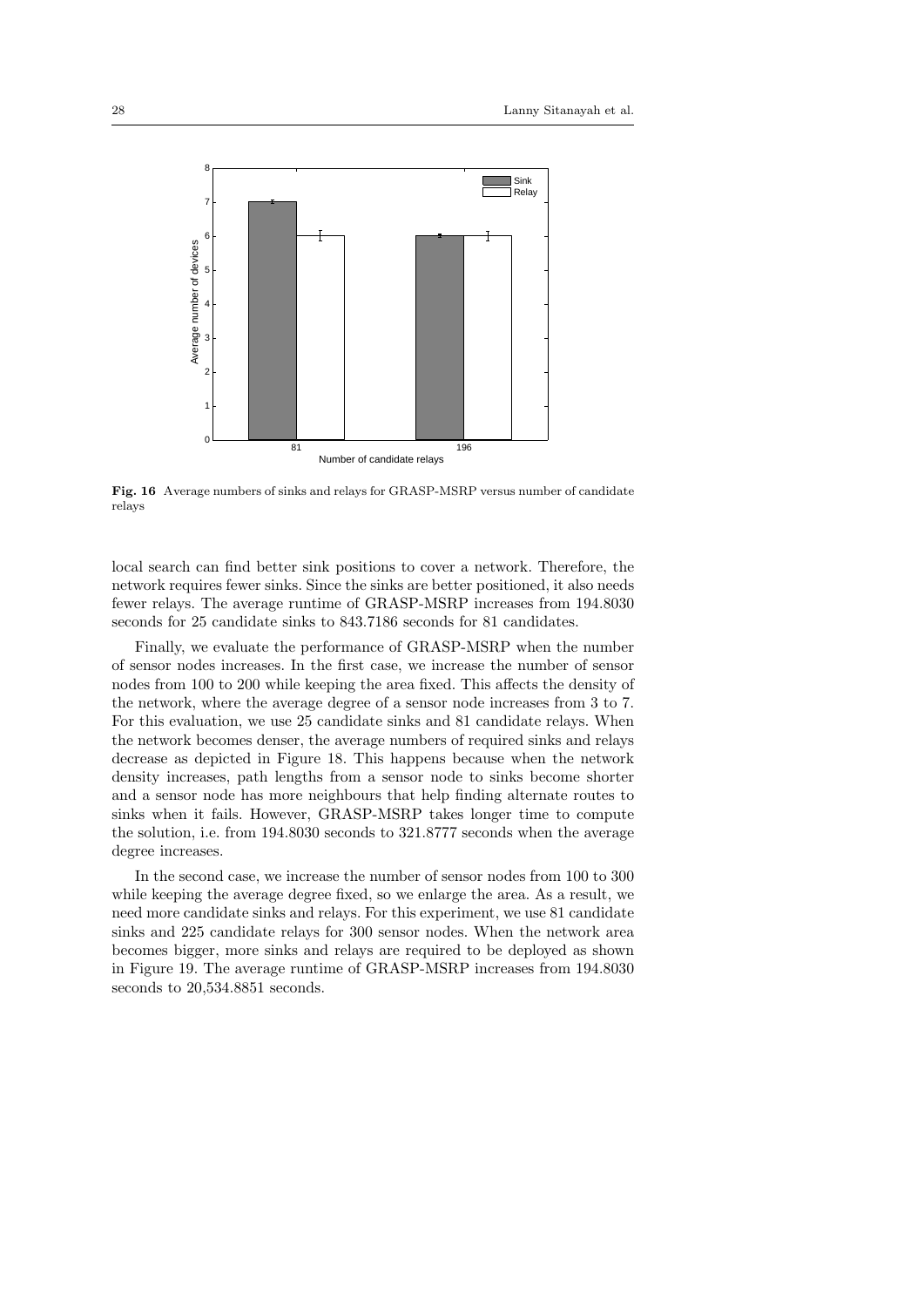

Fig. 16 Average numbers of sinks and relays for GRASP-MSRP versus number of candidate relays

local search can find better sink positions to cover a network. Therefore, the network requires fewer sinks. Since the sinks are better positioned, it also needs fewer relays. The average runtime of GRASP-MSRP increases from 194.8030 seconds for 25 candidate sinks to 843.7186 seconds for 81 candidates.

Finally, we evaluate the performance of GRASP-MSRP when the number of sensor nodes increases. In the first case, we increase the number of sensor nodes from 100 to 200 while keeping the area fixed. This affects the density of the network, where the average degree of a sensor node increases from 3 to 7. For this evaluation, we use 25 candidate sinks and 81 candidate relays. When the network becomes denser, the average numbers of required sinks and relays decrease as depicted in Figure 18. This happens because when the network density increases, path lengths from a sensor node to sinks become shorter and a sensor node has more neighbours that help finding alternate routes to sinks when it fails. However, GRASP-MSRP takes longer time to compute the solution, i.e. from 194.8030 seconds to 321.8777 seconds when the average degree increases.

In the second case, we increase the number of sensor nodes from 100 to 300 while keeping the average degree fixed, so we enlarge the area. As a result, we need more candidate sinks and relays. For this experiment, we use 81 candidate sinks and 225 candidate relays for 300 sensor nodes. When the network area becomes bigger, more sinks and relays are required to be deployed as shown in Figure 19. The average runtime of GRASP-MSRP increases from 194.8030 seconds to  $20,534.8851$  seconds.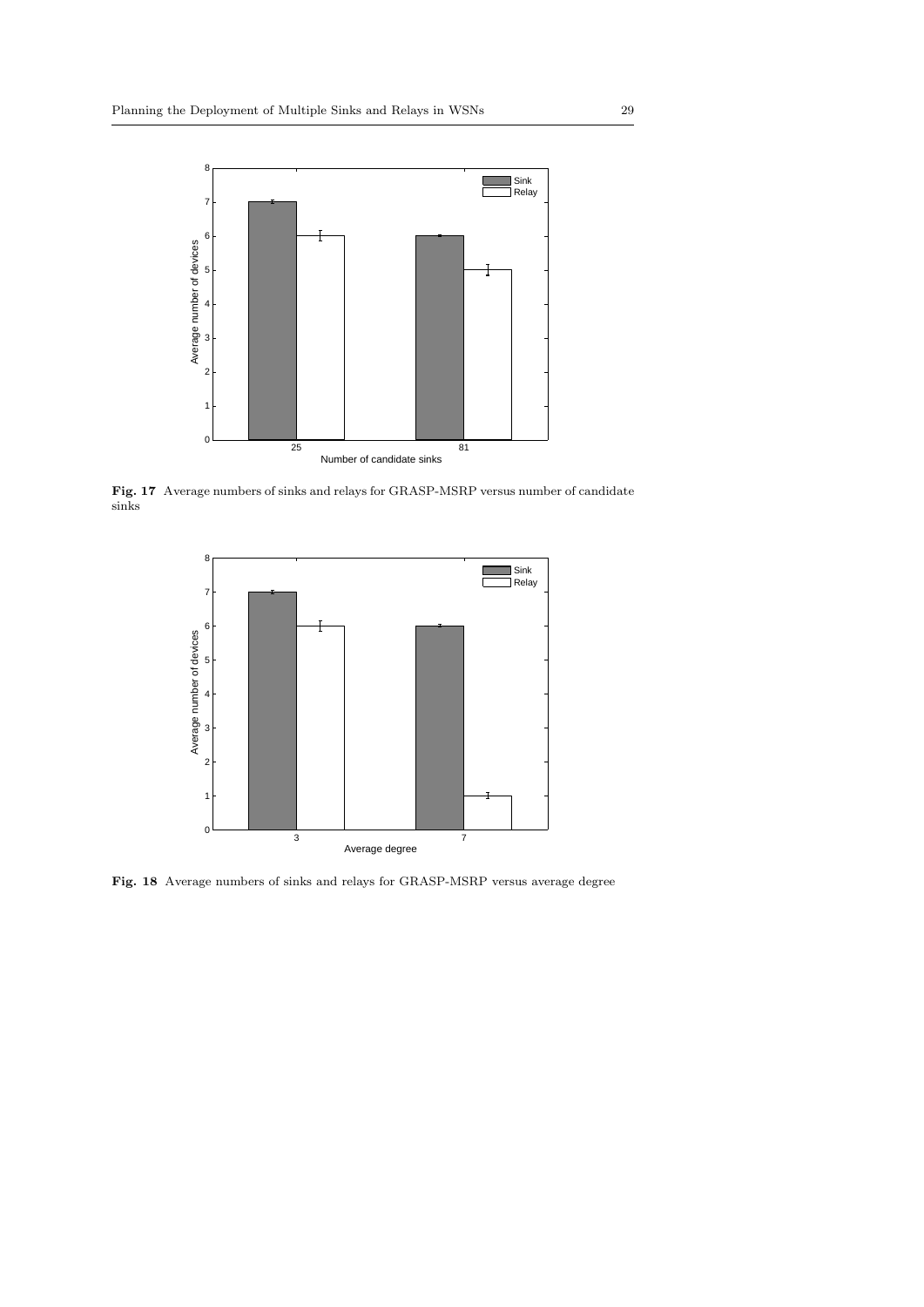

Fig. 17 Average numbers of sinks and relays for GRASP-MSRP versus number of candidate sinks



Fig. 18 Average numbers of sinks and relays for GRASP-MSRP versus average degree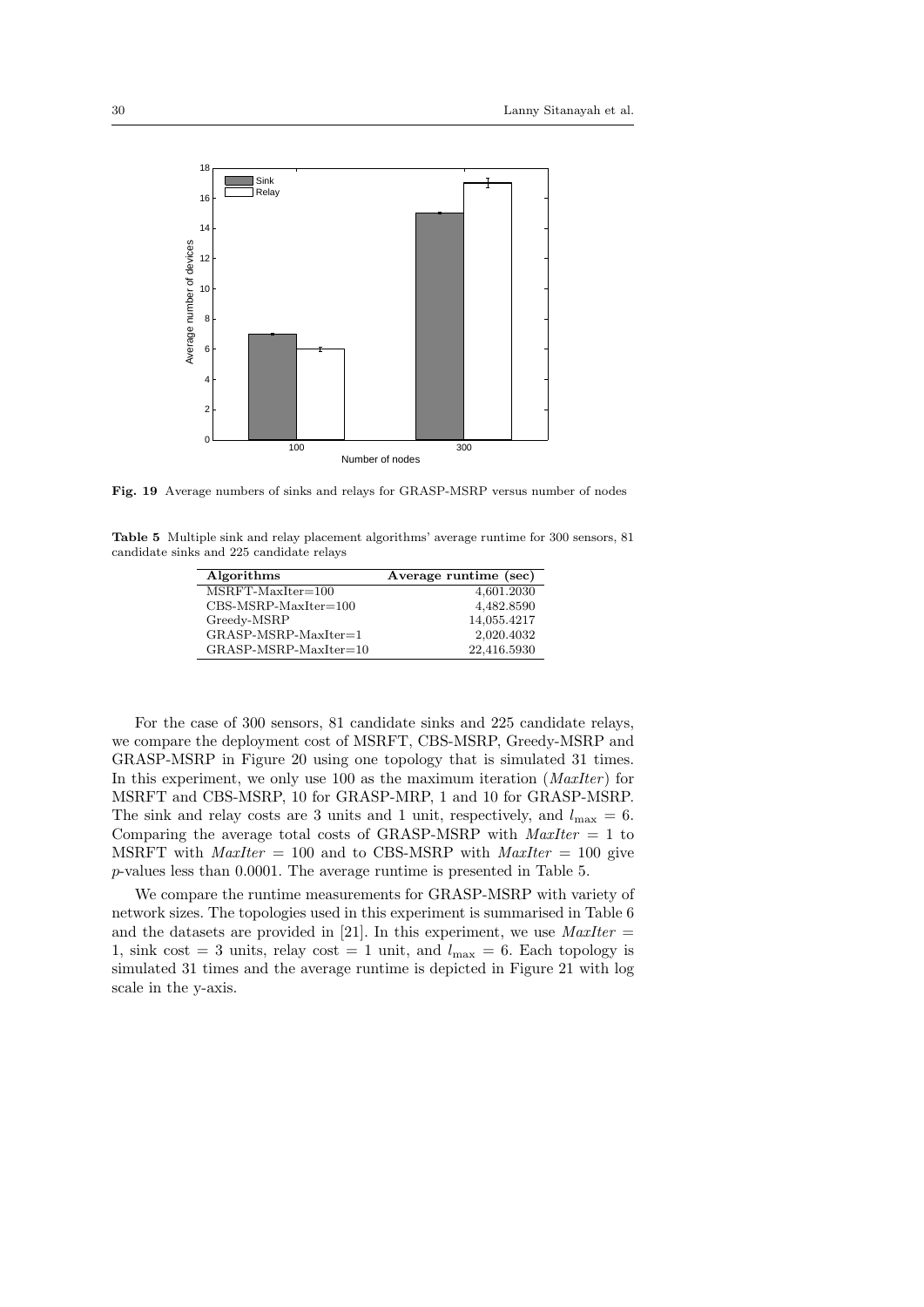

Fig. 19 Average numbers of sinks and relays for GRASP-MSRP versus number of nodes

Table 5 Multiple sink and relay placement algorithms' average runtime for 300 sensors, 81 candidate sinks and 225 candidate relays

| Algorithms                            | Average runtime (sec) |
|---------------------------------------|-----------------------|
| $M$ SRFT-MaxIter=100                  | 4,601.2030            |
| $CBS-MSRP-MaxIter=100$                | 4,482.8590            |
| Greedy-MSRP                           | 14,055.4217           |
| $GRASP\text{-}MSRP\text{-}MaxIter=1$  | 2,020.4032            |
| $GRASP\text{-}MSRP\text{-}MaxIter=10$ | 22,416.5930           |

For the case of 300 sensors, 81 candidate sinks and 225 candidate relays, we compare the deployment cost of MSRFT, CBS-MSRP, Greedy-MSRP and GRASP-MSRP in Figure 20 using one topology that is simulated 31 times. In this experiment, we only use 100 as the maximum iteration  $(MaxIter)$  for MSRFT and CBS-MSRP, 10 for GRASP-MRP, 1 and 10 for GRASP-MSRP. The sink and relay costs are 3 units and 1 unit, respectively, and  $l_{\text{max}} = 6$ . Comparing the average total costs of GRASP-MSRP with  $\textit{MaxIter} = 1$  to MSRFT with  $MaxIter = 100$  and to CBS-MSRP with  $MaxIter = 100$  give p-values less than 0.0001. The average runtime is presented in Table 5.

We compare the runtime measurements for GRASP-MSRP with variety of network sizes. The topologies used in this experiment is summarised in Table 6 and the datasets are provided in [21]. In this experiment, we use  $\textit{MaxIter}$  = 1, sink cost = 3 units, relay cost = 1 unit, and  $l_{\text{max}} = 6$ . Each topology is simulated 31 times and the average runtime is depicted in Figure 21 with log scale in the y-axis.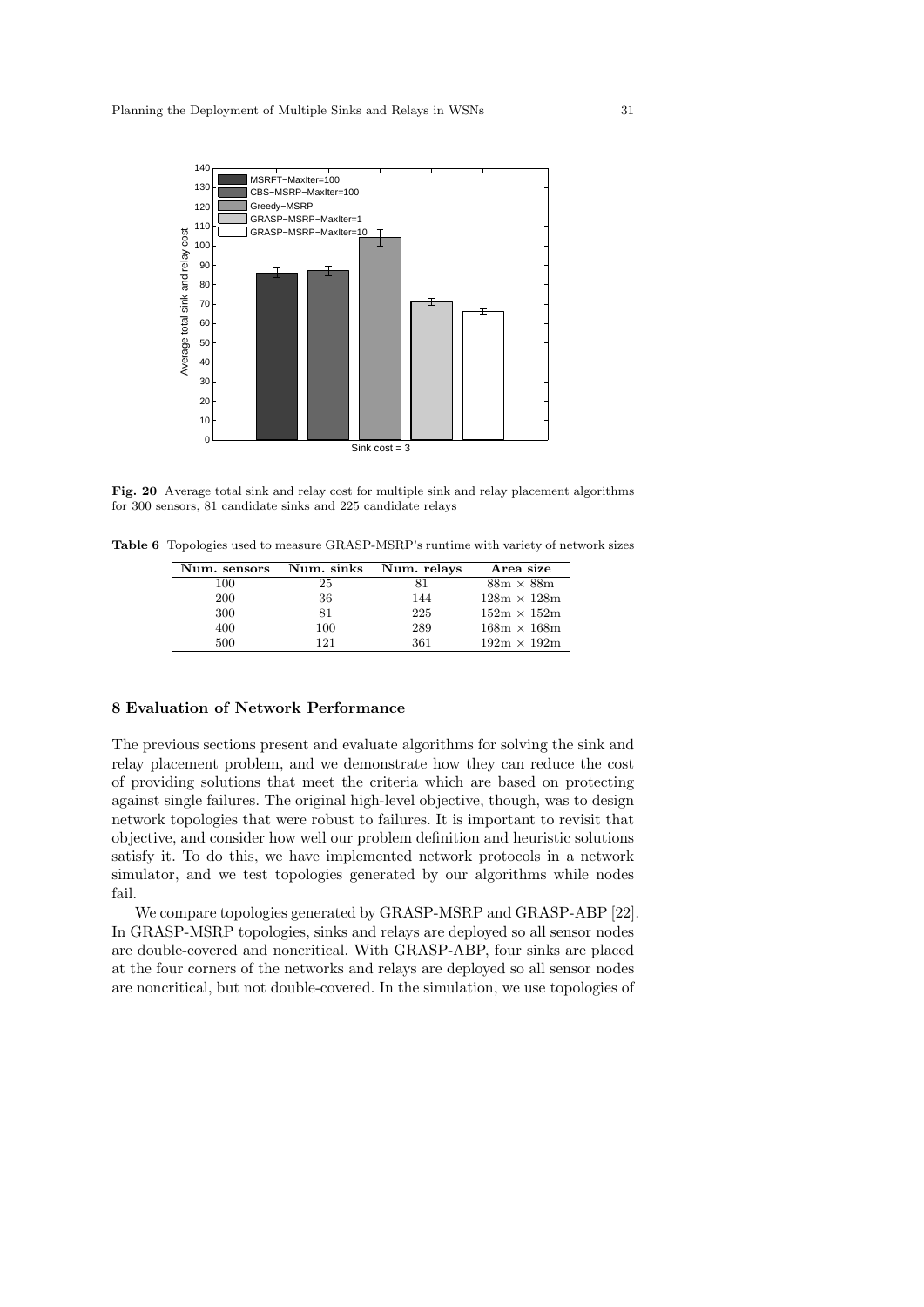

Fig. 20 Average total sink and relay cost for multiple sink and relay placement algorithms for 300 sensors, 81 candidate sinks and 225 candidate relays

Table 6 Topologies used to measure GRASP-MSRP's runtime with variety of network sizes

| Num. sensors | Num. sinks | Num. relays | Area size          |
|--------------|------------|-------------|--------------------|
| 100          | 25         | 81          | $88m \times 88m$   |
| 200          | 36         | 144         | $128m \times 128m$ |
| 300          | 81         | 225         | $152m \times 152m$ |
| 400          | 100        | 289         | $168m \times 168m$ |
| 500          | 121        | 361         | $192m \times 192m$ |

## 8 Evaluation of Network Performance

The previous sections present and evaluate algorithms for solving the sink and relay placement problem, and we demonstrate how they can reduce the cost of providing solutions that meet the criteria which are based on protecting against single failures. The original high-level objective, though, was to design network topologies that were robust to failures. It is important to revisit that objective, and consider how well our problem definition and heuristic solutions satisfy it. To do this, we have implemented network protocols in a network simulator, and we test topologies generated by our algorithms while nodes fail.

We compare topologies generated by GRASP-MSRP and GRASP-ABP [22]. In GRASP-MSRP topologies, sinks and relays are deployed so all sensor nodes are double-covered and noncritical. With GRASP-ABP, four sinks are placed at the four corners of the networks and relays are deployed so all sensor nodes are noncritical, but not double-covered. In the simulation, we use topologies of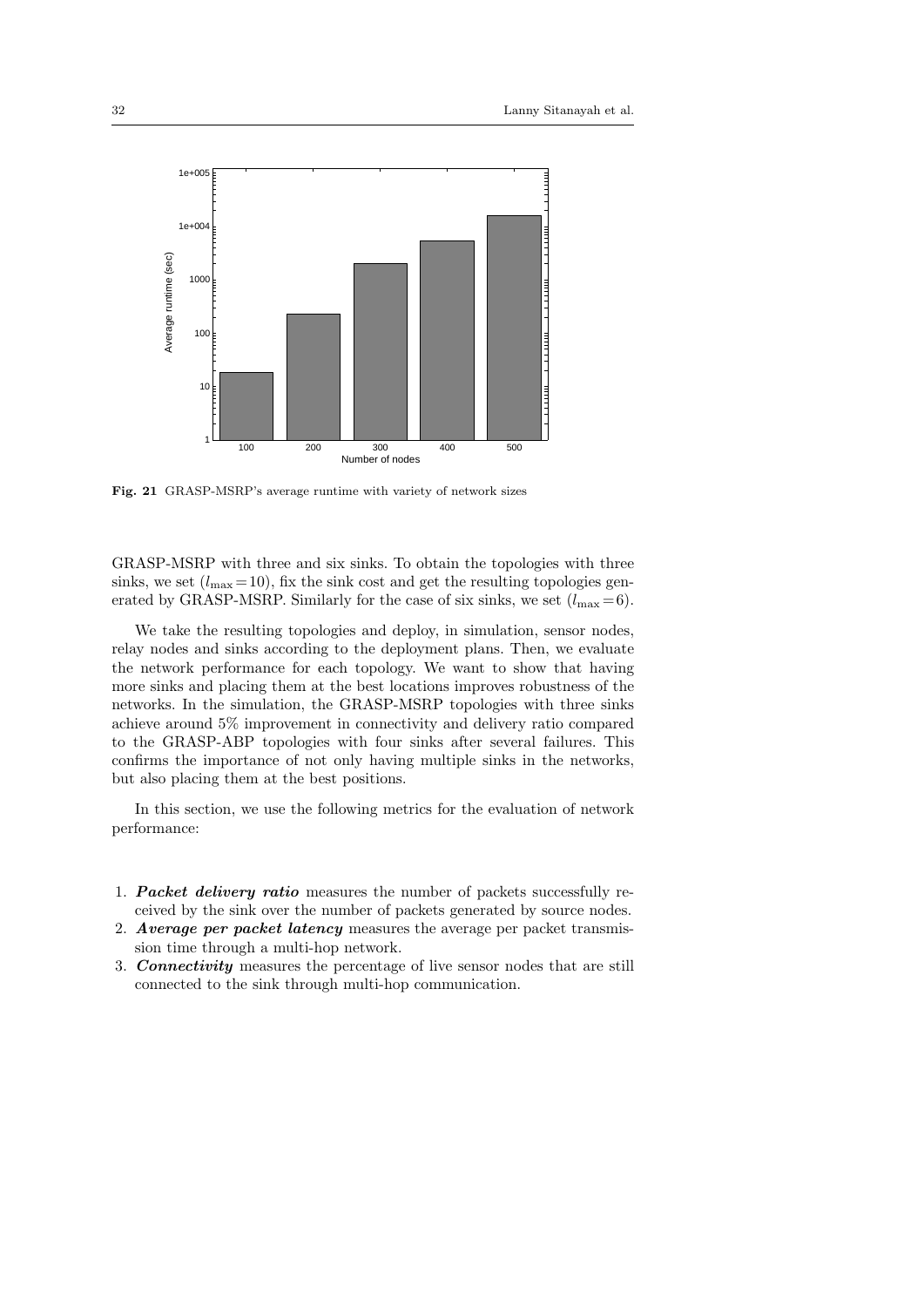

Fig. 21 GRASP-MSRP's average runtime with variety of network sizes

GRASP-MSRP with three and six sinks. To obtain the topologies with three sinks, we set  $(l_{\text{max}} = 10)$ , fix the sink cost and get the resulting topologies generated by GRASP-MSRP. Similarly for the case of six sinks, we set  $(l_{\text{max}}=6)$ .

We take the resulting topologies and deploy, in simulation, sensor nodes, relay nodes and sinks according to the deployment plans. Then, we evaluate the network performance for each topology. We want to show that having more sinks and placing them at the best locations improves robustness of the networks. In the simulation, the GRASP-MSRP topologies with three sinks achieve around 5% improvement in connectivity and delivery ratio compared to the GRASP-ABP topologies with four sinks after several failures. This confirms the importance of not only having multiple sinks in the networks, but also placing them at the best positions.

In this section, we use the following metrics for the evaluation of network performance:

- 1. Packet delivery ratio measures the number of packets successfully received by the sink over the number of packets generated by source nodes.
- 2. Average per packet latency measures the average per packet transmission time through a multi-hop network.
- 3. Connectivity measures the percentage of live sensor nodes that are still connected to the sink through multi-hop communication.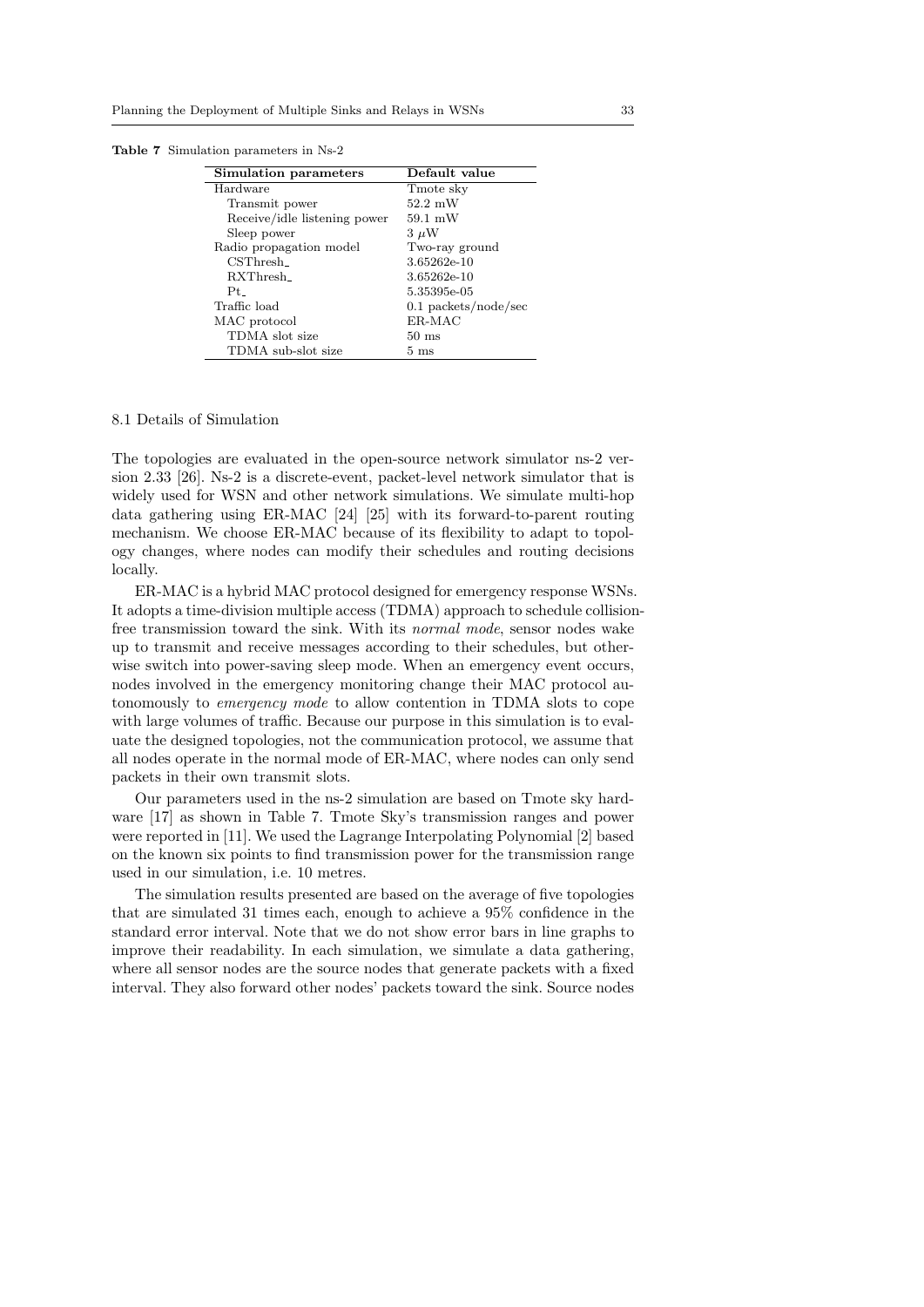| Simulation parameters        | Default value          |
|------------------------------|------------------------|
| Hardware                     | Tmote sky              |
| Transmit power               | $52.2 \text{ mW}$      |
| Receive/idle listening power | $59.1 \text{ mW}$      |
| Sleep power                  | $3 \mu W$              |
| Radio propagation model      | Two-ray ground         |
| $CSThresh_$                  | 3.65262e-10            |
| RXThresh_                    | 3.65262e-10            |
| Pt                           | 5.35395e-05            |
| Traffic load                 | $0.1$ packets/node/sec |
| MAC protocol                 | ER-MAC                 |
| TDMA slot size               | $50 \text{ ms}$        |
| TDMA sub-slot size           | $5 \text{ ms}$         |

Table 7 Simulation parameters in Ns-2

## 8.1 Details of Simulation

The topologies are evaluated in the open-source network simulator ns-2 version 2.33 [26]. Ns-2 is a discrete-event, packet-level network simulator that is widely used for WSN and other network simulations. We simulate multi-hop data gathering using ER-MAC [24] [25] with its forward-to-parent routing mechanism. We choose ER-MAC because of its flexibility to adapt to topology changes, where nodes can modify their schedules and routing decisions locally.

ER-MAC is a hybrid MAC protocol designed for emergency response WSNs. It adopts a time-division multiple access (TDMA) approach to schedule collisionfree transmission toward the sink. With its normal mode, sensor nodes wake up to transmit and receive messages according to their schedules, but otherwise switch into power-saving sleep mode. When an emergency event occurs, nodes involved in the emergency monitoring change their MAC protocol autonomously to emergency mode to allow contention in TDMA slots to cope with large volumes of traffic. Because our purpose in this simulation is to evaluate the designed topologies, not the communication protocol, we assume that all nodes operate in the normal mode of ER-MAC, where nodes can only send packets in their own transmit slots.

Our parameters used in the ns-2 simulation are based on Tmote sky hardware [17] as shown in Table 7. Tmote Sky's transmission ranges and power were reported in [11]. We used the Lagrange Interpolating Polynomial [2] based on the known six points to find transmission power for the transmission range used in our simulation, i.e. 10 metres.

The simulation results presented are based on the average of five topologies that are simulated 31 times each, enough to achieve a 95% confidence in the standard error interval. Note that we do not show error bars in line graphs to improve their readability. In each simulation, we simulate a data gathering, where all sensor nodes are the source nodes that generate packets with a fixed interval. They also forward other nodes' packets toward the sink. Source nodes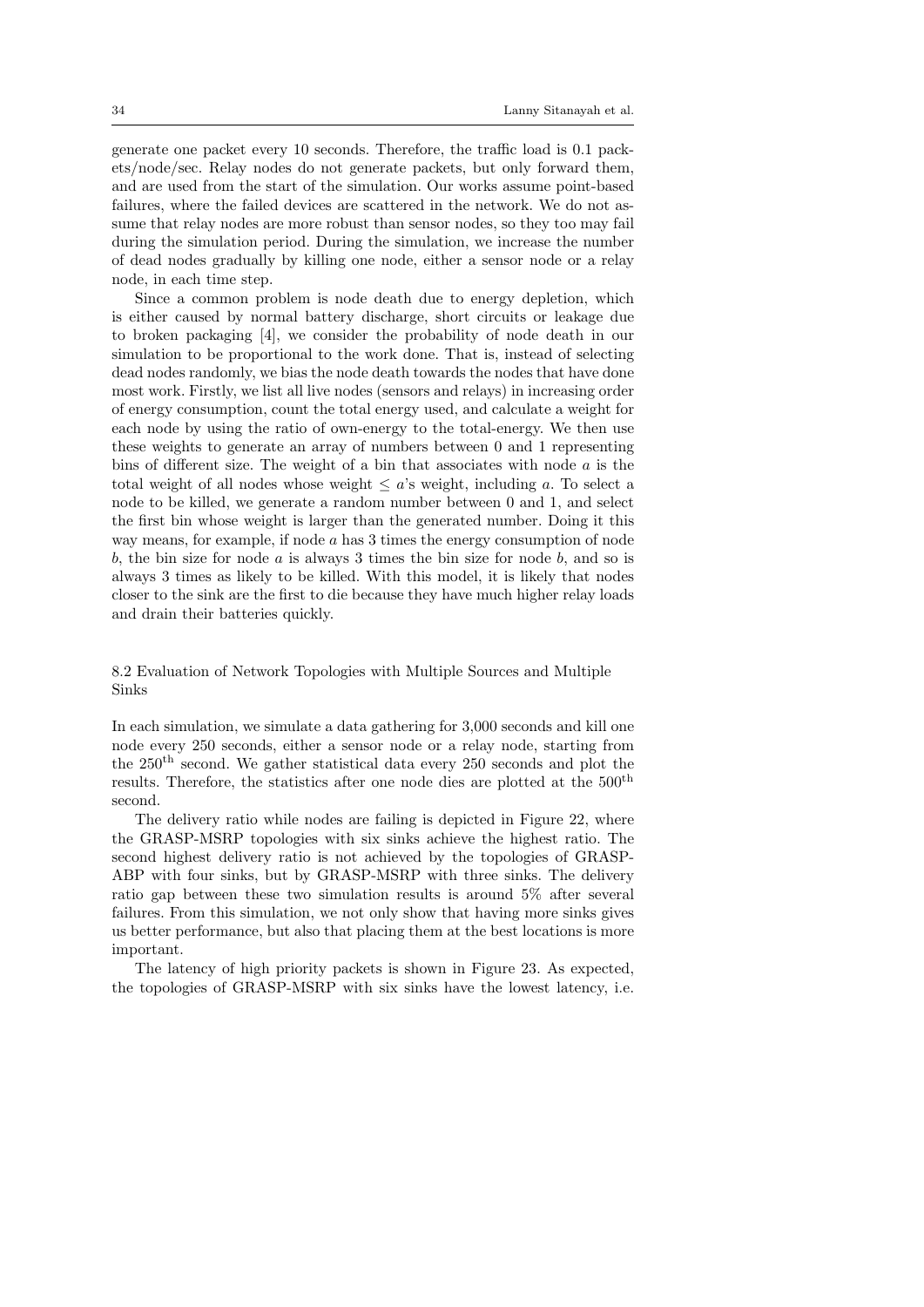generate one packet every 10 seconds. Therefore, the traffic load is 0.1 packets/node/sec. Relay nodes do not generate packets, but only forward them, and are used from the start of the simulation. Our works assume point-based failures, where the failed devices are scattered in the network. We do not assume that relay nodes are more robust than sensor nodes, so they too may fail during the simulation period. During the simulation, we increase the number of dead nodes gradually by killing one node, either a sensor node or a relay node, in each time step.

Since a common problem is node death due to energy depletion, which is either caused by normal battery discharge, short circuits or leakage due to broken packaging [4], we consider the probability of node death in our simulation to be proportional to the work done. That is, instead of selecting dead nodes randomly, we bias the node death towards the nodes that have done most work. Firstly, we list all live nodes (sensors and relays) in increasing order of energy consumption, count the total energy used, and calculate a weight for each node by using the ratio of own-energy to the total-energy. We then use these weights to generate an array of numbers between 0 and 1 representing bins of different size. The weight of a bin that associates with node a is the total weight of all nodes whose weight  $\leq a$ 's weight, including a. To select a node to be killed, we generate a random number between 0 and 1, and select the first bin whose weight is larger than the generated number. Doing it this way means, for example, if node  $a$  has 3 times the energy consumption of node  $b$ , the bin size for node  $a$  is always 3 times the bin size for node  $b$ , and so is always 3 times as likely to be killed. With this model, it is likely that nodes closer to the sink are the first to die because they have much higher relay loads and drain their batteries quickly.

8.2 Evaluation of Network Topologies with Multiple Sources and Multiple Sinks

In each simulation, we simulate a data gathering for 3,000 seconds and kill one node every 250 seconds, either a sensor node or a relay node, starting from the 250th second. We gather statistical data every 250 seconds and plot the results. Therefore, the statistics after one node dies are plotted at the  $500<sup>th</sup>$ second.

The delivery ratio while nodes are failing is depicted in Figure 22, where the GRASP-MSRP topologies with six sinks achieve the highest ratio. The second highest delivery ratio is not achieved by the topologies of GRASP-ABP with four sinks, but by GRASP-MSRP with three sinks. The delivery ratio gap between these two simulation results is around 5% after several failures. From this simulation, we not only show that having more sinks gives us better performance, but also that placing them at the best locations is more important.

The latency of high priority packets is shown in Figure 23. As expected, the topologies of GRASP-MSRP with six sinks have the lowest latency, i.e.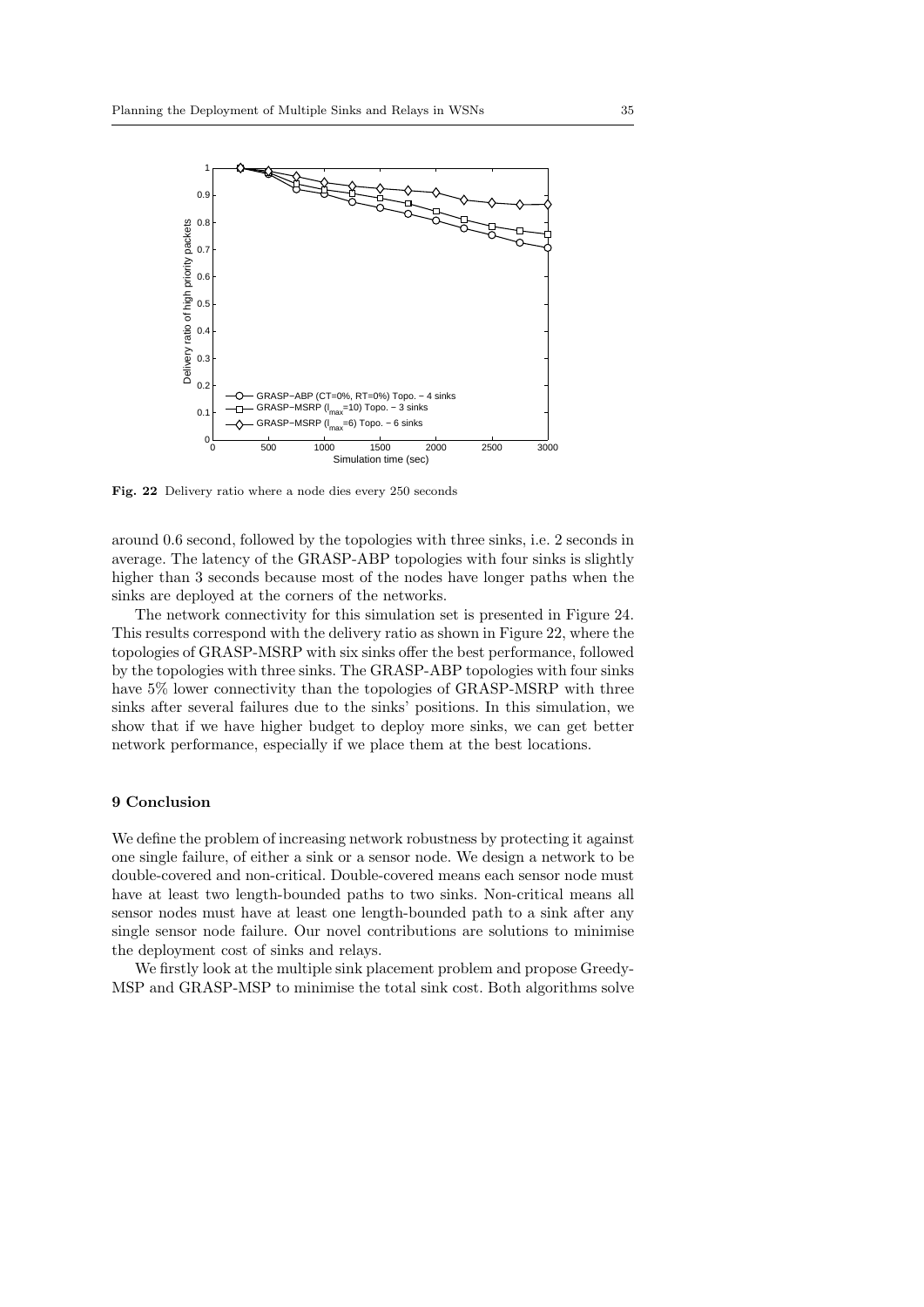

Fig. 22 Delivery ratio where a node dies every 250 seconds

around 0.6 second, followed by the topologies with three sinks, i.e. 2 seconds in average. The latency of the GRASP-ABP topologies with four sinks is slightly higher than 3 seconds because most of the nodes have longer paths when the sinks are deployed at the corners of the networks.

The network connectivity for this simulation set is presented in Figure 24. This results correspond with the delivery ratio as shown in Figure 22, where the topologies of GRASP-MSRP with six sinks offer the best performance, followed by the topologies with three sinks. The GRASP-ABP topologies with four sinks have  $5\%$  lower connectivity than the topologies of GRASP-MSRP with three sinks after several failures due to the sinks' positions. In this simulation, we show that if we have higher budget to deploy more sinks, we can get better network performance, especially if we place them at the best locations.

# 9 Conclusion

We define the problem of increasing network robustness by protecting it against one single failure, of either a sink or a sensor node. We design a network to be double-covered and non-critical. Double-covered means each sensor node must have at least two length-bounded paths to two sinks. Non-critical means all sensor nodes must have at least one length-bounded path to a sink after any single sensor node failure. Our novel contributions are solutions to minimise the deployment cost of sinks and relays.

We firstly look at the multiple sink placement problem and propose Greedy-MSP and GRASP-MSP to minimise the total sink cost. Both algorithms solve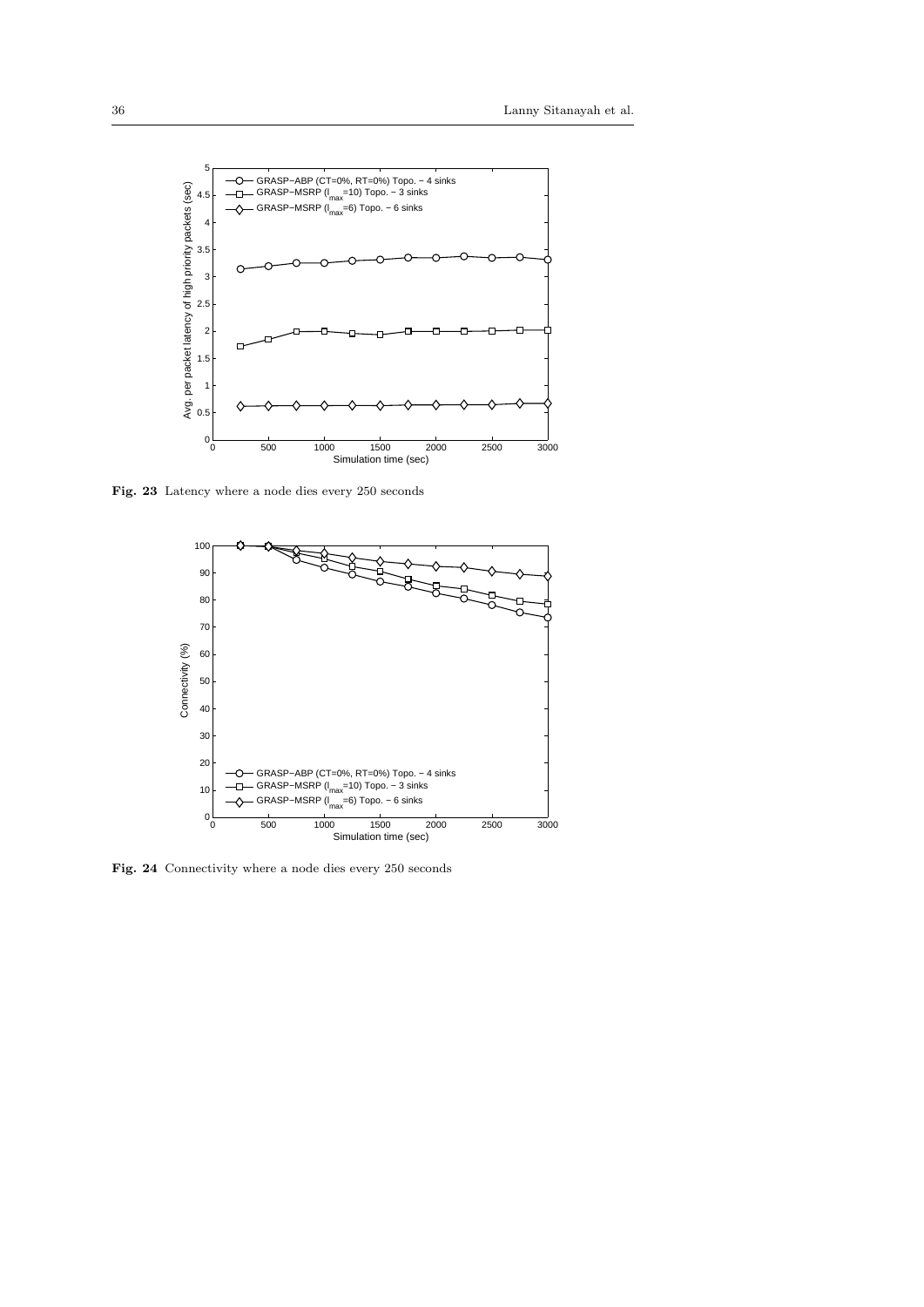

Fig. 23 Latency where a node dies every 250 seconds



Fig. 24 Connectivity where a node dies every 250 seconds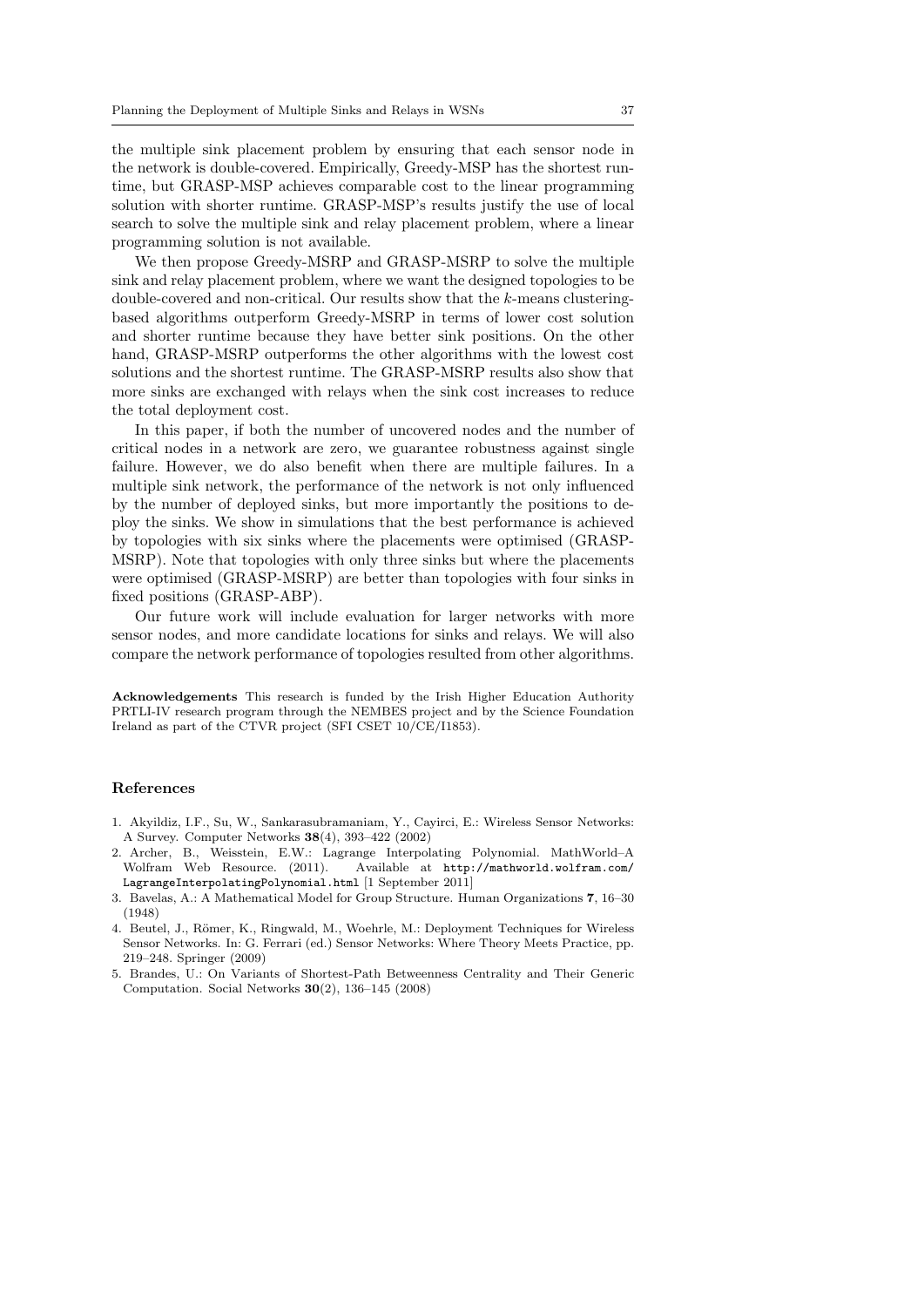the multiple sink placement problem by ensuring that each sensor node in the network is double-covered. Empirically, Greedy-MSP has the shortest runtime, but GRASP-MSP achieves comparable cost to the linear programming solution with shorter runtime. GRASP-MSP's results justify the use of local search to solve the multiple sink and relay placement problem, where a linear programming solution is not available.

We then propose Greedy-MSRP and GRASP-MSRP to solve the multiple sink and relay placement problem, where we want the designed topologies to be double-covered and non-critical. Our results show that the k-means clusteringbased algorithms outperform Greedy-MSRP in terms of lower cost solution and shorter runtime because they have better sink positions. On the other hand, GRASP-MSRP outperforms the other algorithms with the lowest cost solutions and the shortest runtime. The GRASP-MSRP results also show that more sinks are exchanged with relays when the sink cost increases to reduce the total deployment cost.

In this paper, if both the number of uncovered nodes and the number of critical nodes in a network are zero, we guarantee robustness against single failure. However, we do also benefit when there are multiple failures. In a multiple sink network, the performance of the network is not only influenced by the number of deployed sinks, but more importantly the positions to deploy the sinks. We show in simulations that the best performance is achieved by topologies with six sinks where the placements were optimised (GRASP-MSRP). Note that topologies with only three sinks but where the placements were optimised (GRASP-MSRP) are better than topologies with four sinks in fixed positions (GRASP-ABP).

Our future work will include evaluation for larger networks with more sensor nodes, and more candidate locations for sinks and relays. We will also compare the network performance of topologies resulted from other algorithms.

Acknowledgements This research is funded by the Irish Higher Education Authority PRTLI-IV research program through the NEMBES project and by the Science Foundation Ireland as part of the CTVR project (SFI CSET 10/CE/I1853).

#### References

- 1. Akyildiz, I.F., Su, W., Sankarasubramaniam, Y., Cayirci, E.: Wireless Sensor Networks: A Survey. Computer Networks 38(4), 393–422 (2002)
- 2. Archer, B., Weisstein, E.W.: Lagrange Interpolating Polynomial. MathWorld–A Wolfram Web Resource. (2011). Available at http://mathworld.wolfram.com/ LagrangeInterpolatingPolynomial.html [1 September 2011]
- 3. Bavelas, A.: A Mathematical Model for Group Structure. Human Organizations 7, 16–30 (1948)
- 4. Beutel, J., Römer, K., Ringwald, M., Woehrle, M.: Deployment Techniques for Wireless Sensor Networks. In: G. Ferrari (ed.) Sensor Networks: Where Theory Meets Practice, pp. 219–248. Springer (2009)
- 5. Brandes, U.: On Variants of Shortest-Path Betweenness Centrality and Their Generic Computation. Social Networks 30(2), 136–145 (2008)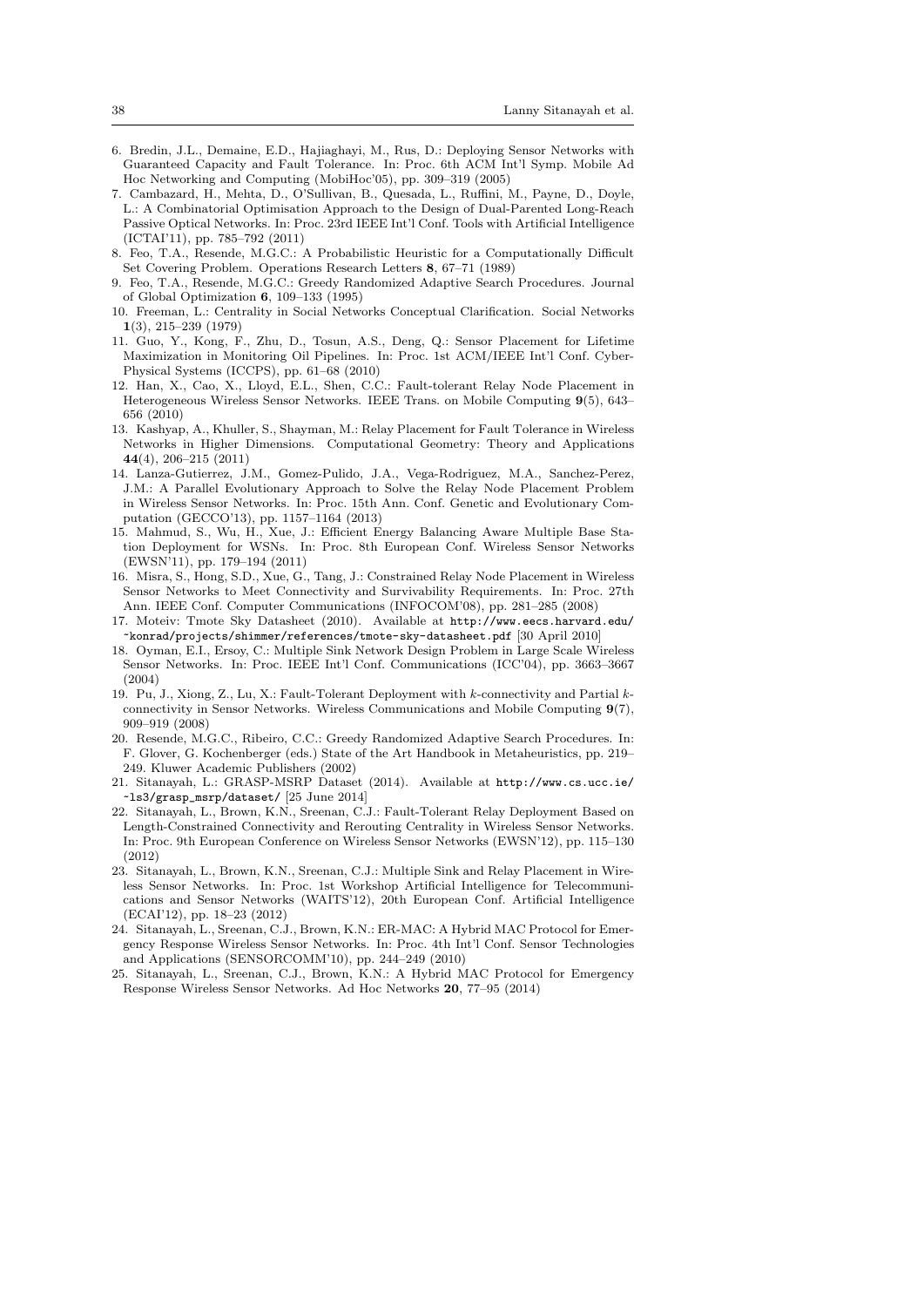- 6. Bredin, J.L., Demaine, E.D., Hajiaghayi, M., Rus, D.: Deploying Sensor Networks with Guaranteed Capacity and Fault Tolerance. In: Proc. 6th ACM Int'l Symp. Mobile Ad Hoc Networking and Computing (MobiHoc'05), pp. 309–319 (2005)
- 7. Cambazard, H., Mehta, D., O'Sullivan, B., Quesada, L., Ruffini, M., Payne, D., Doyle, L.: A Combinatorial Optimisation Approach to the Design of Dual-Parented Long-Reach Passive Optical Networks. In: Proc. 23rd IEEE Int'l Conf. Tools with Artificial Intelligence (ICTAI'11), pp. 785–792 (2011)
- 8. Feo, T.A., Resende, M.G.C.: A Probabilistic Heuristic for a Computationally Difficult Set Covering Problem. Operations Research Letters 8, 67–71 (1989)
- 9. Feo, T.A., Resende, M.G.C.: Greedy Randomized Adaptive Search Procedures. Journal of Global Optimization 6, 109–133 (1995)
- 10. Freeman, L.: Centrality in Social Networks Conceptual Clarification. Social Networks 1(3), 215–239 (1979)
- 11. Guo, Y., Kong, F., Zhu, D., Tosun, A.S., Deng, Q.: Sensor Placement for Lifetime Maximization in Monitoring Oil Pipelines. In: Proc. 1st ACM/IEEE Int'l Conf. Cyber-Physical Systems (ICCPS), pp. 61–68 (2010)
- 12. Han, X., Cao, X., Lloyd, E.L., Shen, C.C.: Fault-tolerant Relay Node Placement in Heterogeneous Wireless Sensor Networks. IEEE Trans. on Mobile Computing 9(5), 643– 656 (2010)
- 13. Kashyap, A., Khuller, S., Shayman, M.: Relay Placement for Fault Tolerance in Wireless Networks in Higher Dimensions. Computational Geometry: Theory and Applications 44(4), 206–215 (2011)
- 14. Lanza-Gutierrez, J.M., Gomez-Pulido, J.A., Vega-Rodriguez, M.A., Sanchez-Perez, J.M.: A Parallel Evolutionary Approach to Solve the Relay Node Placement Problem in Wireless Sensor Networks. In: Proc. 15th Ann. Conf. Genetic and Evolutionary Computation (GECCO'13), pp. 1157–1164 (2013)
- 15. Mahmud, S., Wu, H., Xue, J.: Efficient Energy Balancing Aware Multiple Base Station Deployment for WSNs. In: Proc. 8th European Conf. Wireless Sensor Networks (EWSN'11), pp. 179–194 (2011)
- 16. Misra, S., Hong, S.D., Xue, G., Tang, J.: Constrained Relay Node Placement in Wireless Sensor Networks to Meet Connectivity and Survivability Requirements. In: Proc. 27th Ann. IEEE Conf. Computer Communications (INFOCOM'08), pp. 281–285 (2008)
- 17. Moteiv: Tmote Sky Datasheet (2010). Available at http://www.eecs.harvard.edu/ ~konrad/projects/shimmer/references/tmote-sky-datasheet.pdf [30 April 2010]
- 18. Oyman, E.I., Ersoy, C.: Multiple Sink Network Design Problem in Large Scale Wireless Sensor Networks. In: Proc. IEEE Int'l Conf. Communications (ICC'04), pp. 3663–3667 (2004)
- 19. Pu, J., Xiong, Z., Lu, X.: Fault-Tolerant Deployment with k-connectivity and Partial kconnectivity in Sensor Networks. Wireless Communications and Mobile Computing 9(7), 909–919 (2008)
- 20. Resende, M.G.C., Ribeiro, C.C.: Greedy Randomized Adaptive Search Procedures. In: F. Glover, G. Kochenberger (eds.) State of the Art Handbook in Metaheuristics, pp. 219– 249. Kluwer Academic Publishers (2002)
- 21. Sitanayah, L.: GRASP-MSRP Dataset (2014). Available at http://www.cs.ucc.ie/  $\verb|*ls3/grasp_msrp/dataset|$  [25 June 2014]
- 22. Sitanayah, L., Brown, K.N., Sreenan, C.J.: Fault-Tolerant Relay Deployment Based on Length-Constrained Connectivity and Rerouting Centrality in Wireless Sensor Networks. In: Proc. 9th European Conference on Wireless Sensor Networks (EWSN'12), pp. 115–130 (2012)
- 23. Sitanayah, L., Brown, K.N., Sreenan, C.J.: Multiple Sink and Relay Placement in Wireless Sensor Networks. In: Proc. 1st Workshop Artificial Intelligence for Telecommunications and Sensor Networks (WAITS'12), 20th European Conf. Artificial Intelligence (ECAI'12), pp. 18–23 (2012)
- 24. Sitanayah, L., Sreenan, C.J., Brown, K.N.: ER-MAC: A Hybrid MAC Protocol for Emergency Response Wireless Sensor Networks. In: Proc. 4th Int'l Conf. Sensor Technologies and Applications (SENSORCOMM'10), pp. 244–249 (2010)
- 25. Sitanayah, L., Sreenan, C.J., Brown, K.N.: A Hybrid MAC Protocol for Emergency Response Wireless Sensor Networks. Ad Hoc Networks 20, 77–95 (2014)